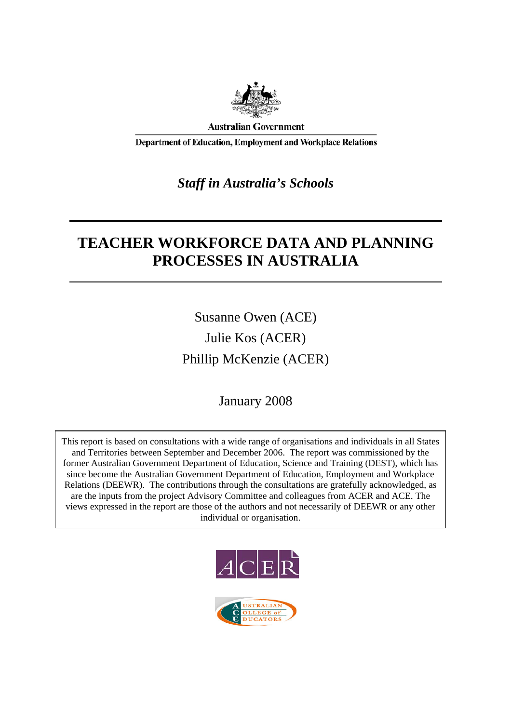

**Australian Government** 

**Department of Education, Employment and Workplace Relations** 

*Staff in Australia's Schools*

# **TEACHER WORKFORCE DATA AND PLANNING PROCESSES IN AUSTRALIA**

Susanne Owen (ACE) Julie Kos (ACER) Phillip McKenzie (ACER)

January 2008

This report is based on consultations with a wide range of organisations and individuals in all States and Territories between September and December 2006. The report was commissioned by the former Australian Government Department of Education, Science and Training (DEST), which has since become the Australian Government Department of Education, Employment and Workplace Relations (DEEWR). The contributions through the consultations are gratefully acknowledged, as are the inputs from the project Advisory Committee and colleagues from ACER and ACE. The views expressed in the report are those of the authors and not necessarily of DEEWR or any other individual or organisation.



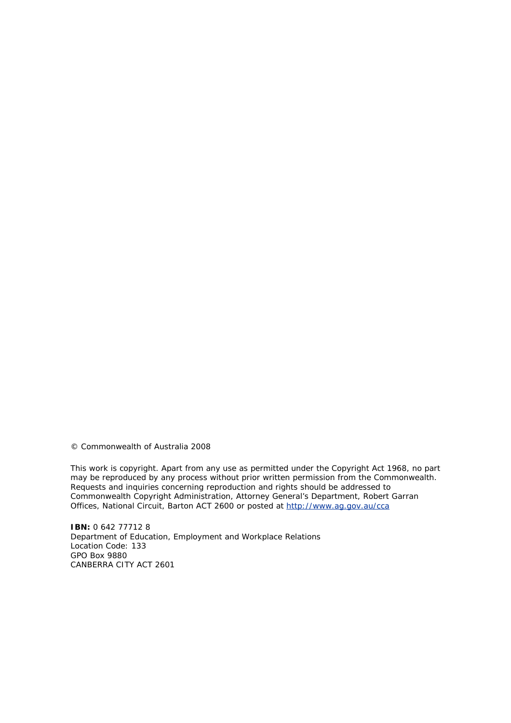© Commonwealth of Australia 2008

This work is copyright. Apart from any use as permitted under the *Copyright Act 1968*, no part may be reproduced by any process without prior written permission from the Commonwealth. Requests and inquiries concerning reproduction and rights should be addressed to Commonwealth Copyright Administration, Attorney General's Department, Robert Garran Offices, National Circuit, Barton ACT 2600 or posted at http://www.ag.gov.au/cca

**IBN:** 0 642 77712 8 Department of Education, Employment and Workplace Relations Location Code: 133 GPO Box 9880 CANBERRA CITY ACT 2601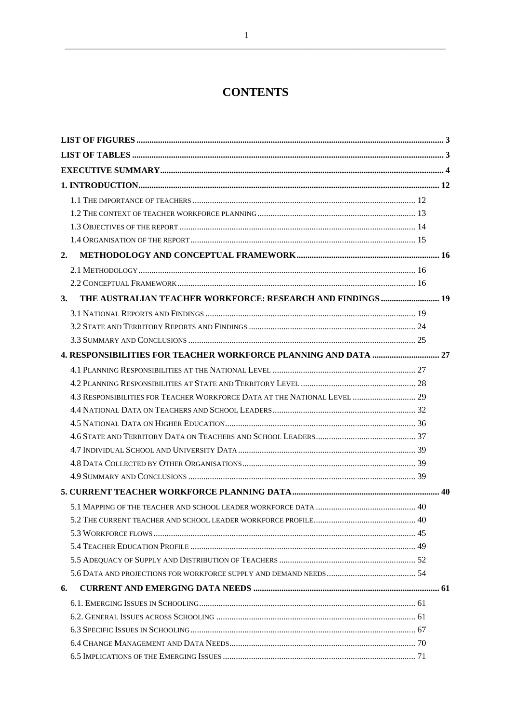# **CONTENTS**

| 2.                                                                        |  |
|---------------------------------------------------------------------------|--|
|                                                                           |  |
|                                                                           |  |
| THE AUSTRALIAN TEACHER WORKFORCE: RESEARCH AND FINDINGS 19<br>3.          |  |
|                                                                           |  |
|                                                                           |  |
|                                                                           |  |
|                                                                           |  |
|                                                                           |  |
|                                                                           |  |
| 4.3 RESPONSIBILITIES FOR TEACHER WORKFORCE DATA AT THE NATIONAL LEVEL  29 |  |
|                                                                           |  |
|                                                                           |  |
|                                                                           |  |
|                                                                           |  |
|                                                                           |  |
|                                                                           |  |
|                                                                           |  |
|                                                                           |  |
|                                                                           |  |
|                                                                           |  |
|                                                                           |  |
|                                                                           |  |
|                                                                           |  |
| 6.                                                                        |  |
|                                                                           |  |
|                                                                           |  |
|                                                                           |  |
|                                                                           |  |
|                                                                           |  |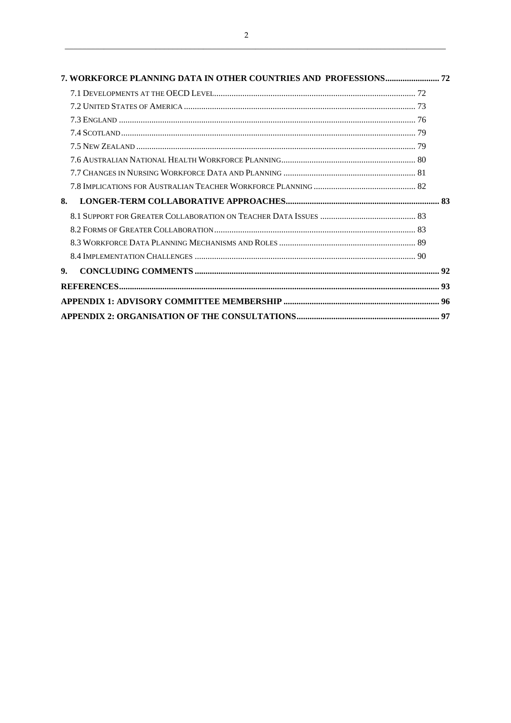| 8.             |    |
|----------------|----|
|                |    |
|                |    |
|                |    |
|                |    |
| 9 <sub>1</sub> | 92 |
|                |    |
|                |    |
|                |    |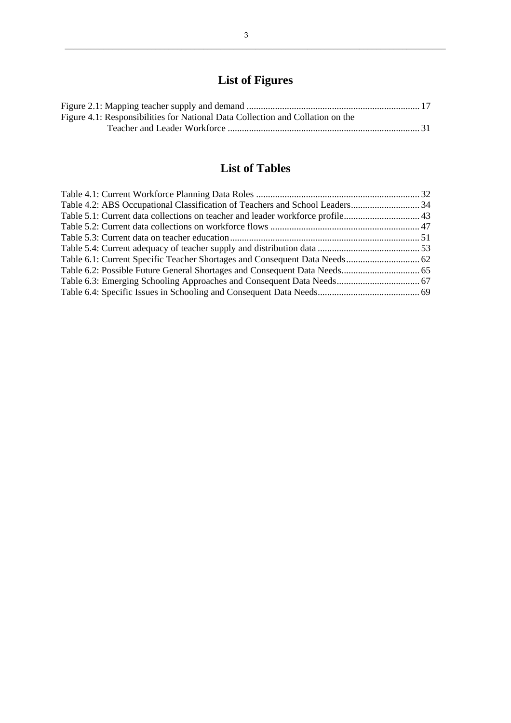# **List of Figures**

\_\_\_\_\_\_\_\_\_\_\_\_\_\_\_\_\_\_\_\_\_\_\_\_\_\_\_\_\_\_\_\_\_\_\_\_\_\_\_\_\_\_\_\_\_\_\_\_\_\_\_\_\_\_\_\_\_\_\_\_\_\_\_\_\_\_\_\_\_\_\_\_\_\_\_\_\_\_\_\_\_\_\_\_\_\_\_\_

| Figure 4.1: Responsibilities for National Data Collection and Collation on the |  |
|--------------------------------------------------------------------------------|--|
|                                                                                |  |

# **List of Tables**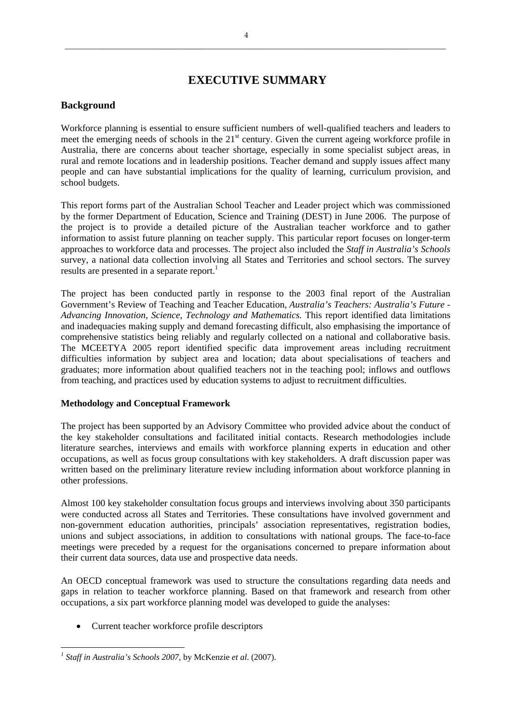# **EXECUTIVE SUMMARY**

\_\_\_\_\_\_\_\_\_\_\_\_\_\_\_\_\_\_\_\_\_\_\_\_\_\_\_\_\_\_\_\_\_\_\_\_\_\_\_\_\_\_\_\_\_\_\_\_\_\_\_\_\_\_\_\_\_\_\_\_\_\_\_\_\_\_\_\_\_\_\_\_\_\_\_\_\_\_\_\_\_\_\_\_\_\_\_\_

#### **Background**

Workforce planning is essential to ensure sufficient numbers of well-qualified teachers and leaders to meet the emerging needs of schools in the  $21<sup>st</sup>$  century. Given the current ageing workforce profile in Australia, there are concerns about teacher shortage, especially in some specialist subject areas, in rural and remote locations and in leadership positions. Teacher demand and supply issues affect many people and can have substantial implications for the quality of learning, curriculum provision, and school budgets.

This report forms part of the Australian School Teacher and Leader project which was commissioned by the former Department of Education, Science and Training (DEST) in June 2006. The purpose of the project is to provide a detailed picture of the Australian teacher workforce and to gather information to assist future planning on teacher supply. This particular report focuses on longer-term approaches to workforce data and processes. The project also included the *Staff in Australia's Schools*  survey, a national data collection involving all States and Territories and school sectors. The survey results are presented in a separate report.<sup>1</sup>

The project has been conducted partly in response to the 2003 final report of the Australian Government's Review of Teaching and Teacher Education, *Australia's Teachers: Australia's Future - Advancing Innovation, Science, Technology and Mathematics.* This report identified data limitations and inadequacies making supply and demand forecasting difficult, also emphasising the importance of comprehensive statistics being reliably and regularly collected on a national and collaborative basis. The MCEETYA 2005 report identified specific data improvement areas including recruitment difficulties information by subject area and location; data about specialisations of teachers and graduates; more information about qualified teachers not in the teaching pool; inflows and outflows from teaching, and practices used by education systems to adjust to recruitment difficulties.

#### **Methodology and Conceptual Framework**

The project has been supported by an Advisory Committee who provided advice about the conduct of the key stakeholder consultations and facilitated initial contacts. Research methodologies include literature searches, interviews and emails with workforce planning experts in education and other occupations, as well as focus group consultations with key stakeholders. A draft discussion paper was written based on the preliminary literature review including information about workforce planning in other professions.

Almost 100 key stakeholder consultation focus groups and interviews involving about 350 participants were conducted across all States and Territories. These consultations have involved government and non-government education authorities, principals' association representatives, registration bodies, unions and subject associations, in addition to consultations with national groups. The face-to-face meetings were preceded by a request for the organisations concerned to prepare information about their current data sources, data use and prospective data needs.

An OECD conceptual framework was used to structure the consultations regarding data needs and gaps in relation to teacher workforce planning. Based on that framework and research from other occupations, a six part workforce planning model was developed to guide the analyses:

• Current teacher workforce profile descriptors

 *1 Staff in Australia's Schools 2007*, by McKenzie *et al*. (2007).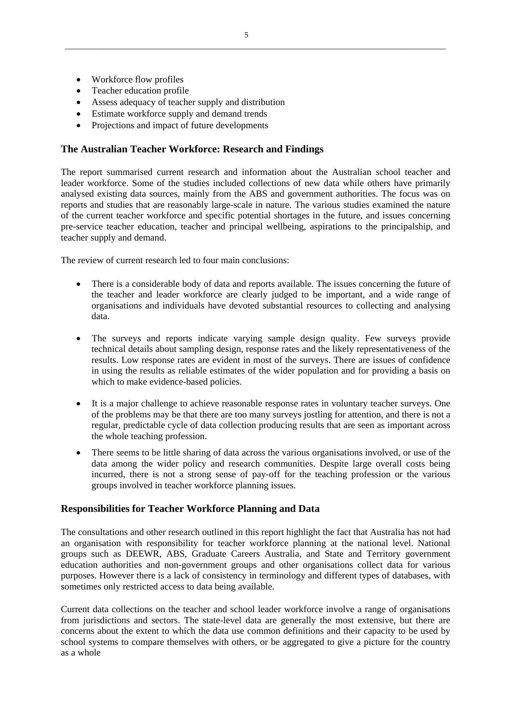- Workforce flow profiles
- Teacher education profile
- Assess adequacy of teacher supply and distribution
- Estimate workforce supply and demand trends
- Projections and impact of future developments

## **The Australian Teacher Workforce: Research and Findings**

The report summarised current research and information about the Australian school teacher and leader workforce. Some of the studies included collections of new data while others have primarily analysed existing data sources, mainly from the ABS and government authorities. The focus was on reports and studies that are reasonably large-scale in nature. The various studies examined the nature of the current teacher workforce and specific potential shortages in the future, and issues concerning pre-service teacher education, teacher and principal wellbeing, aspirations to the principalship, and teacher supply and demand.

The review of current research led to four main conclusions:

- There is a considerable body of data and reports available. The issues concerning the future of the teacher and leader workforce are clearly judged to be important, and a wide range of organisations and individuals have devoted substantial resources to collecting and analysing data.
- The surveys and reports indicate varying sample design quality. Few surveys provide technical details about sampling design, response rates and the likely representativeness of the results. Low response rates are evident in most of the surveys. There are issues of confidence in using the results as reliable estimates of the wider population and for providing a basis on which to make evidence-based policies.
- It is a major challenge to achieve reasonable response rates in voluntary teacher surveys. One of the problems may be that there are too many surveys jostling for attention, and there is not a regular, predictable cycle of data collection producing results that are seen as important across the whole teaching profession.
- There seems to be little sharing of data across the various organisations involved, or use of the data among the wider policy and research communities. Despite large overall costs being incurred, there is not a strong sense of pay-off for the teaching profession or the various groups involved in teacher workforce planning issues.

## **Responsibilities for Teacher Workforce Planning and Data**

The consultations and other research outlined in this report highlight the fact that Australia has not had an organisation with responsibility for teacher workforce planning at the national level. National groups such as DEEWR, ABS, Graduate Careers Australia, and State and Territory government education authorities and non-government groups and other organisations collect data for various purposes. However there is a lack of consistency in terminology and different types of databases, with sometimes only restricted access to data being available.

Current data collections on the teacher and school leader workforce involve a range of organisations from jurisdictions and sectors. The state-level data are generally the most extensive, but there are concerns about the extent to which the data use common definitions and their capacity to be used by school systems to compare themselves with others, or be aggregated to give a picture for the country as a whole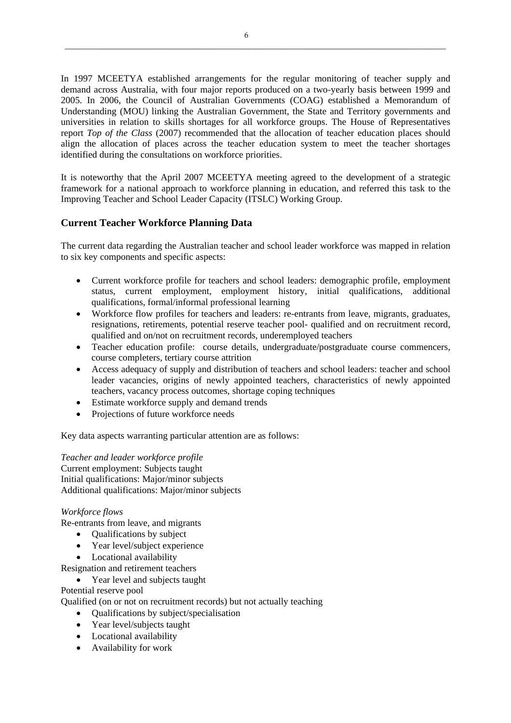In 1997 MCEETYA established arrangements for the regular monitoring of teacher supply and demand across Australia, with four major reports produced on a two-yearly basis between 1999 and 2005. In 2006, the Council of Australian Governments (COAG) established a Memorandum of Understanding (MOU) linking the Australian Government, the State and Territory governments and universities in relation to skills shortages for all workforce groups. The House of Representatives report *Top of the Class* (2007) recommended that the allocation of teacher education places should align the allocation of places across the teacher education system to meet the teacher shortages identified during the consultations on workforce priorities.

It is noteworthy that the April 2007 MCEETYA meeting agreed to the development of a strategic framework for a national approach to workforce planning in education, and referred this task to the Improving Teacher and School Leader Capacity (ITSLC) Working Group.

#### **Current Teacher Workforce Planning Data**

The current data regarding the Australian teacher and school leader workforce was mapped in relation to six key components and specific aspects:

- Current workforce profile for teachers and school leaders: demographic profile, employment status, current employment, employment history, initial qualifications, additional qualifications, formal/informal professional learning
- Workforce flow profiles for teachers and leaders: re-entrants from leave, migrants, graduates, resignations, retirements, potential reserve teacher pool- qualified and on recruitment record, qualified and on/not on recruitment records, underemployed teachers
- Teacher education profile: course details, undergraduate/postgraduate course commencers, course completers, tertiary course attrition
- Access adequacy of supply and distribution of teachers and school leaders: teacher and school leader vacancies, origins of newly appointed teachers, characteristics of newly appointed teachers, vacancy process outcomes, shortage coping techniques
- Estimate workforce supply and demand trends
- Projections of future workforce needs

Key data aspects warranting particular attention are as follows:

#### *Teacher and leader workforce profile*

Current employment: Subjects taught Initial qualifications: Major/minor subjects Additional qualifications: Major/minor subjects

#### *Workforce flows*

Re-entrants from leave, and migrants

- Qualifications by subject
- Year level/subject experience
- Locational availability

Resignation and retirement teachers

• Year level and subjects taught

Potential reserve pool

Qualified (on or not on recruitment records) but not actually teaching

- Qualifications by subject/specialisation
- Year level/subjects taught
- Locational availability
- Availability for work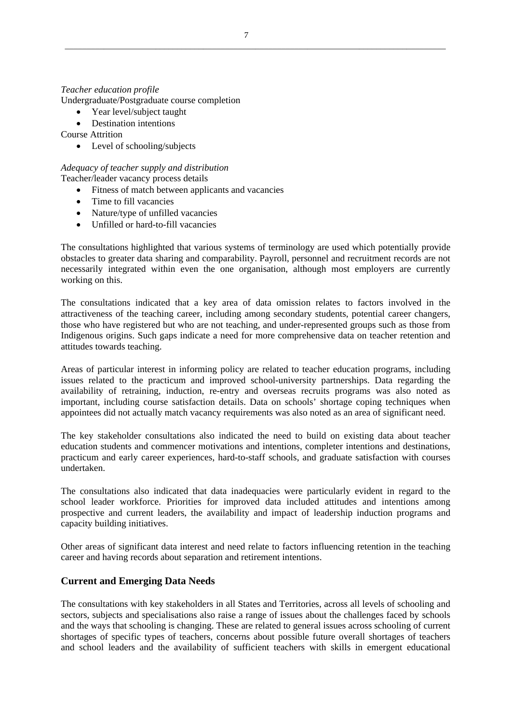#### *Teacher education profile*

Undergraduate/Postgraduate course completion

- Year level/subject taught
- Destination intentions

Course Attrition

• Level of schooling/subjects

#### *Adequacy of teacher supply and distribution*  Teacher/leader vacancy process details

- Fitness of match between applicants and vacancies
- Time to fill vacancies
- Nature/type of unfilled vacancies
- Unfilled or hard-to-fill vacancies

The consultations highlighted that various systems of terminology are used which potentially provide obstacles to greater data sharing and comparability. Payroll, personnel and recruitment records are not necessarily integrated within even the one organisation, although most employers are currently working on this.

The consultations indicated that a key area of data omission relates to factors involved in the attractiveness of the teaching career, including among secondary students, potential career changers, those who have registered but who are not teaching, and under-represented groups such as those from Indigenous origins. Such gaps indicate a need for more comprehensive data on teacher retention and attitudes towards teaching.

Areas of particular interest in informing policy are related to teacher education programs, including issues related to the practicum and improved school-university partnerships. Data regarding the availability of retraining, induction, re-entry and overseas recruits programs was also noted as important, including course satisfaction details. Data on schools' shortage coping techniques when appointees did not actually match vacancy requirements was also noted as an area of significant need.

The key stakeholder consultations also indicated the need to build on existing data about teacher education students and commencer motivations and intentions, completer intentions and destinations, practicum and early career experiences, hard-to-staff schools, and graduate satisfaction with courses undertaken.

The consultations also indicated that data inadequacies were particularly evident in regard to the school leader workforce. Priorities for improved data included attitudes and intentions among prospective and current leaders, the availability and impact of leadership induction programs and capacity building initiatives.

Other areas of significant data interest and need relate to factors influencing retention in the teaching career and having records about separation and retirement intentions.

#### **Current and Emerging Data Needs**

The consultations with key stakeholders in all States and Territories, across all levels of schooling and sectors, subjects and specialisations also raise a range of issues about the challenges faced by schools and the ways that schooling is changing. These are related to general issues across schooling of current shortages of specific types of teachers, concerns about possible future overall shortages of teachers and school leaders and the availability of sufficient teachers with skills in emergent educational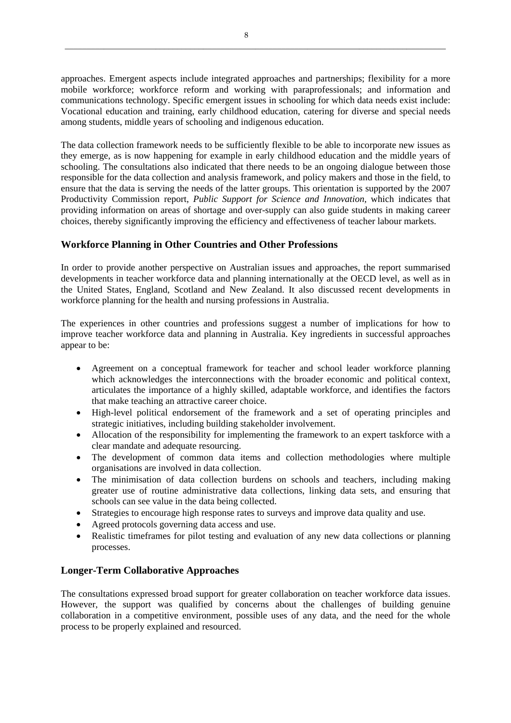approaches. Emergent aspects include integrated approaches and partnerships; flexibility for a more mobile workforce; workforce reform and working with paraprofessionals; and information and communications technology. Specific emergent issues in schooling for which data needs exist include: Vocational education and training, early childhood education, catering for diverse and special needs among students, middle years of schooling and indigenous education.

The data collection framework needs to be sufficiently flexible to be able to incorporate new issues as they emerge, as is now happening for example in early childhood education and the middle years of schooling. The consultations also indicated that there needs to be an ongoing dialogue between those responsible for the data collection and analysis framework, and policy makers and those in the field, to ensure that the data is serving the needs of the latter groups. This orientation is supported by the 2007 Productivity Commission report, *Public Support for Science and Innovation,* which indicates that providing information on areas of shortage and over-supply can also guide students in making career choices, thereby significantly improving the efficiency and effectiveness of teacher labour markets.

#### **Workforce Planning in Other Countries and Other Professions**

In order to provide another perspective on Australian issues and approaches, the report summarised developments in teacher workforce data and planning internationally at the OECD level, as well as in the United States, England, Scotland and New Zealand. It also discussed recent developments in workforce planning for the health and nursing professions in Australia.

The experiences in other countries and professions suggest a number of implications for how to improve teacher workforce data and planning in Australia. Key ingredients in successful approaches appear to be:

- Agreement on a conceptual framework for teacher and school leader workforce planning which acknowledges the interconnections with the broader economic and political context, articulates the importance of a highly skilled, adaptable workforce, and identifies the factors that make teaching an attractive career choice.
- High-level political endorsement of the framework and a set of operating principles and strategic initiatives, including building stakeholder involvement.
- Allocation of the responsibility for implementing the framework to an expert taskforce with a clear mandate and adequate resourcing.
- The development of common data items and collection methodologies where multiple organisations are involved in data collection.
- The minimisation of data collection burdens on schools and teachers, including making greater use of routine administrative data collections, linking data sets, and ensuring that schools can see value in the data being collected.
- Strategies to encourage high response rates to surveys and improve data quality and use.
- Agreed protocols governing data access and use.
- Realistic timeframes for pilot testing and evaluation of any new data collections or planning processes.

### **Longer-Term Collaborative Approaches**

The consultations expressed broad support for greater collaboration on teacher workforce data issues. However, the support was qualified by concerns about the challenges of building genuine collaboration in a competitive environment, possible uses of any data, and the need for the whole process to be properly explained and resourced.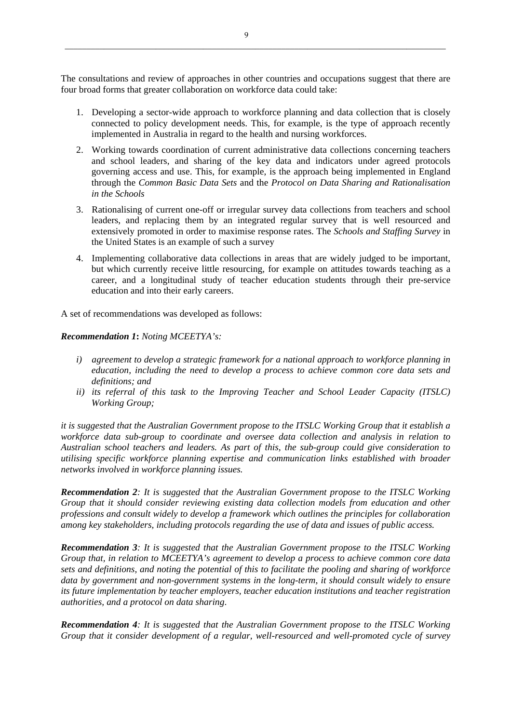The consultations and review of approaches in other countries and occupations suggest that there are four broad forms that greater collaboration on workforce data could take:

\_\_\_\_\_\_\_\_\_\_\_\_\_\_\_\_\_\_\_\_\_\_\_\_\_\_\_\_\_\_\_\_\_\_\_\_\_\_\_\_\_\_\_\_\_\_\_\_\_\_\_\_\_\_\_\_\_\_\_\_\_\_\_\_\_\_\_\_\_\_\_\_\_\_\_\_\_\_\_\_\_\_\_\_\_\_\_\_

- 1. Developing a sector-wide approach to workforce planning and data collection that is closely connected to policy development needs. This, for example, is the type of approach recently implemented in Australia in regard to the health and nursing workforces.
- 2. Working towards coordination of current administrative data collections concerning teachers and school leaders, and sharing of the key data and indicators under agreed protocols governing access and use. This, for example, is the approach being implemented in England through the *Common Basic Data Sets* and the *Protocol on Data Sharing and Rationalisation in the Schools*
- 3. Rationalising of current one-off or irregular survey data collections from teachers and school leaders, and replacing them by an integrated regular survey that is well resourced and extensively promoted in order to maximise response rates. The *Schools and Staffing Survey* in the United States is an example of such a survey
- 4. Implementing collaborative data collections in areas that are widely judged to be important, but which currently receive little resourcing, for example on attitudes towards teaching as a career, and a longitudinal study of teacher education students through their pre-service education and into their early careers.

A set of recommendations was developed as follows:

#### *Recommendation 1***:** *Noting MCEETYA's:*

- *i) agreement to develop a strategic framework for a national approach to workforce planning in education, including the need to develop a process to achieve common core data sets and definitions; and*
- *ii) its referral of this task to the Improving Teacher and School Leader Capacity (ITSLC) Working Group;*

*it is suggested that the Australian Government propose to the ITSLC Working Group that it establish a workforce data sub-group to coordinate and oversee data collection and analysis in relation to Australian school teachers and leaders. As part of this, the sub-group could give consideration to utilising specific workforce planning expertise and communication links established with broader networks involved in workforce planning issues.* 

*Recommendation 2: It is suggested that the Australian Government propose to the ITSLC Working Group that it should consider reviewing existing data collection models from education and other professions and consult widely to develop a framework which outlines the principles for collaboration among key stakeholders, including protocols regarding the use of data and issues of public access.*

*Recommendation 3: It is suggested that the Australian Government propose to the ITSLC Working Group that, in relation to MCEETYA's agreement to develop a process to achieve common core data sets and definitions, and noting the potential of this to facilitate the pooling and sharing of workforce data by government and non-government systems in the long-term, it should consult widely to ensure its future implementation by teacher employers, teacher education institutions and teacher registration authorities, and a protocol on data sharing*.

*Recommendation 4: It is suggested that the Australian Government propose to the ITSLC Working Group that it consider development of a regular, well-resourced and well-promoted cycle of survey*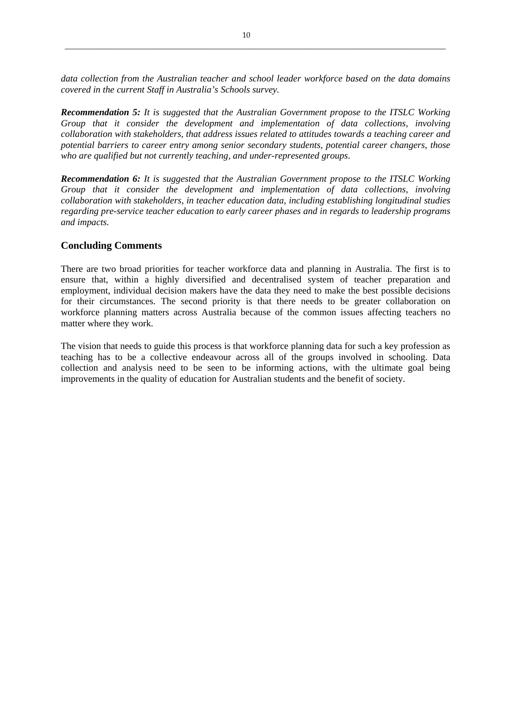*data collection from the Australian teacher and school leader workforce based on the data domains covered in the current Staff in Australia's Schools survey.*

\_\_\_\_\_\_\_\_\_\_\_\_\_\_\_\_\_\_\_\_\_\_\_\_\_\_\_\_\_\_\_\_\_\_\_\_\_\_\_\_\_\_\_\_\_\_\_\_\_\_\_\_\_\_\_\_\_\_\_\_\_\_\_\_\_\_\_\_\_\_\_\_\_\_\_\_\_\_\_\_\_\_\_\_\_\_\_\_

*Recommendation 5: It is suggested that the Australian Government propose to the ITSLC Working Group that it consider the development and implementation of data collections, involving collaboration with stakeholders, that address issues related to attitudes towards a teaching career and potential barriers to career entry among senior secondary students, potential career changers, those who are qualified but not currently teaching, and under-represented groups*.

*Recommendation 6: It is suggested that the Australian Government propose to the ITSLC Working Group that it consider the development and implementation of data collections, involving collaboration with stakeholders, in teacher education data, including establishing longitudinal studies regarding pre-service teacher education to early career phases and in regards to leadership programs and impacts.* 

#### **Concluding Comments**

There are two broad priorities for teacher workforce data and planning in Australia. The first is to ensure that, within a highly diversified and decentralised system of teacher preparation and employment, individual decision makers have the data they need to make the best possible decisions for their circumstances. The second priority is that there needs to be greater collaboration on workforce planning matters across Australia because of the common issues affecting teachers no matter where they work.

The vision that needs to guide this process is that workforce planning data for such a key profession as teaching has to be a collective endeavour across all of the groups involved in schooling. Data collection and analysis need to be seen to be informing actions, with the ultimate goal being improvements in the quality of education for Australian students and the benefit of society.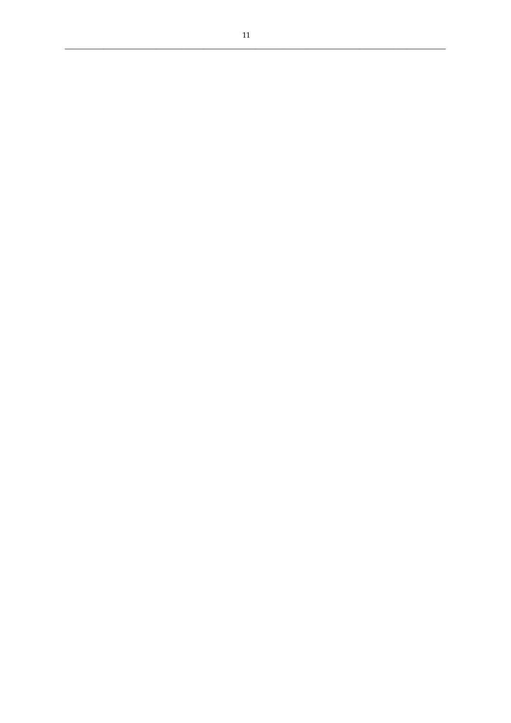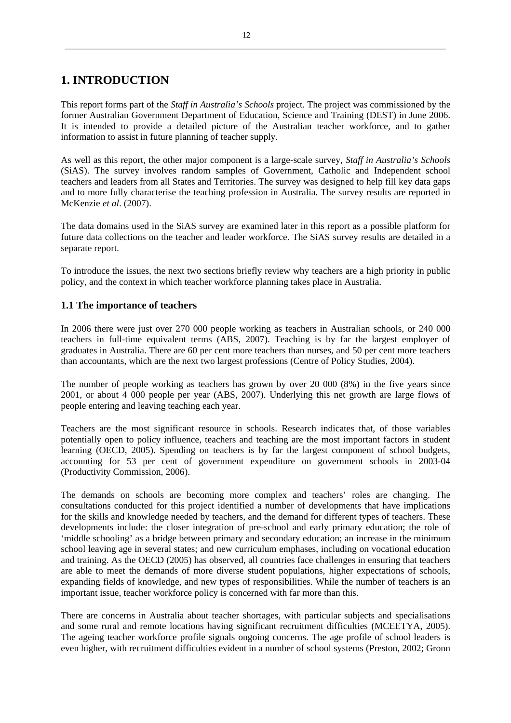# **1. INTRODUCTION**

This report forms part of the *Staff in Australia's Schools* project. The project was commissioned by the former Australian Government Department of Education, Science and Training (DEST) in June 2006. It is intended to provide a detailed picture of the Australian teacher workforce, and to gather information to assist in future planning of teacher supply.

As well as this report, the other major component is a large-scale survey, *Staff in Australia's Schools*  (SiAS). The survey involves random samples of Government, Catholic and Independent school teachers and leaders from all States and Territories. The survey was designed to help fill key data gaps and to more fully characterise the teaching profession in Australia. The survey results are reported in McKenzie *et al*. (2007).

The data domains used in the SiAS survey are examined later in this report as a possible platform for future data collections on the teacher and leader workforce. The SiAS survey results are detailed in a separate report.

To introduce the issues, the next two sections briefly review why teachers are a high priority in public policy, and the context in which teacher workforce planning takes place in Australia.

#### **1.1 The importance of teachers**

In 2006 there were just over 270 000 people working as teachers in Australian schools, or 240 000 teachers in full-time equivalent terms (ABS, 2007). Teaching is by far the largest employer of graduates in Australia. There are 60 per cent more teachers than nurses, and 50 per cent more teachers than accountants, which are the next two largest professions (Centre of Policy Studies, 2004).

The number of people working as teachers has grown by over 20 000 (8%) in the five years since 2001, or about 4 000 people per year (ABS, 2007). Underlying this net growth are large flows of people entering and leaving teaching each year.

Teachers are the most significant resource in schools. Research indicates that, of those variables potentially open to policy influence, teachers and teaching are the most important factors in student learning (OECD, 2005). Spending on teachers is by far the largest component of school budgets, accounting for 53 per cent of government expenditure on government schools in 2003-04 (Productivity Commission, 2006).

The demands on schools are becoming more complex and teachers' roles are changing. The consultations conducted for this project identified a number of developments that have implications for the skills and knowledge needed by teachers, and the demand for different types of teachers. These developments include: the closer integration of pre-school and early primary education; the role of 'middle schooling' as a bridge between primary and secondary education; an increase in the minimum school leaving age in several states; and new curriculum emphases, including on vocational education and training. As the OECD (2005) has observed, all countries face challenges in ensuring that teachers are able to meet the demands of more diverse student populations, higher expectations of schools, expanding fields of knowledge, and new types of responsibilities. While the number of teachers is an important issue, teacher workforce policy is concerned with far more than this.

There are concerns in Australia about teacher shortages, with particular subjects and specialisations and some rural and remote locations having significant recruitment difficulties (MCEETYA, 2005). The ageing teacher workforce profile signals ongoing concerns. The age profile of school leaders is even higher, with recruitment difficulties evident in a number of school systems (Preston, 2002; Gronn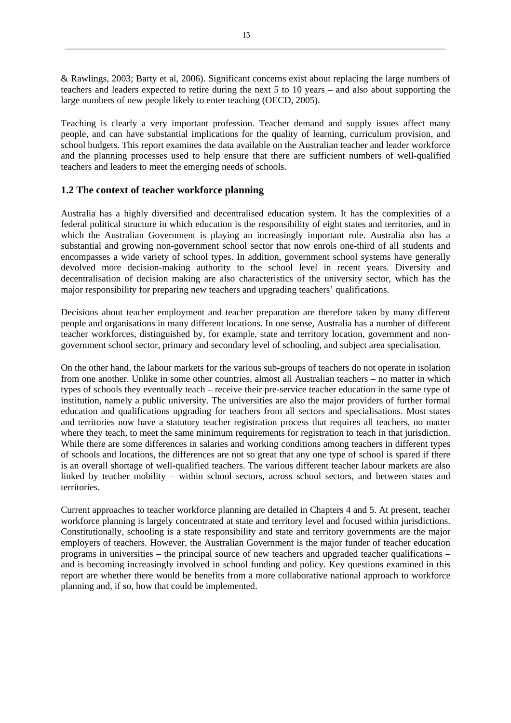& Rawlings, 2003; Barty et al, 2006). Significant concerns exist about replacing the large numbers of teachers and leaders expected to retire during the next 5 to 10 years – and also about supporting the large numbers of new people likely to enter teaching (OECD, 2005).

\_\_\_\_\_\_\_\_\_\_\_\_\_\_\_\_\_\_\_\_\_\_\_\_\_\_\_\_\_\_\_\_\_\_\_\_\_\_\_\_\_\_\_\_\_\_\_\_\_\_\_\_\_\_\_\_\_\_\_\_\_\_\_\_\_\_\_\_\_\_\_\_\_\_\_\_\_\_\_\_\_\_\_\_\_\_\_\_

Teaching is clearly a very important profession. Teacher demand and supply issues affect many people, and can have substantial implications for the quality of learning, curriculum provision, and school budgets. This report examines the data available on the Australian teacher and leader workforce and the planning processes used to help ensure that there are sufficient numbers of well-qualified teachers and leaders to meet the emerging needs of schools.

#### **1.2 The context of teacher workforce planning**

Australia has a highly diversified and decentralised education system. It has the complexities of a federal political structure in which education is the responsibility of eight states and territories, and in which the Australian Government is playing an increasingly important role. Australia also has a substantial and growing non-government school sector that now enrols one-third of all students and encompasses a wide variety of school types. In addition, government school systems have generally devolved more decision-making authority to the school level in recent years. Diversity and decentralisation of decision making are also characteristics of the university sector, which has the major responsibility for preparing new teachers and upgrading teachers' qualifications.

Decisions about teacher employment and teacher preparation are therefore taken by many different people and organisations in many different locations. In one sense, Australia has a number of different teacher workforces, distinguished by, for example, state and territory location, government and nongovernment school sector, primary and secondary level of schooling, and subject area specialisation.

On the other hand, the labour markets for the various sub-groups of teachers do not operate in isolation from one another. Unlike in some other countries, almost all Australian teachers – no matter in which types of schools they eventually teach – receive their pre-service teacher education in the same type of institution, namely a public university. The universities are also the major providers of further formal education and qualifications upgrading for teachers from all sectors and specialisations. Most states and territories now have a statutory teacher registration process that requires all teachers, no matter where they teach, to meet the same minimum requirements for registration to teach in that jurisdiction. While there are some differences in salaries and working conditions among teachers in different types of schools and locations, the differences are not so great that any one type of school is spared if there is an overall shortage of well-qualified teachers. The various different teacher labour markets are also linked by teacher mobility – within school sectors, across school sectors, and between states and territories.

Current approaches to teacher workforce planning are detailed in Chapters 4 and 5. At present, teacher workforce planning is largely concentrated at state and territory level and focused within jurisdictions. Constitutionally, schooling is a state responsibility and state and territory governments are the major employers of teachers. However, the Australian Government is the major funder of teacher education programs in universities – the principal source of new teachers and upgraded teacher qualifications – and is becoming increasingly involved in school funding and policy. Key questions examined in this report are whether there would be benefits from a more collaborative national approach to workforce planning and, if so, how that could be implemented.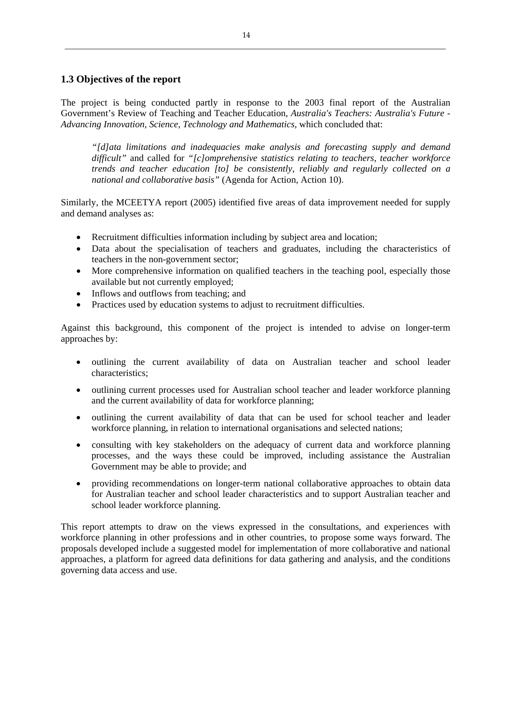#### **1.3 Objectives of the report**

The project is being conducted partly in response to the 2003 final report of the Australian Government's Review of Teaching and Teacher Education, *Australia's Teachers: Australia's Future - Advancing Innovation, Science, Technology and Mathematics*, which concluded that:

*"[d]ata limitations and inadequacies make analysis and forecasting supply and demand difficult"* and called for *"[c]omprehensive statistics relating to teachers, teacher workforce trends and teacher education [to] be consistently, reliably and regularly collected on a national and collaborative basis"* (Agenda for Action, Action 10).

Similarly, the MCEETYA report (2005) identified five areas of data improvement needed for supply and demand analyses as:

- Recruitment difficulties information including by subject area and location;
- Data about the specialisation of teachers and graduates, including the characteristics of teachers in the non-government sector;
- More comprehensive information on qualified teachers in the teaching pool, especially those available but not currently employed;
- Inflows and outflows from teaching; and
- Practices used by education systems to adjust to recruitment difficulties.

Against this background, this component of the project is intended to advise on longer-term approaches by:

- outlining the current availability of data on Australian teacher and school leader characteristics;
- outlining current processes used for Australian school teacher and leader workforce planning and the current availability of data for workforce planning;
- outlining the current availability of data that can be used for school teacher and leader workforce planning, in relation to international organisations and selected nations;
- consulting with key stakeholders on the adequacy of current data and workforce planning processes, and the ways these could be improved, including assistance the Australian Government may be able to provide; and
- providing recommendations on longer-term national collaborative approaches to obtain data for Australian teacher and school leader characteristics and to support Australian teacher and school leader workforce planning.

This report attempts to draw on the views expressed in the consultations, and experiences with workforce planning in other professions and in other countries, to propose some ways forward. The proposals developed include a suggested model for implementation of more collaborative and national approaches, a platform for agreed data definitions for data gathering and analysis, and the conditions governing data access and use.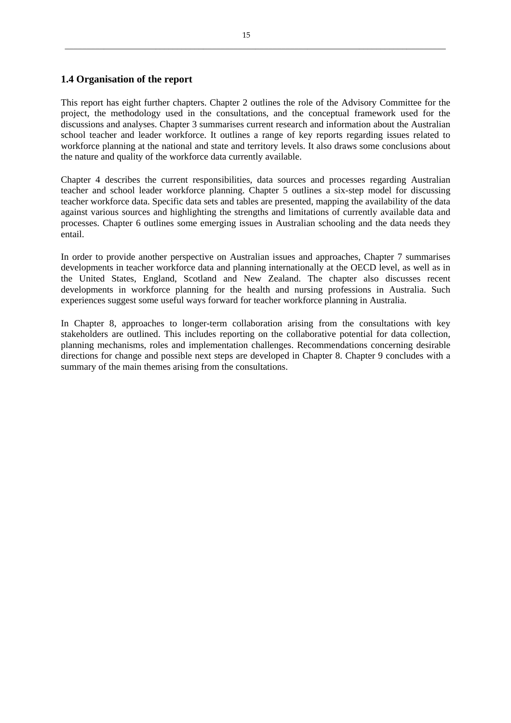#### **1.4 Organisation of the report**

This report has eight further chapters. Chapter 2 outlines the role of the Advisory Committee for the project, the methodology used in the consultations, and the conceptual framework used for the discussions and analyses. Chapter 3 summarises current research and information about the Australian school teacher and leader workforce. It outlines a range of key reports regarding issues related to workforce planning at the national and state and territory levels. It also draws some conclusions about the nature and quality of the workforce data currently available.

Chapter 4 describes the current responsibilities, data sources and processes regarding Australian teacher and school leader workforce planning. Chapter 5 outlines a six-step model for discussing teacher workforce data. Specific data sets and tables are presented, mapping the availability of the data against various sources and highlighting the strengths and limitations of currently available data and processes. Chapter 6 outlines some emerging issues in Australian schooling and the data needs they entail.

In order to provide another perspective on Australian issues and approaches, Chapter 7 summarises developments in teacher workforce data and planning internationally at the OECD level, as well as in the United States, England, Scotland and New Zealand. The chapter also discusses recent developments in workforce planning for the health and nursing professions in Australia. Such experiences suggest some useful ways forward for teacher workforce planning in Australia.

In Chapter 8, approaches to longer-term collaboration arising from the consultations with key stakeholders are outlined. This includes reporting on the collaborative potential for data collection, planning mechanisms, roles and implementation challenges. Recommendations concerning desirable directions for change and possible next steps are developed in Chapter 8. Chapter 9 concludes with a summary of the main themes arising from the consultations.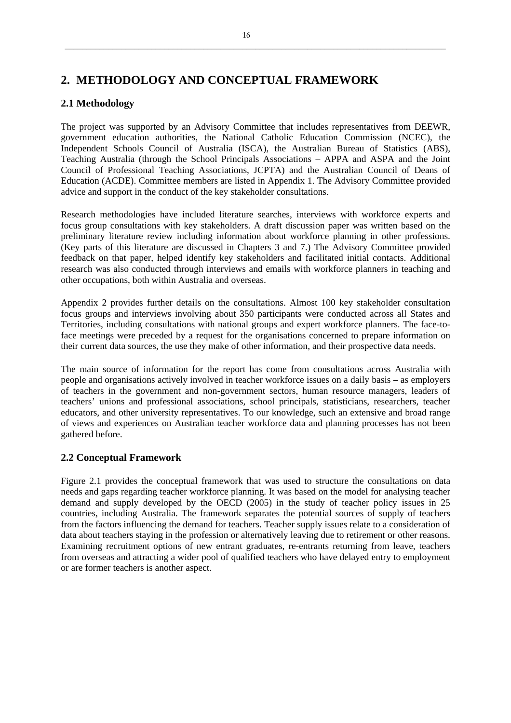# **2. METHODOLOGY AND CONCEPTUAL FRAMEWORK**

### **2.1 Methodology**

The project was supported by an Advisory Committee that includes representatives from DEEWR, government education authorities, the National Catholic Education Commission (NCEC), the Independent Schools Council of Australia (ISCA), the Australian Bureau of Statistics (ABS), Teaching Australia (through the School Principals Associations – APPA and ASPA and the Joint Council of Professional Teaching Associations, JCPTA) and the Australian Council of Deans of Education (ACDE). Committee members are listed in Appendix 1. The Advisory Committee provided advice and support in the conduct of the key stakeholder consultations.

Research methodologies have included literature searches, interviews with workforce experts and focus group consultations with key stakeholders. A draft discussion paper was written based on the preliminary literature review including information about workforce planning in other professions. (Key parts of this literature are discussed in Chapters 3 and 7.) The Advisory Committee provided feedback on that paper, helped identify key stakeholders and facilitated initial contacts. Additional research was also conducted through interviews and emails with workforce planners in teaching and other occupations, both within Australia and overseas.

Appendix 2 provides further details on the consultations. Almost 100 key stakeholder consultation focus groups and interviews involving about 350 participants were conducted across all States and Territories, including consultations with national groups and expert workforce planners. The face-toface meetings were preceded by a request for the organisations concerned to prepare information on their current data sources, the use they make of other information, and their prospective data needs.

The main source of information for the report has come from consultations across Australia with people and organisations actively involved in teacher workforce issues on a daily basis – as employers of teachers in the government and non-government sectors, human resource managers, leaders of teachers' unions and professional associations, school principals, statisticians, researchers, teacher educators, and other university representatives. To our knowledge, such an extensive and broad range of views and experiences on Australian teacher workforce data and planning processes has not been gathered before.

### **2.2 Conceptual Framework**

Figure 2.1 provides the conceptual framework that was used to structure the consultations on data needs and gaps regarding teacher workforce planning. It was based on the model for analysing teacher demand and supply developed by the OECD (2005) in the study of teacher policy issues in 25 countries, including Australia. The framework separates the potential sources of supply of teachers from the factors influencing the demand for teachers. Teacher supply issues relate to a consideration of data about teachers staying in the profession or alternatively leaving due to retirement or other reasons. Examining recruitment options of new entrant graduates, re-entrants returning from leave, teachers from overseas and attracting a wider pool of qualified teachers who have delayed entry to employment or are former teachers is another aspect.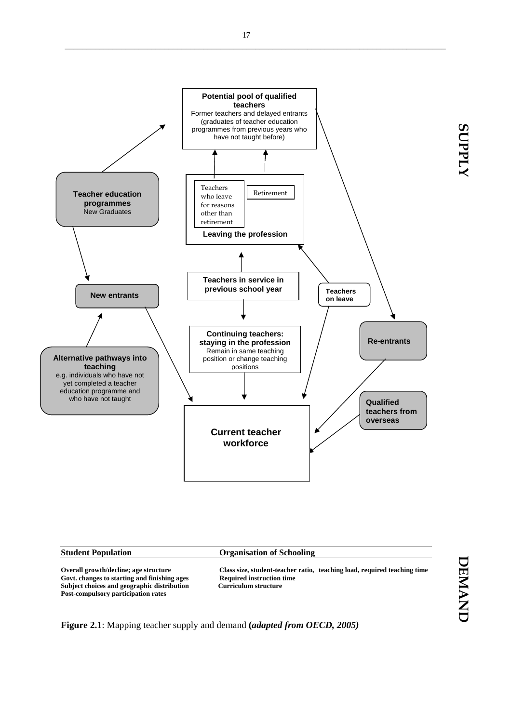

**Student Population Organisation of Schooling** 

Govt. changes to starting and finishing ages **Required instruction Subject choices and geographic distribution Curriculum structure Subject choices and geographic distribution Post-compulsory participation rates** 

**Overall growth/decline; age structure** Class size, student-teacher ratio, teaching load, required teaching time Govt. changes to starting and finishing ages Required instruction time

**Figure 2.1**: Mapping teacher supply and demand **(***adapted from OECD, 2005)*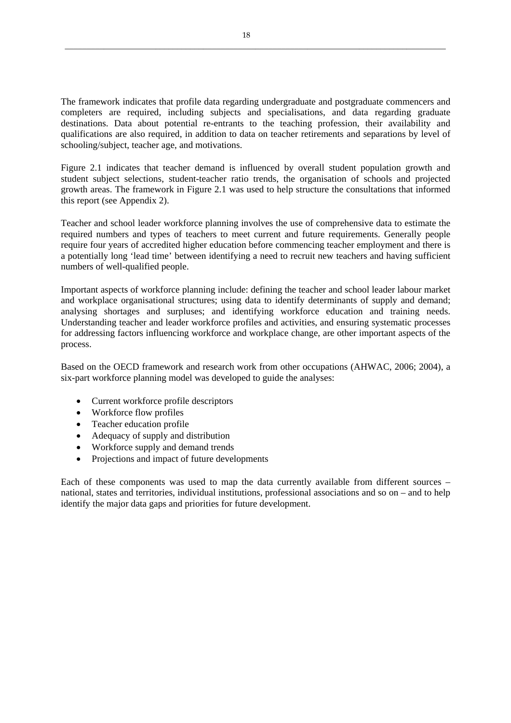The framework indicates that profile data regarding undergraduate and postgraduate commencers and completers are required, including subjects and specialisations, and data regarding graduate destinations. Data about potential re-entrants to the teaching profession, their availability and qualifications are also required, in addition to data on teacher retirements and separations by level of schooling/subject, teacher age, and motivations.

Figure 2.1 indicates that teacher demand is influenced by overall student population growth and student subject selections, student-teacher ratio trends, the organisation of schools and projected growth areas. The framework in Figure 2.1 was used to help structure the consultations that informed this report (see Appendix 2).

Teacher and school leader workforce planning involves the use of comprehensive data to estimate the required numbers and types of teachers to meet current and future requirements. Generally people require four years of accredited higher education before commencing teacher employment and there is a potentially long 'lead time' between identifying a need to recruit new teachers and having sufficient numbers of well-qualified people.

Important aspects of workforce planning include: defining the teacher and school leader labour market and workplace organisational structures; using data to identify determinants of supply and demand; analysing shortages and surpluses; and identifying workforce education and training needs. Understanding teacher and leader workforce profiles and activities, and ensuring systematic processes for addressing factors influencing workforce and workplace change, are other important aspects of the process.

Based on the OECD framework and research work from other occupations (AHWAC, 2006; 2004), a six-part workforce planning model was developed to guide the analyses:

- Current workforce profile descriptors
- Workforce flow profiles
- Teacher education profile
- Adequacy of supply and distribution
- Workforce supply and demand trends
- Projections and impact of future developments

Each of these components was used to map the data currently available from different sources – national, states and territories, individual institutions, professional associations and so on – and to help identify the major data gaps and priorities for future development.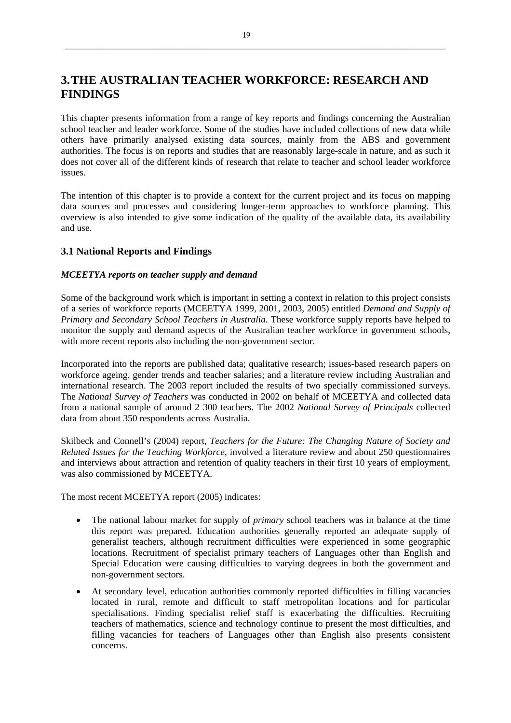# **3.THE AUSTRALIAN TEACHER WORKFORCE: RESEARCH AND FINDINGS**

This chapter presents information from a range of key reports and findings concerning the Australian school teacher and leader workforce. Some of the studies have included collections of new data while others have primarily analysed existing data sources, mainly from the ABS and government authorities. The focus is on reports and studies that are reasonably large-scale in nature, and as such it does not cover all of the different kinds of research that relate to teacher and school leader workforce issues.

The intention of this chapter is to provide a context for the current project and its focus on mapping data sources and processes and considering longer-term approaches to workforce planning. This overview is also intended to give some indication of the quality of the available data, its availability and use.

#### **3.1 National Reports and Findings**

#### *MCEETYA reports on teacher supply and demand*

Some of the background work which is important in setting a context in relation to this project consists of a series of workforce reports (MCEETYA 1999, 2001, 2003, 2005) entitled *Demand and Supply of Primary and Secondary School Teachers in Australia.* These workforce supply reports have helped to monitor the supply and demand aspects of the Australian teacher workforce in government schools, with more recent reports also including the non-government sector.

Incorporated into the reports are published data; qualitative research; issues-based research papers on workforce ageing, gender trends and teacher salaries; and a literature review including Australian and international research. The 2003 report included the results of two specially commissioned surveys. The *National Survey of Teachers* was conducted in 2002 on behalf of MCEETYA and collected data from a national sample of around 2 300 teachers. The 2002 *National Survey of Principals* collected data from about 350 respondents across Australia.

Skilbeck and Connell's (2004) report, *Teachers for the Future: The Changing Nature of Society and Related Issues for the Teaching Workforce,* involved a literature review and about 250 questionnaires and interviews about attraction and retention of quality teachers in their first 10 years of employment, was also commissioned by MCEETYA.

The most recent MCEETYA report (2005) indicates:

- The national labour market for supply of *primary* school teachers was in balance at the time this report was prepared. Education authorities generally reported an adequate supply of generalist teachers, although recruitment difficulties were experienced in some geographic locations. Recruitment of specialist primary teachers of Languages other than English and Special Education were causing difficulties to varying degrees in both the government and non-government sectors.
- At secondary level, education authorities commonly reported difficulties in filling vacancies located in rural, remote and difficult to staff metropolitan locations and for particular specialisations. Finding specialist relief staff is exacerbating the difficulties. Recruiting teachers of mathematics, science and technology continue to present the most difficulties, and filling vacancies for teachers of Languages other than English also presents consistent concerns.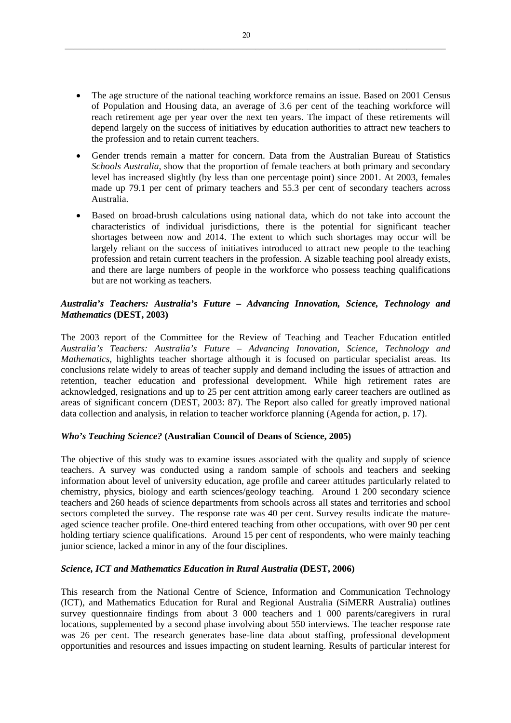- The age structure of the national teaching workforce remains an issue. Based on 2001 Census of Population and Housing data, an average of 3.6 per cent of the teaching workforce will reach retirement age per year over the next ten years. The impact of these retirements will depend largely on the success of initiatives by education authorities to attract new teachers to the profession and to retain current teachers.
- Gender trends remain a matter for concern. Data from the Australian Bureau of Statistics *Schools Australia*, show that the proportion of female teachers at both primary and secondary level has increased slightly (by less than one percentage point) since 2001. At 2003, females made up 79.1 per cent of primary teachers and 55.3 per cent of secondary teachers across Australia.
- Based on broad-brush calculations using national data, which do not take into account the characteristics of individual jurisdictions, there is the potential for significant teacher shortages between now and 2014. The extent to which such shortages may occur will be largely reliant on the success of initiatives introduced to attract new people to the teaching profession and retain current teachers in the profession. A sizable teaching pool already exists, and there are large numbers of people in the workforce who possess teaching qualifications but are not working as teachers.

#### *Australia's Teachers: Australia's Future – Advancing Innovation, Science, Technology and Mathematics* **(DEST, 2003)**

The 2003 report of the Committee for the Review of Teaching and Teacher Education entitled *Australia's Teachers: Australia's Future – Advancing Innovation, Science, Technology and Mathematics,* highlights teacher shortage although it is focused on particular specialist areas. Its conclusions relate widely to areas of teacher supply and demand including the issues of attraction and retention, teacher education and professional development. While high retirement rates are acknowledged, resignations and up to 25 per cent attrition among early career teachers are outlined as areas of significant concern (DEST, 2003: 87). The Report also called for greatly improved national data collection and analysis, in relation to teacher workforce planning (Agenda for action, p. 17).

#### *Who's Teaching Science?* **(Australian Council of Deans of Science, 2005)**

The objective of this study was to examine issues associated with the quality and supply of science teachers. A survey was conducted using a random sample of schools and teachers and seeking information about level of university education, age profile and career attitudes particularly related to chemistry, physics, biology and earth sciences/geology teaching. Around 1 200 secondary science teachers and 260 heads of science departments from schools across all states and territories and school sectors completed the survey. The response rate was 40 per cent. Survey results indicate the matureaged science teacher profile. One-third entered teaching from other occupations, with over 90 per cent holding tertiary science qualifications. Around 15 per cent of respondents, who were mainly teaching junior science, lacked a minor in any of the four disciplines.

#### *Science, ICT and Mathematics Education in Rural Australia* **(DEST, 2006)**

This research from the National Centre of Science, Information and Communication Technology (ICT), and Mathematics Education for Rural and Regional Australia (SiMERR Australia) outlines survey questionnaire findings from about 3 000 teachers and 1 000 parents/caregivers in rural locations, supplemented by a second phase involving about 550 interviews*.* The teacher response rate was 26 per cent. The research generates base-line data about staffing, professional development opportunities and resources and issues impacting on student learning. Results of particular interest for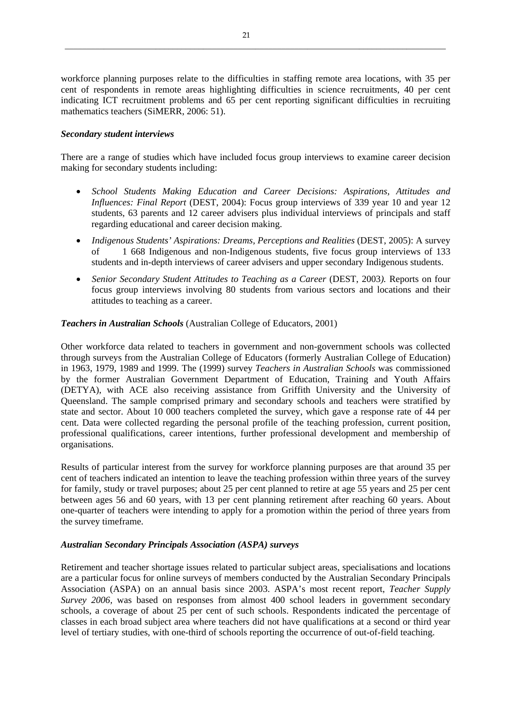workforce planning purposes relate to the difficulties in staffing remote area locations, with 35 per cent of respondents in remote areas highlighting difficulties in science recruitments, 40 per cent indicating ICT recruitment problems and 65 per cent reporting significant difficulties in recruiting mathematics teachers (SiMERR, 2006: 51).

\_\_\_\_\_\_\_\_\_\_\_\_\_\_\_\_\_\_\_\_\_\_\_\_\_\_\_\_\_\_\_\_\_\_\_\_\_\_\_\_\_\_\_\_\_\_\_\_\_\_\_\_\_\_\_\_\_\_\_\_\_\_\_\_\_\_\_\_\_\_\_\_\_\_\_\_\_\_\_\_\_\_\_\_\_\_\_\_

#### *Secondary student interviews*

There are a range of studies which have included focus group interviews to examine career decision making for secondary students including:

- *School Students Making Education and Career Decisions: Aspirations, Attitudes and Influences: Final Report* (DEST, 2004): Focus group interviews of 339 year 10 and year 12 students, 63 parents and 12 career advisers plus individual interviews of principals and staff regarding educational and career decision making.
- *Indigenous Students' Aspirations: Dreams, Perceptions and Realities (DEST, 2005): A survey* of 1 668 Indigenous and non-Indigenous students, five focus group interviews of 133 students and in-depth interviews of career advisers and upper secondary Indigenous students.
- *Senior Secondary Student Attitudes to Teaching as a Career (DEST, 2003).* Reports on four focus group interviews involving 80 students from various sectors and locations and their attitudes to teaching as a career.

#### *Teachers in Australian Schools* (Australian College of Educators, 2001)

Other workforce data related to teachers in government and non-government schools was collected through surveys from the Australian College of Educators (formerly Australian College of Education) in 1963, 1979, 1989 and 1999. The (1999) survey *Teachers in Australian Schools* was commissioned by the former Australian Government Department of Education, Training and Youth Affairs (DETYA), with ACE also receiving assistance from Griffith University and the University of Queensland. The sample comprised primary and secondary schools and teachers were stratified by state and sector. About 10 000 teachers completed the survey, which gave a response rate of 44 per cent. Data were collected regarding the personal profile of the teaching profession, current position, professional qualifications, career intentions, further professional development and membership of organisations.

Results of particular interest from the survey for workforce planning purposes are that around 35 per cent of teachers indicated an intention to leave the teaching profession within three years of the survey for family, study or travel purposes; about 25 per cent planned to retire at age 55 years and 25 per cent between ages 56 and 60 years, with 13 per cent planning retirement after reaching 60 years. About one-quarter of teachers were intending to apply for a promotion within the period of three years from the survey timeframe.

#### *Australian Secondary Principals Association (ASPA) surveys*

Retirement and teacher shortage issues related to particular subject areas, specialisations and locations are a particular focus for online surveys of members conducted by the Australian Secondary Principals Association (ASPA) on an annual basis since 2003. ASPA's most recent report, *Teacher Supply Survey 2006,* was based on responses from almost 400 school leaders in government secondary schools, a coverage of about 25 per cent of such schools. Respondents indicated the percentage of classes in each broad subject area where teachers did not have qualifications at a second or third year level of tertiary studies, with one-third of schools reporting the occurrence of out-of-field teaching.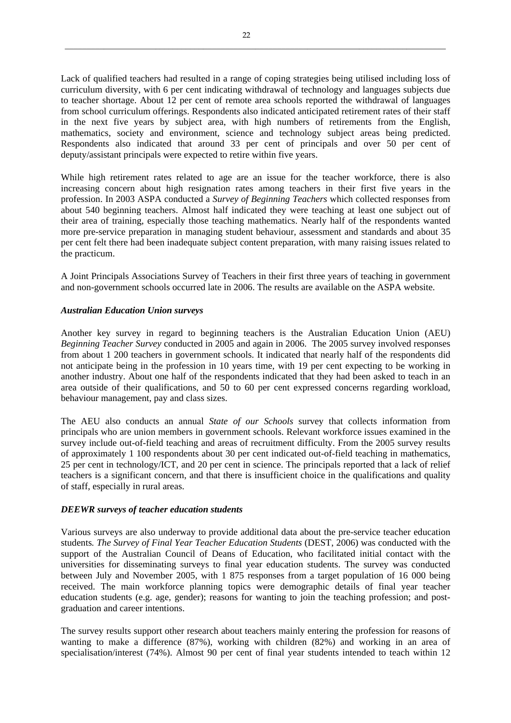Lack of qualified teachers had resulted in a range of coping strategies being utilised including loss of curriculum diversity, with 6 per cent indicating withdrawal of technology and languages subjects due to teacher shortage. About 12 per cent of remote area schools reported the withdrawal of languages from school curriculum offerings. Respondents also indicated anticipated retirement rates of their staff in the next five years by subject area, with high numbers of retirements from the English, mathematics, society and environment, science and technology subject areas being predicted. Respondents also indicated that around 33 per cent of principals and over 50 per cent of deputy/assistant principals were expected to retire within five years.

While high retirement rates related to age are an issue for the teacher workforce, there is also increasing concern about high resignation rates among teachers in their first five years in the profession. In 2003 ASPA conducted a *Survey of Beginning Teachers* which collected responses from about 540 beginning teachers. Almost half indicated they were teaching at least one subject out of their area of training, especially those teaching mathematics. Nearly half of the respondents wanted more pre-service preparation in managing student behaviour, assessment and standards and about 35 per cent felt there had been inadequate subject content preparation, with many raising issues related to the practicum.

A Joint Principals Associations Survey of Teachers in their first three years of teaching in government and non-government schools occurred late in 2006. The results are available on the ASPA website.

#### *Australian Education Union surveys*

Another key survey in regard to beginning teachers is the Australian Education Union (AEU) *Beginning Teacher Survey* conducted in 2005 and again in 2006. The 2005 survey involved responses from about 1 200 teachers in government schools. It indicated that nearly half of the respondents did not anticipate being in the profession in 10 years time, with 19 per cent expecting to be working in another industry. About one half of the respondents indicated that they had been asked to teach in an area outside of their qualifications, and 50 to 60 per cent expressed concerns regarding workload, behaviour management, pay and class sizes.

The AEU also conducts an annual *State of our Schools* survey that collects information from principals who are union members in government schools. Relevant workforce issues examined in the survey include out-of-field teaching and areas of recruitment difficulty. From the 2005 survey results of approximately 1 100 respondents about 30 per cent indicated out-of-field teaching in mathematics, 25 per cent in technology/ICT, and 20 per cent in science. The principals reported that a lack of relief teachers is a significant concern, and that there is insufficient choice in the qualifications and quality of staff, especially in rural areas.

#### *DEEWR surveys of teacher education students*

Various surveys are also underway to provide additional data about the pre-service teacher education students*. The Survey of Final Year Teacher Education Students* (DEST, 2006) was conducted with the support of the Australian Council of Deans of Education, who facilitated initial contact with the universities for disseminating surveys to final year education students. The survey was conducted between July and November 2005, with 1 875 responses from a target population of 16 000 being received. The main workforce planning topics were demographic details of final year teacher education students (e.g. age, gender); reasons for wanting to join the teaching profession; and postgraduation and career intentions.

The survey results support other research about teachers mainly entering the profession for reasons of wanting to make a difference (87%), working with children (82%) and working in an area of specialisation/interest (74%). Almost 90 per cent of final year students intended to teach within 12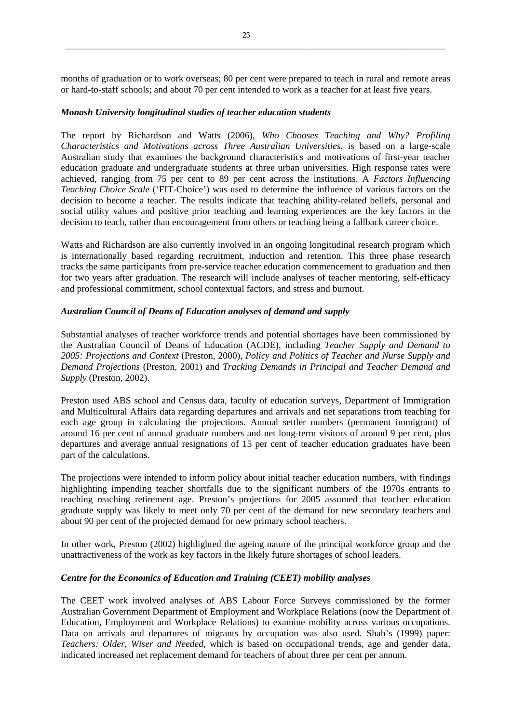months of graduation or to work overseas; 80 per cent were prepared to teach in rural and remote areas or hard-to-staff schools; and about 70 per cent intended to work as a teacher for at least five years.

\_\_\_\_\_\_\_\_\_\_\_\_\_\_\_\_\_\_\_\_\_\_\_\_\_\_\_\_\_\_\_\_\_\_\_\_\_\_\_\_\_\_\_\_\_\_\_\_\_\_\_\_\_\_\_\_\_\_\_\_\_\_\_\_\_\_\_\_\_\_\_\_\_\_\_\_\_\_\_\_\_\_\_\_\_\_\_\_

#### *Monash University longitudinal studies of teacher education students*

The report by Richardson and Watts (2006), *Who Chooses Teaching and Why? Profiling Characteristics and Motivations across Three Australian Universities,* is based on a large-scale Australian study that examines the background characteristics and motivations of first-year teacher education graduate and undergraduate students at three urban universities. High response rates were achieved, ranging from 75 per cent to 89 per cent across the institutions. A *Factors Influencing Teaching Choice Scale* ('FIT-Choice') was used to determine the influence of various factors on the decision to become a teacher. The results indicate that teaching ability-related beliefs, personal and social utility values and positive prior teaching and learning experiences are the key factors in the decision to teach, rather than encouragement from others or teaching being a fallback career choice.

Watts and Richardson are also currently involved in an ongoing longitudinal research program which is internationally based regarding recruitment, induction and retention. This three phase research tracks the same participants from pre-service teacher education commencement to graduation and then for two years after graduation. The research will include analyses of teacher mentoring, self-efficacy and professional commitment, school contextual factors, and stress and burnout.

#### *Australian Council of Deans of Education analyses of demand and supply*

Substantial analyses of teacher workforce trends and potential shortages have been commissioned by the Australian Council of Deans of Education (ACDE), including *Teacher Supply and Demand to 2005: Projections and Context* (Preston, 2000), *Policy and Politics of Teacher and Nurse Supply and Demand Projections* (Preston, 2001) and *Tracking Demands in Principal and Teacher Demand and Supply* (Preston, 2002).

Preston used ABS school and Census data, faculty of education surveys, Department of Immigration and Multicultural Affairs data regarding departures and arrivals and net separations from teaching for each age group in calculating the projections. Annual settler numbers (permanent immigrant) of around 16 per cent of annual graduate numbers and net long-term visitors of around 9 per cent, plus departures and average annual resignations of 15 per cent of teacher education graduates have been part of the calculations.

The projections were intended to inform policy about initial teacher education numbers, with findings highlighting impending teacher shortfalls due to the significant numbers of the 1970s entrants to teaching reaching retirement age. Preston's projections for 2005 assumed that teacher education graduate supply was likely to meet only 70 per cent of the demand for new secondary teachers and about 90 per cent of the projected demand for new primary school teachers.

In other work, Preston (2002) highlighted the ageing nature of the principal workforce group and the unattractiveness of the work as key factors in the likely future shortages of school leaders.

#### *Centre for the Economics of Education and Training (CEET) mobility analyses*

The CEET work involved analyses of ABS Labour Force Surveys commissioned by the former Australian Government Department of Employment and Workplace Relations (now the Department of Education, Employment and Workplace Relations) to examine mobility across various occupations. Data on arrivals and departures of migrants by occupation was also used. Shah's (1999) paper: *Teachers: Older, Wiser and Needed*, which is based on occupational trends, age and gender data, indicated increased net replacement demand for teachers of about three per cent per annum.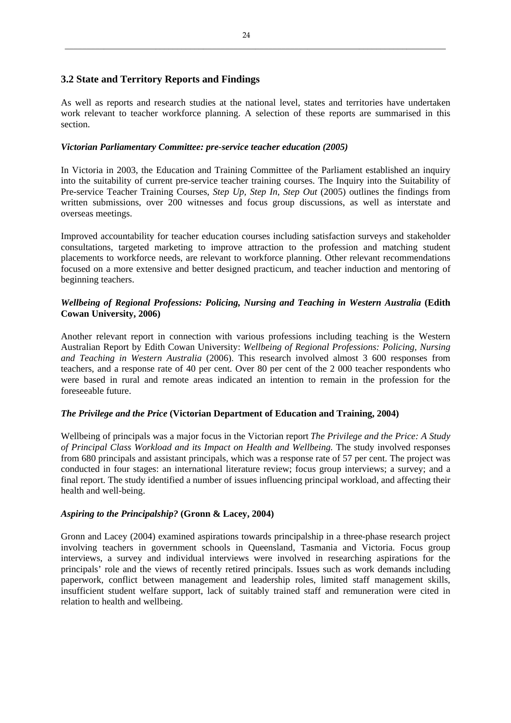#### **3.2 State and Territory Reports and Findings**

As well as reports and research studies at the national level, states and territories have undertaken work relevant to teacher workforce planning. A selection of these reports are summarised in this section.

#### *Victorian Parliamentary Committee: pre-service teacher education (2005)*

In Victoria in 2003, the Education and Training Committee of the Parliament established an inquiry into the suitability of current pre-service teacher training courses. The Inquiry into the Suitability of Pre-service Teacher Training Courses, *Step Up, Step In, Step Out* (2005) outlines the findings from written submissions, over 200 witnesses and focus group discussions, as well as interstate and overseas meetings.

Improved accountability for teacher education courses including satisfaction surveys and stakeholder consultations, targeted marketing to improve attraction to the profession and matching student placements to workforce needs, are relevant to workforce planning. Other relevant recommendations focused on a more extensive and better designed practicum, and teacher induction and mentoring of beginning teachers.

#### *Wellbeing of Regional Professions: Policing, Nursing and Teaching in Western Australia* **(Edith Cowan University, 2006)**

Another relevant report in connection with various professions including teaching is the Western Australian Report by Edith Cowan University: *Wellbeing of Regional Professions: Policing, Nursing and Teaching in Western Australia* (2006). This research involved almost 3 600 responses from teachers, and a response rate of 40 per cent. Over 80 per cent of the 2 000 teacher respondents who were based in rural and remote areas indicated an intention to remain in the profession for the foreseeable future.

#### *The Privilege and the Price* **(Victorian Department of Education and Training, 2004)**

Wellbeing of principals was a major focus in the Victorian report *The Privilege and the Price: A Study of Principal Class Workload and its Impact on Health and Wellbeing.* The study involved responses from 680 principals and assistant principals, which was a response rate of 57 per cent. The project was conducted in four stages: an international literature review; focus group interviews; a survey; and a final report. The study identified a number of issues influencing principal workload, and affecting their health and well-being.

#### *Aspiring to the Principalship?* **(Gronn & Lacey, 2004)**

Gronn and Lacey (2004) examined aspirations towards principalship in a three-phase research project involving teachers in government schools in Queensland, Tasmania and Victoria. Focus group interviews, a survey and individual interviews were involved in researching aspirations for the principals' role and the views of recently retired principals. Issues such as work demands including paperwork, conflict between management and leadership roles, limited staff management skills, insufficient student welfare support, lack of suitably trained staff and remuneration were cited in relation to health and wellbeing.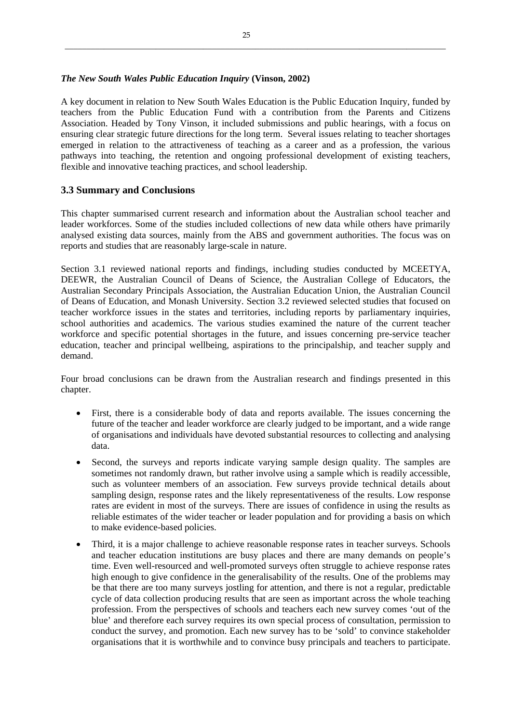#### *The New South Wales Public Education Inquiry* **(Vinson, 2002)**

A key document in relation to New South Wales Education is the Public Education Inquiry, funded by teachers from the Public Education Fund with a contribution from the Parents and Citizens Association. Headed by Tony Vinson, it included submissions and public hearings, with a focus on ensuring clear strategic future directions for the long term. Several issues relating to teacher shortages emerged in relation to the attractiveness of teaching as a career and as a profession, the various pathways into teaching, the retention and ongoing professional development of existing teachers, flexible and innovative teaching practices, and school leadership.

#### **3.3 Summary and Conclusions**

This chapter summarised current research and information about the Australian school teacher and leader workforces. Some of the studies included collections of new data while others have primarily analysed existing data sources, mainly from the ABS and government authorities. The focus was on reports and studies that are reasonably large-scale in nature.

Section 3.1 reviewed national reports and findings, including studies conducted by MCEETYA, DEEWR, the Australian Council of Deans of Science, the Australian College of Educators, the Australian Secondary Principals Association, the Australian Education Union, the Australian Council of Deans of Education, and Monash University. Section 3.2 reviewed selected studies that focused on teacher workforce issues in the states and territories, including reports by parliamentary inquiries, school authorities and academics. The various studies examined the nature of the current teacher workforce and specific potential shortages in the future, and issues concerning pre-service teacher education, teacher and principal wellbeing, aspirations to the principalship, and teacher supply and demand.

Four broad conclusions can be drawn from the Australian research and findings presented in this chapter.

- First, there is a considerable body of data and reports available. The issues concerning the future of the teacher and leader workforce are clearly judged to be important, and a wide range of organisations and individuals have devoted substantial resources to collecting and analysing data.
- Second, the surveys and reports indicate varying sample design quality. The samples are sometimes not randomly drawn, but rather involve using a sample which is readily accessible, such as volunteer members of an association. Few surveys provide technical details about sampling design, response rates and the likely representativeness of the results. Low response rates are evident in most of the surveys. There are issues of confidence in using the results as reliable estimates of the wider teacher or leader population and for providing a basis on which to make evidence-based policies.
- Third, it is a major challenge to achieve reasonable response rates in teacher surveys. Schools and teacher education institutions are busy places and there are many demands on people's time. Even well-resourced and well-promoted surveys often struggle to achieve response rates high enough to give confidence in the generalisability of the results. One of the problems may be that there are too many surveys jostling for attention, and there is not a regular, predictable cycle of data collection producing results that are seen as important across the whole teaching profession. From the perspectives of schools and teachers each new survey comes 'out of the blue' and therefore each survey requires its own special process of consultation, permission to conduct the survey, and promotion. Each new survey has to be 'sold' to convince stakeholder organisations that it is worthwhile and to convince busy principals and teachers to participate.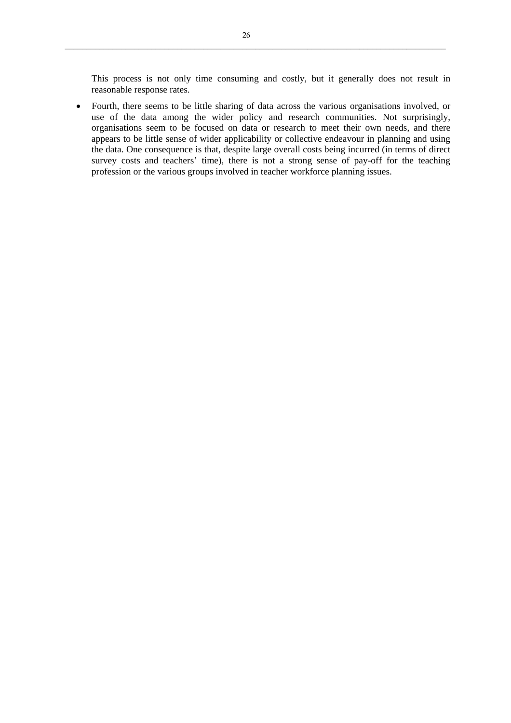This process is not only time consuming and costly, but it generally does not result in reasonable response rates.

• Fourth, there seems to be little sharing of data across the various organisations involved, or use of the data among the wider policy and research communities. Not surprisingly, organisations seem to be focused on data or research to meet their own needs, and there appears to be little sense of wider applicability or collective endeavour in planning and using the data. One consequence is that, despite large overall costs being incurred (in terms of direct survey costs and teachers' time), there is not a strong sense of pay-off for the teaching profession or the various groups involved in teacher workforce planning issues.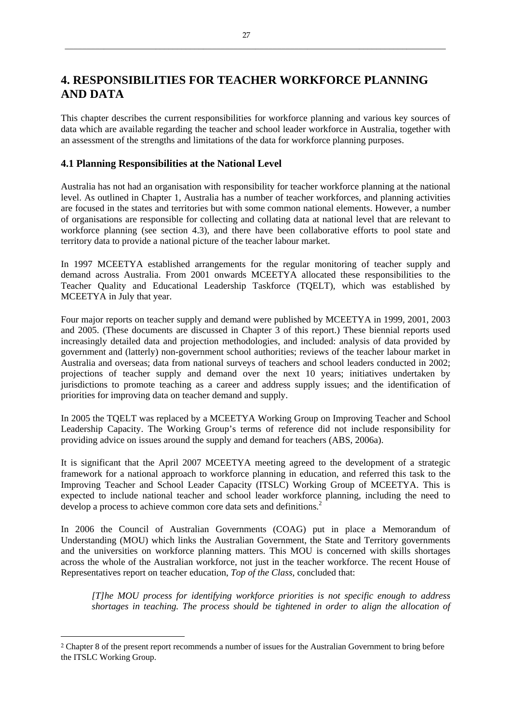# **4. RESPONSIBILITIES FOR TEACHER WORKFORCE PLANNING AND DATA**

This chapter describes the current responsibilities for workforce planning and various key sources of data which are available regarding the teacher and school leader workforce in Australia, together with an assessment of the strengths and limitations of the data for workforce planning purposes.

#### **4.1 Planning Responsibilities at the National Level**

Australia has not had an organisation with responsibility for teacher workforce planning at the national level. As outlined in Chapter 1, Australia has a number of teacher workforces, and planning activities are focused in the states and territories but with some common national elements. However, a number of organisations are responsible for collecting and collating data at national level that are relevant to workforce planning (see section 4.3), and there have been collaborative efforts to pool state and territory data to provide a national picture of the teacher labour market.

In 1997 MCEETYA established arrangements for the regular monitoring of teacher supply and demand across Australia. From 2001 onwards MCEETYA allocated these responsibilities to the Teacher Quality and Educational Leadership Taskforce (TQELT), which was established by MCEETYA in July that year.

Four major reports on teacher supply and demand were published by MCEETYA in 1999, 2001, 2003 and 2005. (These documents are discussed in Chapter 3 of this report.) These biennial reports used increasingly detailed data and projection methodologies, and included: analysis of data provided by government and (latterly) non-government school authorities; reviews of the teacher labour market in Australia and overseas; data from national surveys of teachers and school leaders conducted in 2002; projections of teacher supply and demand over the next 10 years; initiatives undertaken by jurisdictions to promote teaching as a career and address supply issues; and the identification of priorities for improving data on teacher demand and supply.

In 2005 the TQELT was replaced by a MCEETYA Working Group on Improving Teacher and School Leadership Capacity. The Working Group's terms of reference did not include responsibility for providing advice on issues around the supply and demand for teachers (ABS, 2006a).

It is significant that the April 2007 MCEETYA meeting agreed to the development of a strategic framework for a national approach to workforce planning in education, and referred this task to the Improving Teacher and School Leader Capacity (ITSLC) Working Group of MCEETYA. This is expected to include national teacher and school leader workforce planning, including the need to develop a process to achieve common core data sets and definitions.<sup>2</sup>

In 2006 the Council of Australian Governments (COAG) put in place a Memorandum of Understanding (MOU) which links the Australian Government, the State and Territory governments and the universities on workforce planning matters. This MOU is concerned with skills shortages across the whole of the Australian workforce, not just in the teacher workforce. The recent House of Representatives report on teacher education, *Top of the Class,* concluded that:

*[T]he MOU process for identifying workforce priorities is not specific enough to address shortages in teaching. The process should be tightened in order to align the allocation of* 

 $\overline{a}$ 

<sup>2</sup> Chapter 8 of the present report recommends a number of issues for the Australian Government to bring before the ITSLC Working Group.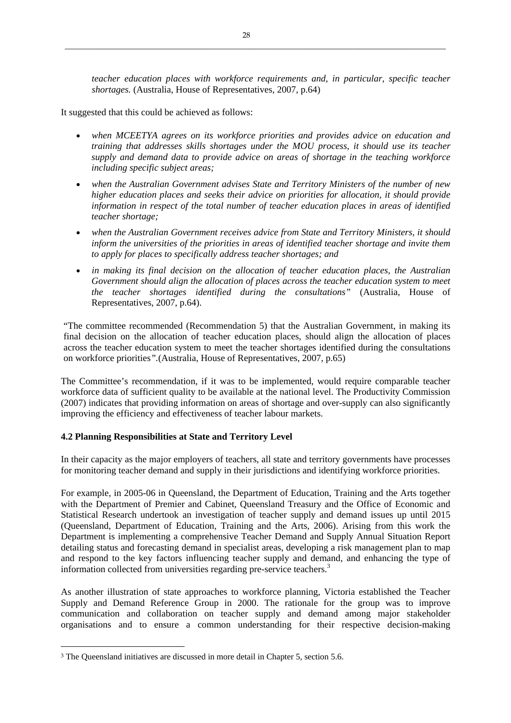*teacher education places with workforce requirements and, in particular, specific teacher shortages.* (Australia, House of Representatives, 2007, p.64)

It suggested that this could be achieved as follows:

- *when MCEETYA agrees on its workforce priorities and provides advice on education and training that addresses skills shortages under the MOU process, it should use its teacher supply and demand data to provide advice on areas of shortage in the teaching workforce including specific subject areas;*
- *when the Australian Government advises State and Territory Ministers of the number of new higher education places and seeks their advice on priorities for allocation, it should provide information in respect of the total number of teacher education places in areas of identified teacher shortage;*
- *when the Australian Government receives advice from State and Territory Ministers, it should inform the universities of the priorities in areas of identified teacher shortage and invite them to apply for places to specifically address teacher shortages; and*
- *in making its final decision on the allocation of teacher education places, the Australian Government should align the allocation of places across the teacher education system to meet the teacher shortages identified during the consultations"* (Australia, House of Representatives, 2007, p.64).

"The committee recommended (Recommendation 5) that the Australian Government, in making its final decision on the allocation of teacher education places, should align the allocation of places across the teacher education system to meet the teacher shortages identified during the consultations on workforce priorities*".*(Australia, House of Representatives, 2007, p.65)

The Committee's recommendation, if it was to be implemented, would require comparable teacher workforce data of sufficient quality to be available at the national level. The Productivity Commission (2007) indicates that providing information on areas of shortage and over-supply can also significantly improving the efficiency and effectiveness of teacher labour markets.

#### **4.2 Planning Responsibilities at State and Territory Level**

In their capacity as the major employers of teachers, all state and territory governments have processes for monitoring teacher demand and supply in their jurisdictions and identifying workforce priorities.

For example, in 2005-06 in Queensland, the Department of Education, Training and the Arts together with the Department of Premier and Cabinet, Queensland Treasury and the Office of Economic and Statistical Research undertook an investigation of teacher supply and demand issues up until 2015 (Queensland, Department of Education, Training and the Arts, 2006). Arising from this work the Department is implementing a comprehensive Teacher Demand and Supply Annual Situation Report detailing status and forecasting demand in specialist areas, developing a risk management plan to map and respond to the key factors influencing teacher supply and demand, and enhancing the type of information collected from universities regarding pre-service teachers.<sup>3</sup>

As another illustration of state approaches to workforce planning, Victoria established the Teacher Supply and Demand Reference Group in 2000. The rationale for the group was to improve communication and collaboration on teacher supply and demand among major stakeholder organisations and to ensure a common understanding for their respective decision-making

 $\ddot{\phantom{a}}$ 

<sup>3</sup> The Queensland initiatives are discussed in more detail in Chapter 5, section 5.6.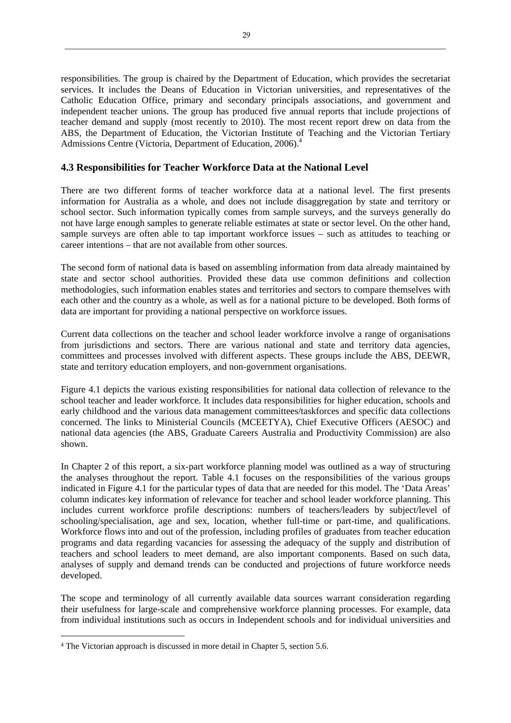responsibilities. The group is chaired by the Department of Education, which provides the secretariat services. It includes the Deans of Education in Victorian universities, and representatives of the Catholic Education Office, primary and secondary principals associations, and government and independent teacher unions. The group has produced five annual reports that include projections of teacher demand and supply (most recently to 2010). The most recent report drew on data from the ABS, the Department of Education, the Victorian Institute of Teaching and the Victorian Tertiary Admissions Centre (Victoria, Department of Education, 2006).<sup>4</sup>

#### **4.3 Responsibilities for Teacher Workforce Data at the National Level**

There are two different forms of teacher workforce data at a national level. The first presents information for Australia as a whole, and does not include disaggregation by state and territory or school sector. Such information typically comes from sample surveys, and the surveys generally do not have large enough samples to generate reliable estimates at state or sector level. On the other hand, sample surveys are often able to tap important workforce issues – such as attitudes to teaching or career intentions – that are not available from other sources.

The second form of national data is based on assembling information from data already maintained by state and sector school authorities. Provided these data use common definitions and collection methodologies, such information enables states and territories and sectors to compare themselves with each other and the country as a whole, as well as for a national picture to be developed. Both forms of data are important for providing a national perspective on workforce issues.

Current data collections on the teacher and school leader workforce involve a range of organisations from jurisdictions and sectors. There are various national and state and territory data agencies, committees and processes involved with different aspects. These groups include the ABS, DEEWR, state and territory education employers, and non-government organisations.

Figure 4.1 depicts the various existing responsibilities for national data collection of relevance to the school teacher and leader workforce. It includes data responsibilities for higher education, schools and early childhood and the various data management committees/taskforces and specific data collections concerned. The links to Ministerial Councils (MCEETYA), Chief Executive Officers (AESOC) and national data agencies (the ABS, Graduate Careers Australia and Productivity Commission) are also shown.

In Chapter 2 of this report, a six-part workforce planning model was outlined as a way of structuring the analyses throughout the report. Table 4.1 focuses on the responsibilities of the various groups indicated in Figure 4.1 for the particular types of data that are needed for this model. The 'Data Areas' column indicates key information of relevance for teacher and school leader workforce planning. This includes current workforce profile descriptions: numbers of teachers/leaders by subject/level of schooling/specialisation, age and sex, location, whether full-time or part-time, and qualifications. Workforce flows into and out of the profession, including profiles of graduates from teacher education programs and data regarding vacancies for assessing the adequacy of the supply and distribution of teachers and school leaders to meet demand, are also important components. Based on such data, analyses of supply and demand trends can be conducted and projections of future workforce needs developed.

The scope and terminology of all currently available data sources warrant consideration regarding their usefulness for large-scale and comprehensive workforce planning processes. For example, data from individual institutions such as occurs in Independent schools and for individual universities and

 $\overline{a}$ 

<sup>4</sup> The Victorian approach is discussed in more detail in Chapter 5, section 5.6.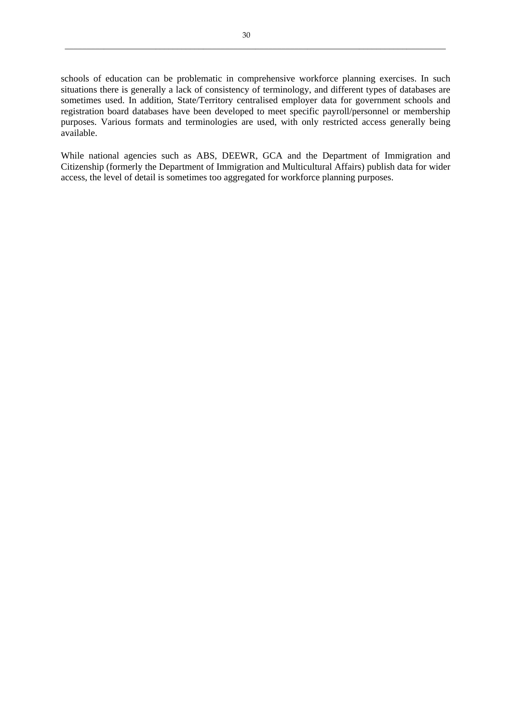schools of education can be problematic in comprehensive workforce planning exercises. In such situations there is generally a lack of consistency of terminology, and different types of databases are sometimes used. In addition, State/Territory centralised employer data for government schools and registration board databases have been developed to meet specific payroll/personnel or membership purposes. Various formats and terminologies are used, with only restricted access generally being available.

While national agencies such as ABS, DEEWR, GCA and the Department of Immigration and Citizenship (formerly the Department of Immigration and Multicultural Affairs) publish data for wider access, the level of detail is sometimes too aggregated for workforce planning purposes.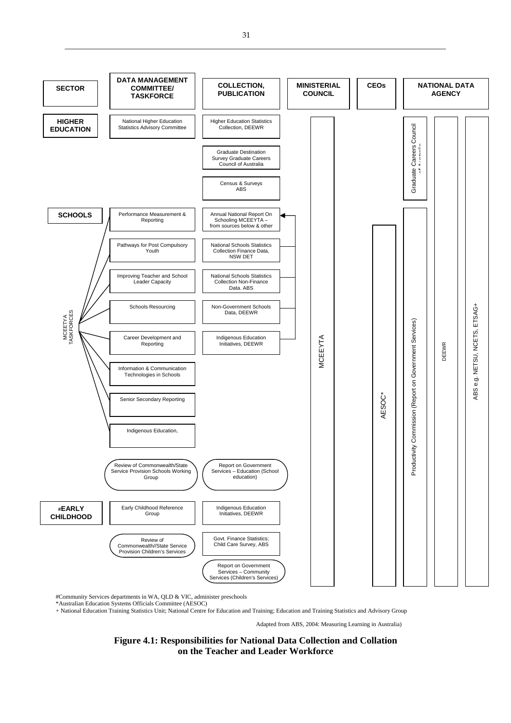

#Community Services departments in WA, QLD & VIC, administer preschools

\*Australian Education Systems Officials Committee (AESOC)

+ National Education Training Statistics Unit; National Centre for Education and Training; Education and Training Statistics and Advisory Group

Adapted from ABS, 2004: Measuring Learning in Australia)

**Figure 4.1: Responsibilities for National Data Collection and Collation on the Teacher and Leader Workforce**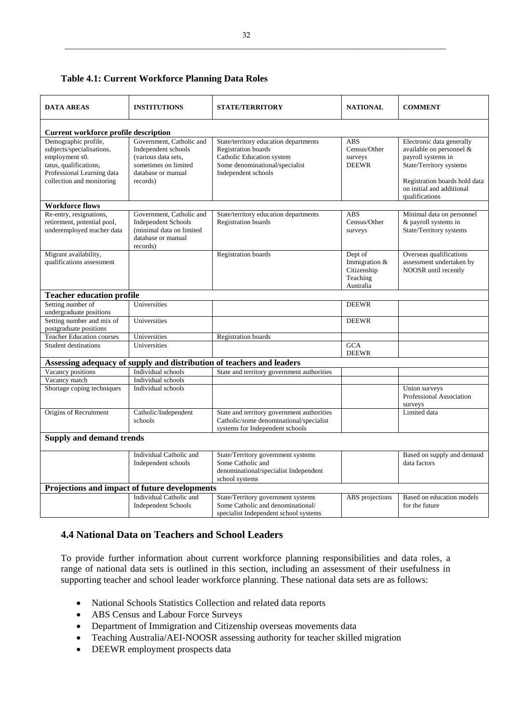| Table 4.1: Current Workforce Planning Data Roles |  |  |  |  |
|--------------------------------------------------|--|--|--|--|
|--------------------------------------------------|--|--|--|--|

| <b>DATA AREAS</b>                                                                                                                                        | <b>INSTITUTIONS</b>                                                                                                              | <b>STATE/TERRITORY</b>                                                                                                                             | <b>NATIONAL</b>                                                  | <b>COMMENT</b>                                                                                                                                                                         |
|----------------------------------------------------------------------------------------------------------------------------------------------------------|----------------------------------------------------------------------------------------------------------------------------------|----------------------------------------------------------------------------------------------------------------------------------------------------|------------------------------------------------------------------|----------------------------------------------------------------------------------------------------------------------------------------------------------------------------------------|
| <b>Current workforce profile description</b>                                                                                                             |                                                                                                                                  |                                                                                                                                                    |                                                                  |                                                                                                                                                                                        |
| Demographic profile,<br>subjects/specialisations,<br>employment s0.<br>tatus, qualifications,<br>Professional Learning data<br>collection and monitoring | Government, Catholic and<br>Independent schools<br>(various data sets,<br>sometimes on limited<br>database or manual<br>records) | State/territory education departments<br>Registration boards<br>Catholic Education system<br>Some denominational/specialist<br>Independent schools | <b>ABS</b><br>Census/Other<br>surveys<br><b>DEEWR</b>            | Electronic data generally<br>available on personnel &<br>payroll systems in<br>State/Territory systems<br>Registration boards hold data<br>on initial and additional<br>qualifications |
| <b>Workforce flows</b>                                                                                                                                   |                                                                                                                                  |                                                                                                                                                    |                                                                  |                                                                                                                                                                                        |
| Re-entry, resignations,<br>retirement, potential pool,<br>underemployed teacher data                                                                     | Government, Catholic and<br><b>Independent Schools</b><br>(minimal data on limited<br>database or manual<br>records)             | State/territory education departments<br><b>Registration boards</b>                                                                                | <b>ABS</b><br>Census/Other<br>surveys                            | Minimal data on personnel<br>& payroll systems in<br>State/Territory systems                                                                                                           |
| Migrant availability,<br>qualifications assessment                                                                                                       |                                                                                                                                  | <b>Registration boards</b>                                                                                                                         | Dept of<br>Immigration &<br>Citizenship<br>Teaching<br>Australia | Overseas qualifications<br>assessment undertaken by<br>NOOSR until recently                                                                                                            |
| <b>Teacher education profile</b>                                                                                                                         |                                                                                                                                  |                                                                                                                                                    |                                                                  |                                                                                                                                                                                        |
| Setting number of                                                                                                                                        | Universities                                                                                                                     |                                                                                                                                                    | <b>DEEWR</b>                                                     |                                                                                                                                                                                        |
| undergraduate positions<br>Setting number and mix of<br>postgraduate positions                                                                           | Universities                                                                                                                     |                                                                                                                                                    | <b>DEEWR</b>                                                     |                                                                                                                                                                                        |
| <b>Teacher Education courses</b>                                                                                                                         | Universities                                                                                                                     | <b>Registration boards</b>                                                                                                                         |                                                                  |                                                                                                                                                                                        |
| Student destinations                                                                                                                                     | Universities                                                                                                                     |                                                                                                                                                    | <b>GCA</b><br><b>DEEWR</b>                                       |                                                                                                                                                                                        |
|                                                                                                                                                          |                                                                                                                                  | Assessing adequacy of supply and distribution of teachers and leaders                                                                              |                                                                  |                                                                                                                                                                                        |
| Vacancy positions                                                                                                                                        | Individual schools                                                                                                               | State and territory government authorities                                                                                                         |                                                                  |                                                                                                                                                                                        |
| Vacancy match                                                                                                                                            | Individual schools                                                                                                               |                                                                                                                                                    |                                                                  |                                                                                                                                                                                        |
| Shortage coping techniques                                                                                                                               | Individual schools                                                                                                               |                                                                                                                                                    |                                                                  | Union surveys<br>Professional Association<br>surveys                                                                                                                                   |
| Origins of Recruitment                                                                                                                                   | Catholic/Independent<br>schools                                                                                                  | State and territory government authorities<br>Catholic/some denominational/specialist<br>systems for Independent schools                           |                                                                  | Limited data                                                                                                                                                                           |
| <b>Supply and demand trends</b>                                                                                                                          |                                                                                                                                  |                                                                                                                                                    |                                                                  |                                                                                                                                                                                        |
|                                                                                                                                                          | Individual Catholic and<br>Independent schools                                                                                   | State/Territory government systems<br>Some Catholic and<br>denominational/specialist Independent<br>school systems                                 |                                                                  | Based on supply and demand<br>data factors                                                                                                                                             |
| Projections and impact of future developments                                                                                                            |                                                                                                                                  |                                                                                                                                                    |                                                                  |                                                                                                                                                                                        |
|                                                                                                                                                          | Individual Catholic and<br><b>Independent Schools</b>                                                                            | State/Territory government systems<br>Some Catholic and denominational/<br>specialist Independent school systems                                   | ABS projections                                                  | Based on education models<br>for the future                                                                                                                                            |

### **4.4 National Data on Teachers and School Leaders**

To provide further information about current workforce planning responsibilities and data roles, a range of national data sets is outlined in this section, including an assessment of their usefulness in supporting teacher and school leader workforce planning. These national data sets are as follows:

- National Schools Statistics Collection and related data reports
- ABS Census and Labour Force Surveys
- Department of Immigration and Citizenship overseas movements data
- Teaching Australia/AEI-NOOSR assessing authority for teacher skilled migration
- DEEWR employment prospects data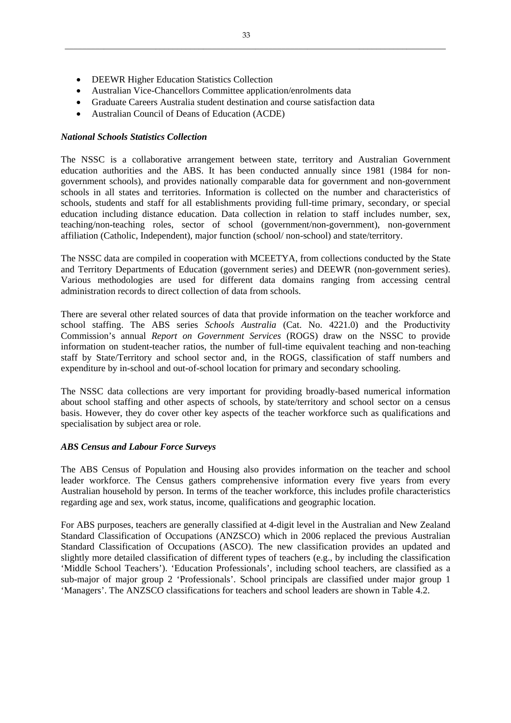- DEEWR Higher Education Statistics Collection
- Australian Vice-Chancellors Committee application/enrolments data
- Graduate Careers Australia student destination and course satisfaction data
- Australian Council of Deans of Education (ACDE)

#### *National Schools Statistics Collection*

The NSSC is a collaborative arrangement between state, territory and Australian Government education authorities and the ABS. It has been conducted annually since 1981 (1984 for nongovernment schools), and provides nationally comparable data for government and non-government schools in all states and territories. Information is collected on the number and characteristics of schools, students and staff for all establishments providing full-time primary, secondary, or special education including distance education. Data collection in relation to staff includes number, sex, teaching/non-teaching roles, sector of school (government/non-government), non-government affiliation (Catholic, Independent), major function (school/ non-school) and state/territory.

The NSSC data are compiled in cooperation with MCEETYA, from collections conducted by the State and Territory Departments of Education (government series) and DEEWR (non-government series). Various methodologies are used for different data domains ranging from accessing central administration records to direct collection of data from schools.

There are several other related sources of data that provide information on the teacher workforce and school staffing. The ABS series *Schools Australia* (Cat. No. 4221.0) and the Productivity Commission's annual *Report on Government Services* (ROGS) draw on the NSSC to provide information on student-teacher ratios, the number of full-time equivalent teaching and non-teaching staff by State/Territory and school sector and, in the ROGS, classification of staff numbers and expenditure by in-school and out-of-school location for primary and secondary schooling.

The NSSC data collections are very important for providing broadly-based numerical information about school staffing and other aspects of schools, by state/territory and school sector on a census basis. However, they do cover other key aspects of the teacher workforce such as qualifications and specialisation by subject area or role.

#### *ABS Census and Labour Force Surveys*

The ABS Census of Population and Housing also provides information on the teacher and school leader workforce. The Census gathers comprehensive information every five years from every Australian household by person. In terms of the teacher workforce, this includes profile characteristics regarding age and sex, work status, income, qualifications and geographic location.

For ABS purposes, teachers are generally classified at 4-digit level in the Australian and New Zealand Standard Classification of Occupations (ANZSCO) which in 2006 replaced the previous Australian Standard Classification of Occupations (ASCO). The new classification provides an updated and slightly more detailed classification of different types of teachers (e.g., by including the classification 'Middle School Teachers'). 'Education Professionals', including school teachers, are classified as a sub-major of major group 2 'Professionals'. School principals are classified under major group 1 'Managers'. The ANZSCO classifications for teachers and school leaders are shown in Table 4.2.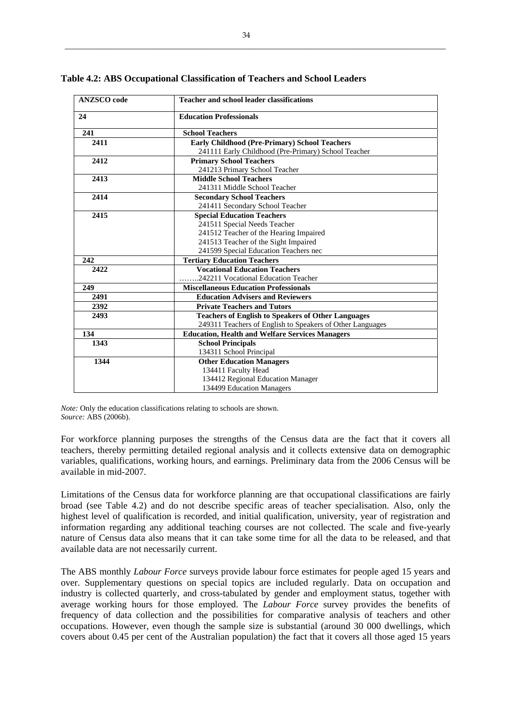| <b>ANZSCO</b> code                       | <b>Teacher and school leader classifications</b>          |  |  |
|------------------------------------------|-----------------------------------------------------------|--|--|
| 24                                       | <b>Education Professionals</b>                            |  |  |
| 241                                      | <b>School Teachers</b>                                    |  |  |
| 2411                                     | <b>Early Childhood (Pre-Primary) School Teachers</b>      |  |  |
|                                          | 241111 Early Childhood (Pre-Primary) School Teacher       |  |  |
| 2412                                     | <b>Primary School Teachers</b>                            |  |  |
|                                          | 241213 Primary School Teacher                             |  |  |
| 2413                                     | <b>Middle School Teachers</b>                             |  |  |
|                                          | 241311 Middle School Teacher                              |  |  |
| 2414<br><b>Secondary School Teachers</b> |                                                           |  |  |
|                                          | 241411 Secondary School Teacher                           |  |  |
| 2415                                     | <b>Special Education Teachers</b>                         |  |  |
|                                          | 241511 Special Needs Teacher                              |  |  |
|                                          | 241512 Teacher of the Hearing Impaired                    |  |  |
|                                          | 241513 Teacher of the Sight Impaired                      |  |  |
|                                          | 241599 Special Education Teachers nec                     |  |  |
| 242                                      | <b>Tertiary Education Teachers</b>                        |  |  |
| 2422                                     | <b>Vocational Education Teachers</b>                      |  |  |
|                                          | .242211 Vocational Education Teacher                      |  |  |
| 249                                      | <b>Miscellaneous Education Professionals</b>              |  |  |
| 2491                                     | <b>Education Advisers and Reviewers</b>                   |  |  |
| 2392                                     | <b>Private Teachers and Tutors</b>                        |  |  |
| 2493                                     | <b>Teachers of English to Speakers of Other Languages</b> |  |  |
|                                          | 249311 Teachers of English to Speakers of Other Languages |  |  |
| 134                                      | <b>Education, Health and Welfare Services Managers</b>    |  |  |
| 1343                                     | <b>School Principals</b>                                  |  |  |
|                                          | 134311 School Principal                                   |  |  |
| 1344                                     | <b>Other Education Managers</b>                           |  |  |
|                                          | 134411 Faculty Head                                       |  |  |
|                                          | 134412 Regional Education Manager                         |  |  |
|                                          | 134499 Education Managers                                 |  |  |

#### **Table 4.2: ABS Occupational Classification of Teachers and School Leaders**

*Note:* Only the education classifications relating to schools are shown. *Source:* ABS (2006b).

For workforce planning purposes the strengths of the Census data are the fact that it covers all teachers, thereby permitting detailed regional analysis and it collects extensive data on demographic variables, qualifications, working hours, and earnings. Preliminary data from the 2006 Census will be available in mid-2007.

Limitations of the Census data for workforce planning are that occupational classifications are fairly broad (see Table 4.2) and do not describe specific areas of teacher specialisation. Also, only the highest level of qualification is recorded, and initial qualification, university, year of registration and information regarding any additional teaching courses are not collected. The scale and five-yearly nature of Census data also means that it can take some time for all the data to be released, and that available data are not necessarily current.

The ABS monthly *Labour Force* surveys provide labour force estimates for people aged 15 years and over. Supplementary questions on special topics are included regularly. Data on occupation and industry is collected quarterly, and cross-tabulated by gender and employment status, together with average working hours for those employed. The *Labour Force* survey provides the benefits of frequency of data collection and the possibilities for comparative analysis of teachers and other occupations. However, even though the sample size is substantial (around 30 000 dwellings, which covers about 0.45 per cent of the Australian population) the fact that it covers all those aged 15 years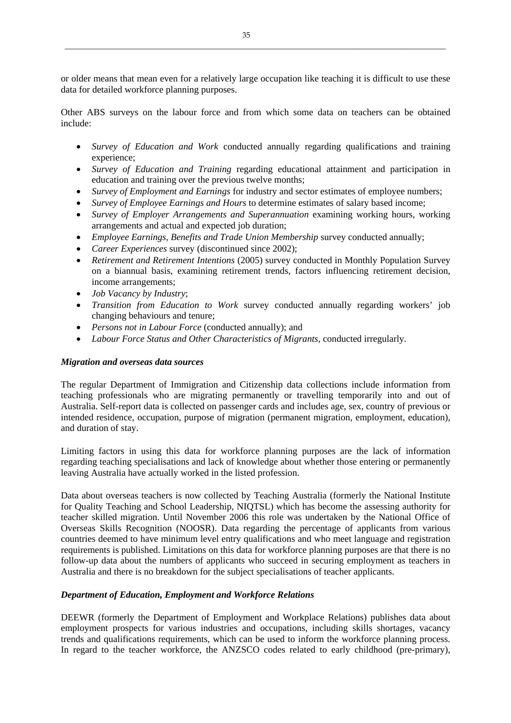or older means that mean even for a relatively large occupation like teaching it is difficult to use these data for detailed workforce planning purposes.

\_\_\_\_\_\_\_\_\_\_\_\_\_\_\_\_\_\_\_\_\_\_\_\_\_\_\_\_\_\_\_\_\_\_\_\_\_\_\_\_\_\_\_\_\_\_\_\_\_\_\_\_\_\_\_\_\_\_\_\_\_\_\_\_\_\_\_\_\_\_\_\_\_\_\_\_\_\_\_\_\_\_\_\_\_\_\_\_

Other ABS surveys on the labour force and from which some data on teachers can be obtained include:

- *Survey of Education and Work* conducted annually regarding qualifications and training experience;
- *Survey of Education and Training* regarding educational attainment and participation in education and training over the previous twelve months;
- *Survey of Employment and Earnings* for industry and sector estimates of employee numbers;
- *Survey of Employee Earnings and Hours* to determine estimates of salary based income;
- *Survey of Employer Arrangements and Superannuation* examining working hours, working arrangements and actual and expected job duration;
- *Employee Earnings, Benefits and Trade Union Membership* survey conducted annually;
- *Career Experiences* survey (discontinued since 2002);
- *Retirement and Retirement Intentions* (2005) survey conducted in Monthly Population Survey on a biannual basis, examining retirement trends, factors influencing retirement decision, income arrangements;
- *Job Vacancy by Industry*;
- *Transition from Education to Work* survey conducted annually regarding workers' job changing behaviours and tenure;
- *Persons not in Labour Force* (conducted annually); and
- *Labour Force Status and Other Characteristics of Migrants*, conducted irregularly.

### *Migration and overseas data sources*

The regular Department of Immigration and Citizenship data collections include information from teaching professionals who are migrating permanently or travelling temporarily into and out of Australia. Self-report data is collected on passenger cards and includes age, sex, country of previous or intended residence, occupation, purpose of migration (permanent migration, employment, education), and duration of stay.

Limiting factors in using this data for workforce planning purposes are the lack of information regarding teaching specialisations and lack of knowledge about whether those entering or permanently leaving Australia have actually worked in the listed profession.

Data about overseas teachers is now collected by Teaching Australia (formerly the National Institute for Quality Teaching and School Leadership, NIQTSL) which has become the assessing authority for teacher skilled migration. Until November 2006 this role was undertaken by the National Office of Overseas Skills Recognition (NOOSR). Data regarding the percentage of applicants from various countries deemed to have minimum level entry qualifications and who meet language and registration requirements is published. Limitations on this data for workforce planning purposes are that there is no follow-up data about the numbers of applicants who succeed in securing employment as teachers in Australia and there is no breakdown for the subject specialisations of teacher applicants.

# *Department of Education, Employment and Workforce Relations*

DEEWR (formerly the Department of Employment and Workplace Relations) publishes data about employment prospects for various industries and occupations, including skills shortages, vacancy trends and qualifications requirements, which can be used to inform the workforce planning process. In regard to the teacher workforce, the ANZSCO codes related to early childhood (pre-primary),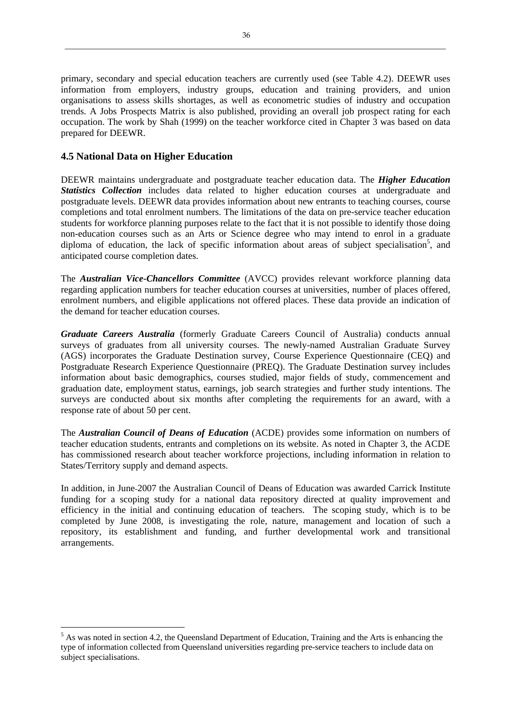primary, secondary and special education teachers are currently used (see Table 4.2). DEEWR uses information from employers, industry groups, education and training providers, and union organisations to assess skills shortages, as well as econometric studies of industry and occupation trends. A Jobs Prospects Matrix is also published, providing an overall job prospect rating for each occupation. The work by Shah (1999) on the teacher workforce cited in Chapter 3 was based on data prepared for DEEWR.

# **4.5 National Data on Higher Education**

 $\ddot{\phantom{a}}$ 

DEEWR maintains undergraduate and postgraduate teacher education data. The *Higher Education*  **Statistics Collection** includes data related to higher education courses at undergraduate and postgraduate levels. DEEWR data provides information about new entrants to teaching courses, course completions and total enrolment numbers. The limitations of the data on pre-service teacher education students for workforce planning purposes relate to the fact that it is not possible to identify those doing non-education courses such as an Arts or Science degree who may intend to enrol in a graduate diploma of education, the lack of specific information about areas of subject specialisation<sup>5</sup>, and anticipated course completion dates.

The *Australian Vice-Chancellors Committee* (AVCC) provides relevant workforce planning data regarding application numbers for teacher education courses at universities, number of places offered, enrolment numbers, and eligible applications not offered places. These data provide an indication of the demand for teacher education courses.

*Graduate Careers Australia* (formerly Graduate Careers Council of Australia) conducts annual surveys of graduates from all university courses. The newly-named Australian Graduate Survey (AGS) incorporates the Graduate Destination survey, Course Experience Questionnaire (CEQ) and Postgraduate Research Experience Questionnaire (PREQ). The Graduate Destination survey includes information about basic demographics, courses studied, major fields of study, commencement and graduation date, employment status, earnings, job search strategies and further study intentions. The surveys are conducted about six months after completing the requirements for an award, with a response rate of about 50 per cent.

The *Australian Council of Deans of Education* (ACDE) provides some information on numbers of teacher education students, entrants and completions on its website. As noted in Chapter 3, the ACDE has commissioned research about teacher workforce projections, including information in relation to States/Territory supply and demand aspects.

In addition, in June 2007 the Australian Council of Deans of Education was awarded Carrick Institute funding for a scoping study for a national data repository directed at quality improvement and efficiency in the initial and continuing education of teachers. The scoping study, which is to be completed by June 2008, is investigating the role, nature, management and location of such a repository, its establishment and funding, and further developmental work and transitional arrangements.

<sup>&</sup>lt;sup>5</sup> As was noted in section 4.2, the Queensland Department of Education, Training and the Arts is enhancing the type of information collected from Queensland universities regarding pre-service teachers to include data on subject specialisations.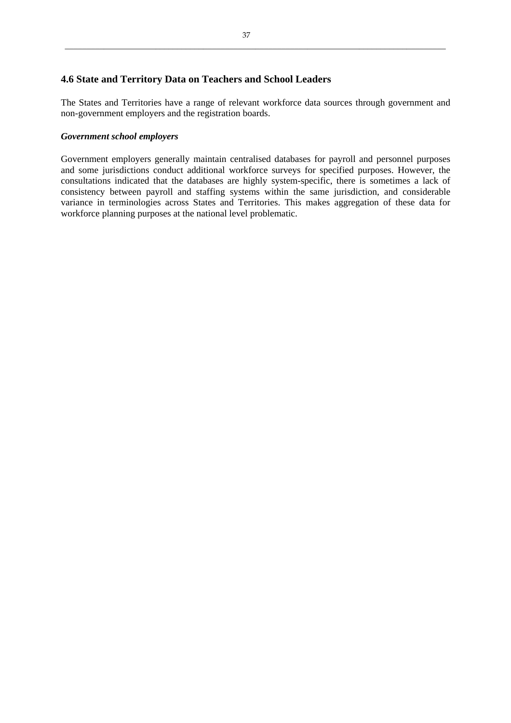\_\_\_\_\_\_\_\_\_\_\_\_\_\_\_\_\_\_\_\_\_\_\_\_\_\_\_\_\_\_\_\_\_\_\_\_\_\_\_\_\_\_\_\_\_\_\_\_\_\_\_\_\_\_\_\_\_\_\_\_\_\_\_\_\_\_\_\_\_\_\_\_\_\_\_\_\_\_\_\_\_\_\_\_\_\_\_\_

# **4.6 State and Territory Data on Teachers and School Leaders**

The States and Territories have a range of relevant workforce data sources through government and non-government employers and the registration boards.

#### *Government school employers*

Government employers generally maintain centralised databases for payroll and personnel purposes and some jurisdictions conduct additional workforce surveys for specified purposes. However, the consultations indicated that the databases are highly system-specific, there is sometimes a lack of consistency between payroll and staffing systems within the same jurisdiction, and considerable variance in terminologies across States and Territories. This makes aggregation of these data for workforce planning purposes at the national level problematic.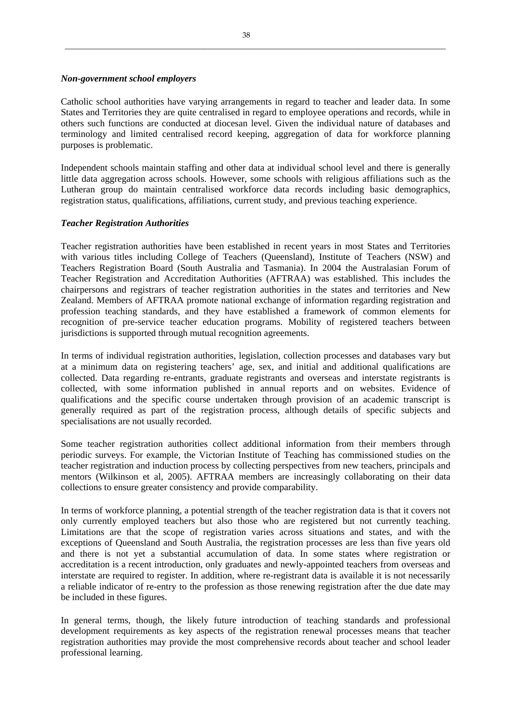#### *Non-government school employers*

Catholic school authorities have varying arrangements in regard to teacher and leader data. In some States and Territories they are quite centralised in regard to employee operations and records, while in others such functions are conducted at diocesan level. Given the individual nature of databases and terminology and limited centralised record keeping, aggregation of data for workforce planning purposes is problematic.

Independent schools maintain staffing and other data at individual school level and there is generally little data aggregation across schools. However, some schools with religious affiliations such as the Lutheran group do maintain centralised workforce data records including basic demographics, registration status, qualifications, affiliations, current study, and previous teaching experience.

#### *Teacher Registration Authorities*

Teacher registration authorities have been established in recent years in most States and Territories with various titles including College of Teachers (Queensland), Institute of Teachers (NSW) and Teachers Registration Board (South Australia and Tasmania). In 2004 the Australasian Forum of Teacher Registration and Accreditation Authorities (AFTRAA) was established. This includes the chairpersons and registrars of teacher registration authorities in the states and territories and New Zealand. Members of AFTRAA promote national exchange of information regarding registration and profession teaching standards, and they have established a framework of common elements for recognition of pre-service teacher education programs. Mobility of registered teachers between jurisdictions is supported through mutual recognition agreements.

In terms of individual registration authorities, legislation, collection processes and databases vary but at a minimum data on registering teachers' age, sex, and initial and additional qualifications are collected. Data regarding re-entrants, graduate registrants and overseas and interstate registrants is collected, with some information published in annual reports and on websites. Evidence of qualifications and the specific course undertaken through provision of an academic transcript is generally required as part of the registration process, although details of specific subjects and specialisations are not usually recorded.

Some teacher registration authorities collect additional information from their members through periodic surveys. For example, the Victorian Institute of Teaching has commissioned studies on the teacher registration and induction process by collecting perspectives from new teachers, principals and mentors (Wilkinson et al, 2005). AFTRAA members are increasingly collaborating on their data collections to ensure greater consistency and provide comparability.

In terms of workforce planning, a potential strength of the teacher registration data is that it covers not only currently employed teachers but also those who are registered but not currently teaching. Limitations are that the scope of registration varies across situations and states, and with the exceptions of Queensland and South Australia, the registration processes are less than five years old and there is not yet a substantial accumulation of data. In some states where registration or accreditation is a recent introduction, only graduates and newly-appointed teachers from overseas and interstate are required to register. In addition, where re-registrant data is available it is not necessarily a reliable indicator of re-entry to the profession as those renewing registration after the due date may be included in these figures.

In general terms, though, the likely future introduction of teaching standards and professional development requirements as key aspects of the registration renewal processes means that teacher registration authorities may provide the most comprehensive records about teacher and school leader professional learning.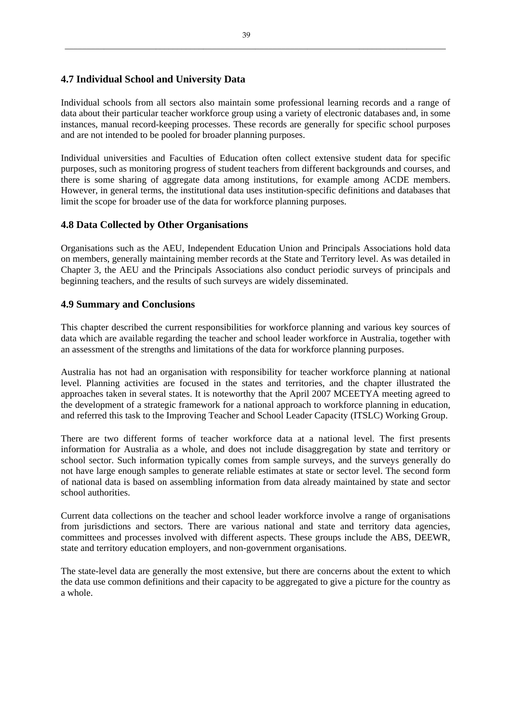# **4.7 Individual School and University Data**

Individual schools from all sectors also maintain some professional learning records and a range of data about their particular teacher workforce group using a variety of electronic databases and, in some instances, manual record-keeping processes. These records are generally for specific school purposes and are not intended to be pooled for broader planning purposes.

Individual universities and Faculties of Education often collect extensive student data for specific purposes, such as monitoring progress of student teachers from different backgrounds and courses, and there is some sharing of aggregate data among institutions, for example among ACDE members. However, in general terms, the institutional data uses institution-specific definitions and databases that limit the scope for broader use of the data for workforce planning purposes.

# **4.8 Data Collected by Other Organisations**

Organisations such as the AEU, Independent Education Union and Principals Associations hold data on members, generally maintaining member records at the State and Territory level. As was detailed in Chapter 3, the AEU and the Principals Associations also conduct periodic surveys of principals and beginning teachers, and the results of such surveys are widely disseminated.

# **4.9 Summary and Conclusions**

This chapter described the current responsibilities for workforce planning and various key sources of data which are available regarding the teacher and school leader workforce in Australia, together with an assessment of the strengths and limitations of the data for workforce planning purposes.

Australia has not had an organisation with responsibility for teacher workforce planning at national level. Planning activities are focused in the states and territories, and the chapter illustrated the approaches taken in several states. It is noteworthy that the April 2007 MCEETYA meeting agreed to the development of a strategic framework for a national approach to workforce planning in education, and referred this task to the Improving Teacher and School Leader Capacity (ITSLC) Working Group.

There are two different forms of teacher workforce data at a national level. The first presents information for Australia as a whole, and does not include disaggregation by state and territory or school sector. Such information typically comes from sample surveys, and the surveys generally do not have large enough samples to generate reliable estimates at state or sector level. The second form of national data is based on assembling information from data already maintained by state and sector school authorities.

Current data collections on the teacher and school leader workforce involve a range of organisations from jurisdictions and sectors. There are various national and state and territory data agencies, committees and processes involved with different aspects. These groups include the ABS, DEEWR, state and territory education employers, and non-government organisations.

The state-level data are generally the most extensive, but there are concerns about the extent to which the data use common definitions and their capacity to be aggregated to give a picture for the country as a whole.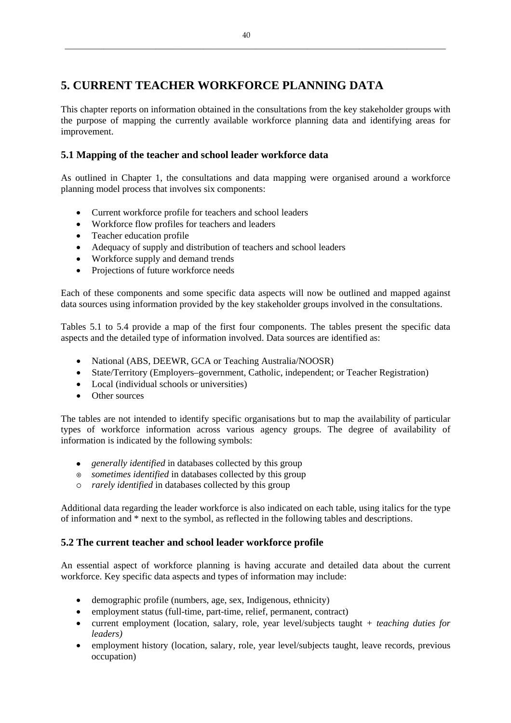# **5. CURRENT TEACHER WORKFORCE PLANNING DATA**

This chapter reports on information obtained in the consultations from the key stakeholder groups with the purpose of mapping the currently available workforce planning data and identifying areas for improvement.

# **5.1 Mapping of the teacher and school leader workforce data**

As outlined in Chapter 1, the consultations and data mapping were organised around a workforce planning model process that involves six components:

- Current workforce profile for teachers and school leaders
- Workforce flow profiles for teachers and leaders
- Teacher education profile
- Adequacy of supply and distribution of teachers and school leaders
- Workforce supply and demand trends
- Projections of future workforce needs

Each of these components and some specific data aspects will now be outlined and mapped against data sources using information provided by the key stakeholder groups involved in the consultations.

Tables 5.1 to 5.4 provide a map of the first four components. The tables present the specific data aspects and the detailed type of information involved. Data sources are identified as:

- National (ABS, DEEWR, GCA or Teaching Australia/NOOSR)
- State/Territory (Employers–government, Catholic, independent; or Teacher Registration)
- Local (individual schools or universities)
- Other sources

The tables are not intended to identify specific organisations but to map the availability of particular types of workforce information across various agency groups. The degree of availability of information is indicated by the following symbols:

- *generally identified* in databases collected by this group
- <sup>~</sup> *sometimes identified* in databases collected by this group
- { *rarely identified* in databases collected by this group

Additional data regarding the leader workforce is also indicated on each table, using italics for the type of information and \* next to the symbol, as reflected in the following tables and descriptions.

# **5.2 The current teacher and school leader workforce profile**

An essential aspect of workforce planning is having accurate and detailed data about the current workforce. Key specific data aspects and types of information may include:

- demographic profile (numbers, age, sex, Indigenous, ethnicity)
- employment status (full-time, part-time, relief, permanent, contract)
- current employment (location, salary, role, year level/subjects taught *+ teaching duties for leaders)*
- employment history (location, salary, role, year level/subjects taught, leave records, previous occupation)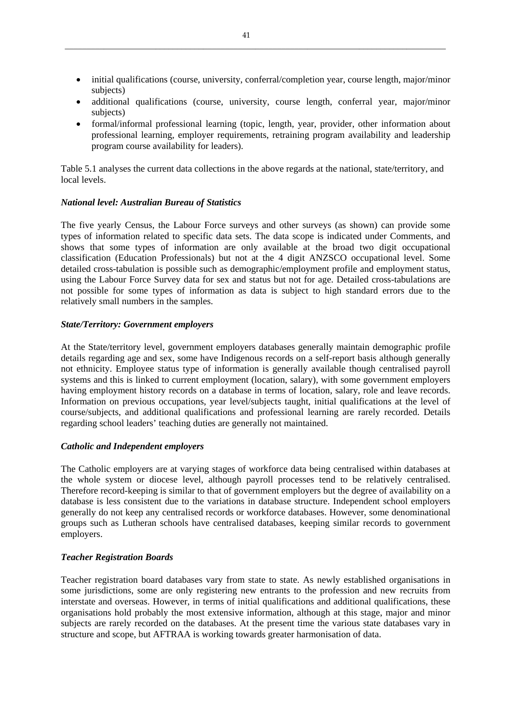- initial qualifications (course, university, conferral/completion year, course length, major/minor subjects)
- additional qualifications (course, university, course length, conferral year, major/minor subjects)
- formal/informal professional learning (topic, length, year, provider, other information about professional learning, employer requirements, retraining program availability and leadership program course availability for leaders).

Table 5.1 analyses the current data collections in the above regards at the national, state/territory, and local levels.

#### *National level: Australian Bureau of Statistics*

The five yearly Census, the Labour Force surveys and other surveys (as shown) can provide some types of information related to specific data sets. The data scope is indicated under Comments, and shows that some types of information are only available at the broad two digit occupational classification (Education Professionals) but not at the 4 digit ANZSCO occupational level. Some detailed cross-tabulation is possible such as demographic/employment profile and employment status, using the Labour Force Survey data for sex and status but not for age. Detailed cross-tabulations are not possible for some types of information as data is subject to high standard errors due to the relatively small numbers in the samples.

#### *State/Territory: Government employers*

At the State/territory level, government employers databases generally maintain demographic profile details regarding age and sex, some have Indigenous records on a self-report basis although generally not ethnicity. Employee status type of information is generally available though centralised payroll systems and this is linked to current employment (location, salary), with some government employers having employment history records on a database in terms of location, salary, role and leave records. Information on previous occupations, year level/subjects taught, initial qualifications at the level of course/subjects, and additional qualifications and professional learning are rarely recorded. Details regarding school leaders' teaching duties are generally not maintained.

#### *Catholic and Independent employers*

The Catholic employers are at varying stages of workforce data being centralised within databases at the whole system or diocese level, although payroll processes tend to be relatively centralised. Therefore record-keeping is similar to that of government employers but the degree of availability on a database is less consistent due to the variations in database structure. Independent school employers generally do not keep any centralised records or workforce databases. However, some denominational groups such as Lutheran schools have centralised databases, keeping similar records to government employers.

# *Teacher Registration Boards*

Teacher registration board databases vary from state to state. As newly established organisations in some jurisdictions, some are only registering new entrants to the profession and new recruits from interstate and overseas. However, in terms of initial qualifications and additional qualifications, these organisations hold probably the most extensive information, although at this stage, major and minor subjects are rarely recorded on the databases. At the present time the various state databases vary in structure and scope, but AFTRAA is working towards greater harmonisation of data.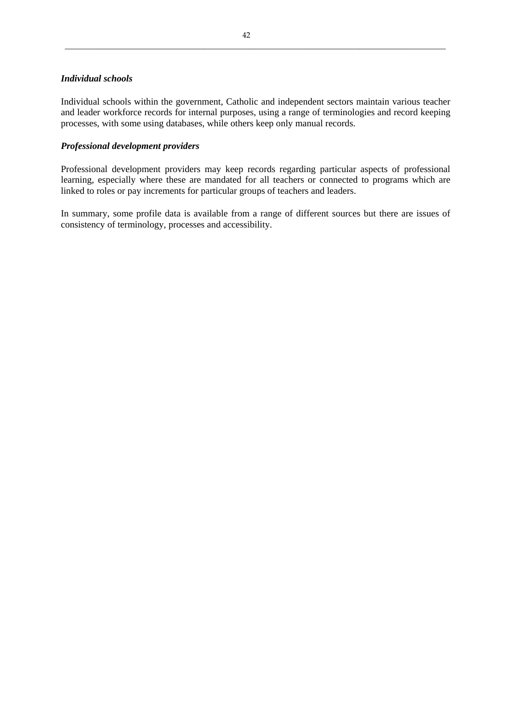### *Individual schools*

Individual schools within the government, Catholic and independent sectors maintain various teacher and leader workforce records for internal purposes, using a range of terminologies and record keeping processes, with some using databases, while others keep only manual records.

# *Professional development providers*

Professional development providers may keep records regarding particular aspects of professional learning, especially where these are mandated for all teachers or connected to programs which are linked to roles or pay increments for particular groups of teachers and leaders.

In summary, some profile data is available from a range of different sources but there are issues of consistency of terminology, processes and accessibility.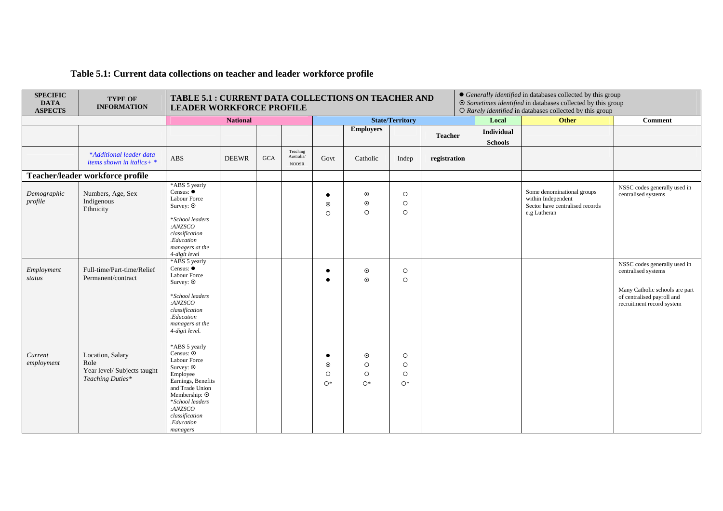# **Table 5.1: Current data collections on teacher and leader workforce profile**

| <b>SPECIFIC</b><br><b>DATA</b><br><b>ASPECTS</b> | <b>TYPE OF</b><br><b>INFORMATION</b>                                        |                                                                                                                                                                                                                     | <b>TABLE 5.1 : CURRENT DATA COLLECTIONS ON TEACHER AND</b><br><b>LEADER WORKFORCE PROFILE</b> |     |                                        |                            |                                       |                                       |                |                              | • Generally identified in databases collected by this group<br>Sometimes identified in databases collected by this group<br>O Rarely identified in databases collected by this group |                                                                                                                                                  |  |
|--------------------------------------------------|-----------------------------------------------------------------------------|---------------------------------------------------------------------------------------------------------------------------------------------------------------------------------------------------------------------|-----------------------------------------------------------------------------------------------|-----|----------------------------------------|----------------------------|---------------------------------------|---------------------------------------|----------------|------------------------------|--------------------------------------------------------------------------------------------------------------------------------------------------------------------------------------|--------------------------------------------------------------------------------------------------------------------------------------------------|--|
|                                                  |                                                                             |                                                                                                                                                                                                                     | <b>National</b>                                                                               |     |                                        |                            |                                       | <b>State/Territory</b>                |                | Local                        | <b>Other</b>                                                                                                                                                                         | <b>Comment</b>                                                                                                                                   |  |
|                                                  |                                                                             |                                                                                                                                                                                                                     |                                                                                               |     |                                        |                            | <b>Employers</b>                      |                                       | <b>Teacher</b> | Individual<br><b>Schools</b> |                                                                                                                                                                                      |                                                                                                                                                  |  |
|                                                  | *Additional leader data<br><i>items shown in italics+</i> $*$               | ABS                                                                                                                                                                                                                 | <b>DEEWR</b>                                                                                  | GCA | Teaching<br>Australia/<br><b>NOOSR</b> | Govt                       | Catholic                              | Indep                                 | registration   |                              |                                                                                                                                                                                      |                                                                                                                                                  |  |
|                                                  | Teacher/leader workforce profile                                            |                                                                                                                                                                                                                     |                                                                                               |     |                                        |                            |                                       |                                       |                |                              |                                                                                                                                                                                      |                                                                                                                                                  |  |
| Demographic<br>profile                           | Numbers, Age, Sex<br>Indigenous<br>Ethnicity                                | *ABS 5 yearly<br>Census: ●<br>Labour Force<br>Survey: $\odot$<br>*School leaders<br>: $ANZSCO$<br>classification<br>.Education<br>managers at the<br>4-digit level                                                  |                                                                                               |     |                                        | $\odot$<br>$\circ$         | $\odot$<br>$\odot$<br>$\circ$         | $\circ$<br>$\circ$<br>$\circ$         |                |                              | Some denominational groups<br>within Independent<br>Sector have centralised records<br>e.g Lutheran                                                                                  | NSSC codes generally used in<br>centralised systems                                                                                              |  |
| Employment<br>status                             | Full-time/Part-time/Relief<br>Permanent/contract                            | *ABS 5 yearly<br>Census: $\bullet$<br>Labour Force<br>Survey: $\odot$<br>*School leaders<br>:ANZSCO<br>classification<br>.Education<br>managers at the<br>4-digit level.                                            |                                                                                               |     |                                        |                            | $\odot$<br>$\odot$                    | $\circ$<br>$\circ$                    |                |                              |                                                                                                                                                                                      | NSSC codes generally used in<br>centralised systems<br>Many Catholic schools are part<br>of centralised payroll and<br>recruitment record system |  |
| Current<br>employment                            | Location, Salary<br>Role<br>Year level/ Subjects taught<br>Teaching Duties* | *ABS 5 yearly<br>Census: $\odot$<br>Labour Force<br>Survey: $\odot$<br>Employee<br>Earnings, Benefits<br>and Trade Union<br>Membership: O<br>*School leaders<br>:ANZSCO<br>classification<br>.Education<br>managers |                                                                                               |     |                                        | $\odot$<br>$\circ$<br>$O*$ | $\odot$<br>$\circ$<br>$\circ$<br>$O*$ | $\circ$<br>$\circ$<br>$\circ$<br>$O*$ |                |                              |                                                                                                                                                                                      |                                                                                                                                                  |  |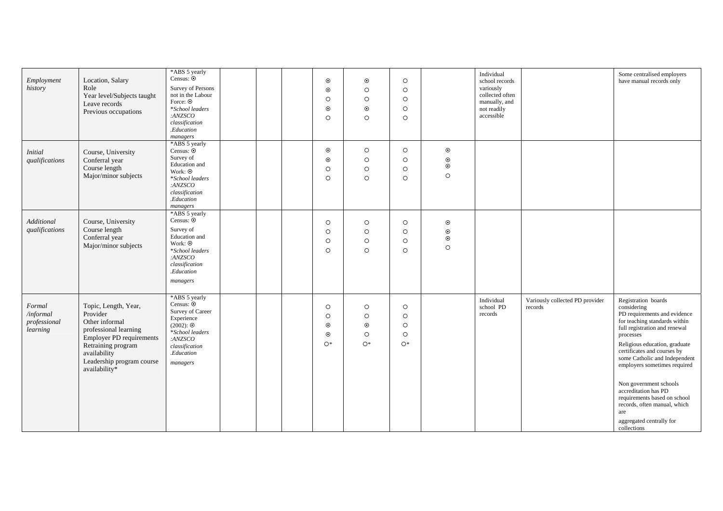| Employment<br>history                           | Location, Salary<br>Role<br>Year level/Subjects taught<br>Leave records<br>Previous occupations                                                                                                    | *ABS 5 yearly<br>Census: ⊙<br>Survey of Persons<br>not in the Labour<br>Force: ⊙<br>*School leaders<br>:ANZSCO<br>classification<br>.Education<br>managers   |  | $\odot$<br>$\odot$<br>$\circ$<br>$\odot$<br>$\circ$ | $\boldsymbol{\odot}$<br>$\circ$<br>$\circ$<br>$\boldsymbol{\odot}$<br>$\circ$ | $\circ$<br>$\circ$<br>$\circ$<br>$\circ$<br>$\circ$ |                                                       | Individual<br>school records<br>variously<br>collected often<br>manually, and<br>not readily<br>accessible |                                            | Some centralised employers<br>have manual records only                                                                                                                                                                                                                                                                                                                                                                                                 |
|-------------------------------------------------|----------------------------------------------------------------------------------------------------------------------------------------------------------------------------------------------------|--------------------------------------------------------------------------------------------------------------------------------------------------------------|--|-----------------------------------------------------|-------------------------------------------------------------------------------|-----------------------------------------------------|-------------------------------------------------------|------------------------------------------------------------------------------------------------------------|--------------------------------------------|--------------------------------------------------------------------------------------------------------------------------------------------------------------------------------------------------------------------------------------------------------------------------------------------------------------------------------------------------------------------------------------------------------------------------------------------------------|
| <b>Initial</b><br>qualifications                | Course, University<br>Conferral year<br>Course length<br>Major/minor subjects                                                                                                                      | *ABS 5 yearly<br>Census: O<br>Survey of<br>Education and<br>Work: $\odot$<br>*School leaders<br>:ANZSCO<br>classification<br>.Education<br>managers          |  | $\odot$<br>$\odot$<br>$\circ$<br>$\circ$            | $\circ$<br>$\circ$<br>$\circ$<br>$\circ$                                      | $\circ$<br>$\circ$<br>$\circ$<br>$\circ$            | $\odot$<br>$\odot$<br>$\boldsymbol{\odot}$<br>$\circ$ |                                                                                                            |                                            |                                                                                                                                                                                                                                                                                                                                                                                                                                                        |
| Additional<br>qualifications                    | Course, University<br>Course length<br>Conferral year<br>Major/minor subjects                                                                                                                      | *ABS 5 yearly<br>Census: $\odot$<br>Survey of<br>Education and<br>Work: $\odot$<br>*School leaders<br>:ANZSCO<br>classification<br>.Education<br>managers    |  | $\circ$<br>$\circ$<br>$\circ$<br>$\circ$            | $\circ$<br>$\circ$<br>$\circ$<br>$\circ$                                      | $\circ$<br>$\circ$<br>$\circ$<br>$\circ$            | $\odot$<br>$\odot$<br>$\odot$<br>$\circ$              |                                                                                                            |                                            |                                                                                                                                                                                                                                                                                                                                                                                                                                                        |
| Formal<br>/informal<br>professional<br>learning | Topic, Length, Year,<br>Provider<br>Other informal<br>professional learning<br><b>Employer PD requirements</b><br>Retraining program<br>availability<br>Leadership program course<br>availability* | *ABS 5 yearly<br>Census: O<br>Survey of Career<br>Experience<br>$(2002)$ : $\odot$<br>*School leaders<br>:ANZSCO<br>classification<br>.Education<br>managers |  | $\circ$<br>$\circ$<br>$\odot$<br>$\odot$<br>$O*$    | $\circ$<br>$\circ$<br>$\boldsymbol{\odot}$<br>$\circ$<br>$O*$                 | $\circ$<br>$\circ$<br>$\circ$<br>$\circ$<br>$O*$    |                                                       | Individual<br>school PD<br>records                                                                         | Variously collected PD provider<br>records | Registration boards<br>considering<br>PD requirements and evidence<br>for teaching standards within<br>full registration and renewal<br>processes<br>Religious education, graduate<br>certificates and courses by<br>some Catholic and Independent<br>employers sometimes required<br>Non government schools<br>accreditation has PD<br>requirements based on school<br>records, often manual, which<br>are<br>aggregated centrally for<br>collections |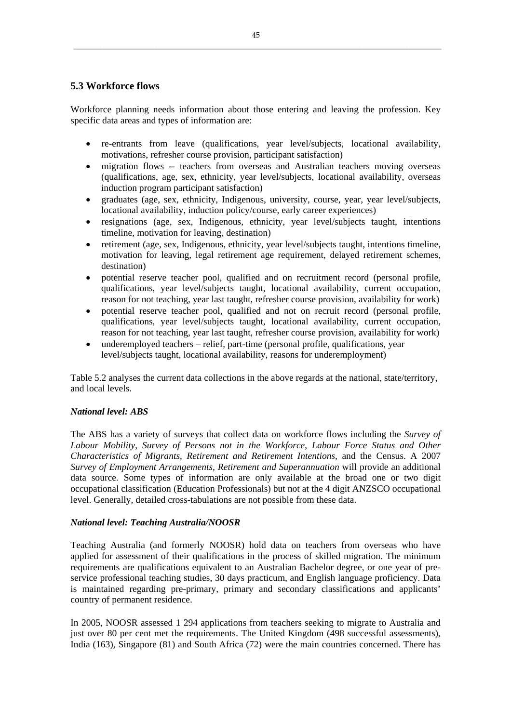# **5.3 Workforce flows**

Workforce planning needs information about those entering and leaving the profession. Key specific data areas and types of information are:

- re-entrants from leave (qualifications, year level/subjects, locational availability, motivations, refresher course provision, participant satisfaction)
- migration flows -- teachers from overseas and Australian teachers moving overseas (qualifications, age, sex, ethnicity, year level/subjects, locational availability, overseas induction program participant satisfaction)
- graduates (age, sex, ethnicity, Indigenous, university, course, year, year level/subjects, locational availability, induction policy/course, early career experiences)
- resignations (age, sex, Indigenous, ethnicity, year level/subjects taught, intentions timeline, motivation for leaving, destination)
- retirement (age, sex, Indigenous, ethnicity, year level/subjects taught, intentions timeline, motivation for leaving, legal retirement age requirement, delayed retirement schemes, destination)
- potential reserve teacher pool, qualified and on recruitment record (personal profile, qualifications, year level/subjects taught, locational availability, current occupation, reason for not teaching, year last taught, refresher course provision, availability for work)
- potential reserve teacher pool, qualified and not on recruit record (personal profile, qualifications, year level/subjects taught, locational availability, current occupation, reason for not teaching, year last taught, refresher course provision, availability for work)
- underemployed teachers relief, part-time (personal profile, qualifications, year level/subjects taught, locational availability, reasons for underemployment)

Table 5.2 analyses the current data collections in the above regards at the national, state/territory, and local levels.

# *National level: ABS*

The ABS has a variety of surveys that collect data on workforce flows including the *Survey of Labour Mobility*, *Survey of Persons not in the Workforce*, *Labour Force Status and Other Characteristics of Migrants*, *Retirement and Retirement Intentions,* and the Census. A 2007 *Survey of Employment Arrangements, Retirement and Superannuation* will provide an additional data source. Some types of information are only available at the broad one or two digit occupational classification (Education Professionals) but not at the 4 digit ANZSCO occupational level. Generally, detailed cross-tabulations are not possible from these data.

# *National level: Teaching Australia/NOOSR*

Teaching Australia (and formerly NOOSR) hold data on teachers from overseas who have applied for assessment of their qualifications in the process of skilled migration. The minimum requirements are qualifications equivalent to an Australian Bachelor degree, or one year of preservice professional teaching studies, 30 days practicum, and English language proficiency. Data is maintained regarding pre-primary, primary and secondary classifications and applicants' country of permanent residence.

In 2005, NOOSR assessed 1 294 applications from teachers seeking to migrate to Australia and just over 80 per cent met the requirements. The United Kingdom (498 successful assessments), India (163), Singapore (81) and South Africa (72) were the main countries concerned. There has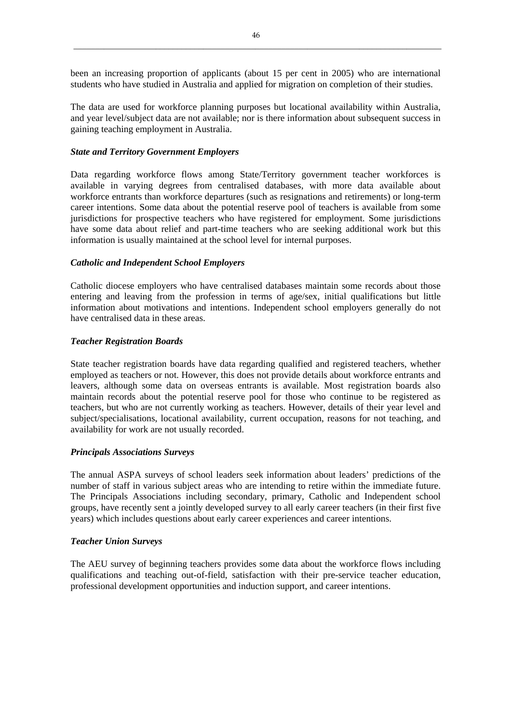been an increasing proportion of applicants (about 15 per cent in 2005) who are international students who have studied in Australia and applied for migration on completion of their studies.

The data are used for workforce planning purposes but locational availability within Australia, and year level/subject data are not available; nor is there information about subsequent success in gaining teaching employment in Australia.

#### *State and Territory Government Employers*

Data regarding workforce flows among State/Territory government teacher workforces is available in varying degrees from centralised databases, with more data available about workforce entrants than workforce departures (such as resignations and retirements) or long-term career intentions. Some data about the potential reserve pool of teachers is available from some jurisdictions for prospective teachers who have registered for employment. Some jurisdictions have some data about relief and part-time teachers who are seeking additional work but this information is usually maintained at the school level for internal purposes.

#### *Catholic and Independent School Employers*

Catholic diocese employers who have centralised databases maintain some records about those entering and leaving from the profession in terms of age/sex, initial qualifications but little information about motivations and intentions. Independent school employers generally do not have centralised data in these areas.

#### *Teacher Registration Boards*

State teacher registration boards have data regarding qualified and registered teachers, whether employed as teachers or not. However, this does not provide details about workforce entrants and leavers, although some data on overseas entrants is available. Most registration boards also maintain records about the potential reserve pool for those who continue to be registered as teachers, but who are not currently working as teachers. However, details of their year level and subject/specialisations, locational availability, current occupation, reasons for not teaching, and availability for work are not usually recorded.

#### *Principals Associations Surveys*

The annual ASPA surveys of school leaders seek information about leaders' predictions of the number of staff in various subject areas who are intending to retire within the immediate future. The Principals Associations including secondary, primary, Catholic and Independent school groups, have recently sent a jointly developed survey to all early career teachers (in their first five years) which includes questions about early career experiences and career intentions.

#### *Teacher Union Surveys*

The AEU survey of beginning teachers provides some data about the workforce flows including qualifications and teaching out-of-field, satisfaction with their pre-service teacher education, professional development opportunities and induction support, and career intentions.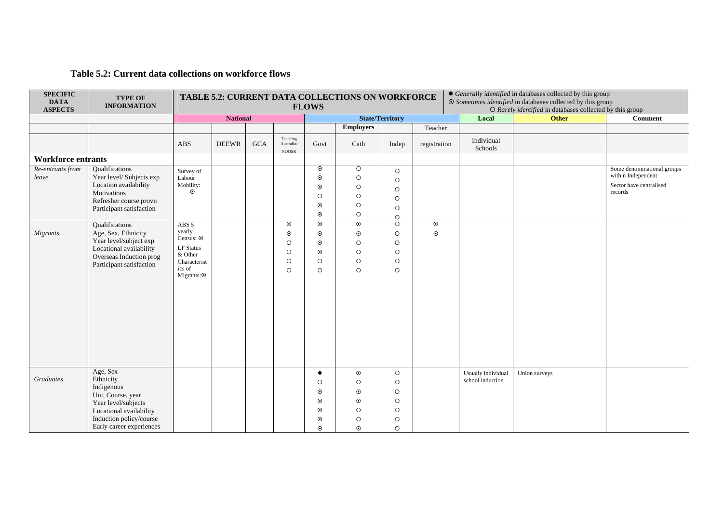#### **Table 5.2: Current data collections on workforce flows**

| <b>SPECIFIC</b><br><b>DATA</b><br><b>ASPECTS</b> | <b>TYPE OF</b><br><b>INFORMATION</b>                                                                                                                              |                                                                                                                       | TABLE 5.2: CURRENT DATA COLLECTIONS ON WORKFORCE<br><b>FLOWS</b> |            |                                                                |                                                                             |                                                                           |                                                                           |                                 |                                        | • Generally identified in databases collected by this group<br>$\odot$ Sometimes identified in databases collected by this group<br>O Rarely identified in databases collected by this group |                                                                                        |  |
|--------------------------------------------------|-------------------------------------------------------------------------------------------------------------------------------------------------------------------|-----------------------------------------------------------------------------------------------------------------------|------------------------------------------------------------------|------------|----------------------------------------------------------------|-----------------------------------------------------------------------------|---------------------------------------------------------------------------|---------------------------------------------------------------------------|---------------------------------|----------------------------------------|----------------------------------------------------------------------------------------------------------------------------------------------------------------------------------------------|----------------------------------------------------------------------------------------|--|
|                                                  |                                                                                                                                                                   |                                                                                                                       | <b>National</b>                                                  |            |                                                                |                                                                             | <b>State/Territory</b>                                                    |                                                                           |                                 | Local                                  | <b>Other</b>                                                                                                                                                                                 | <b>Comment</b>                                                                         |  |
|                                                  |                                                                                                                                                                   |                                                                                                                       |                                                                  |            |                                                                |                                                                             | <b>Employers</b>                                                          |                                                                           | Teacher                         |                                        |                                                                                                                                                                                              |                                                                                        |  |
|                                                  |                                                                                                                                                                   | ABS                                                                                                                   | <b>DEEWR</b>                                                     | <b>GCA</b> | Teaching<br>Australia/<br><b>NOOSR</b>                         | Govt                                                                        | Cath                                                                      | Indep                                                                     | registration                    | Individual<br>Schools                  |                                                                                                                                                                                              |                                                                                        |  |
| <b>Workforce entrants</b>                        |                                                                                                                                                                   |                                                                                                                       |                                                                  |            |                                                                |                                                                             |                                                                           |                                                                           |                                 |                                        |                                                                                                                                                                                              |                                                                                        |  |
| Re-entrants from<br>leave                        | Qualifications<br>Year level/ Subjects exp<br>Location availability<br>Motivations<br>Refresher course provn<br>Participant satisfaction                          | Survey of<br>Labour<br>Mobility:<br>$\odot$                                                                           |                                                                  |            |                                                                | $\bullet$<br>$\odot$<br>$\odot$<br>$\circ$<br>$\odot$<br>$\odot$            | $\circ$<br>$\circ$<br>$\circ$<br>$\circ$<br>$\circ$<br>$\circ$            | $\circ$<br>$\circ$<br>$\circ$<br>$\circ$<br>$\circ$<br>$\circ$            |                                 |                                        |                                                                                                                                                                                              | Some denominational groups<br>within Independent<br>Sector have centralised<br>records |  |
| <b>Migrants</b>                                  | Qualifications<br>Age, Sex, Ethnicity<br>Year level/subject exp<br>Locational availability<br>Overseas Induction prog<br>Participant satisfaction                 | ABS <sub>5</sub><br>yearly<br>Census: ⊙<br><b>LF</b> Status<br>& Other<br>Characterist<br>ics of<br>Migrants: $\odot$ |                                                                  |            | $\odot$<br>$\odot$<br>$\circ$<br>$\circ$<br>$\circ$<br>$\circ$ | $_{\odot}$<br>$\odot$<br>$_{\odot}$<br>$\odot$<br>$\circ$<br>$\circ$        | $\odot$<br>$\odot$<br>$\circ$<br>$\circ$<br>$\circ$<br>$\circ$            | $\circ$<br>$\circ$<br>$\circ$<br>$\circ$<br>$\circ$<br>$\circ$            | $\boldsymbol{\odot}$<br>$\odot$ |                                        |                                                                                                                                                                                              |                                                                                        |  |
| Graduates                                        | Age, Sex<br>Ethnicity<br>Indigenous<br>Uni, Course, year<br>Year level/subjects<br>Locational availability<br>Induction policy/course<br>Early career experiences |                                                                                                                       |                                                                  |            |                                                                | $\bullet$<br>$\circ$<br>$\odot$<br>$\odot$<br>$\odot$<br>$\odot$<br>$\odot$ | $\odot$<br>$\circ$<br>$\odot$<br>$\odot$<br>$\circ$<br>$\circ$<br>$\odot$ | $\circ$<br>$\circ$<br>$\circ$<br>$\circ$<br>$\circ$<br>$\circ$<br>$\circ$ |                                 | Usually individual<br>school induction | Union surveys                                                                                                                                                                                |                                                                                        |  |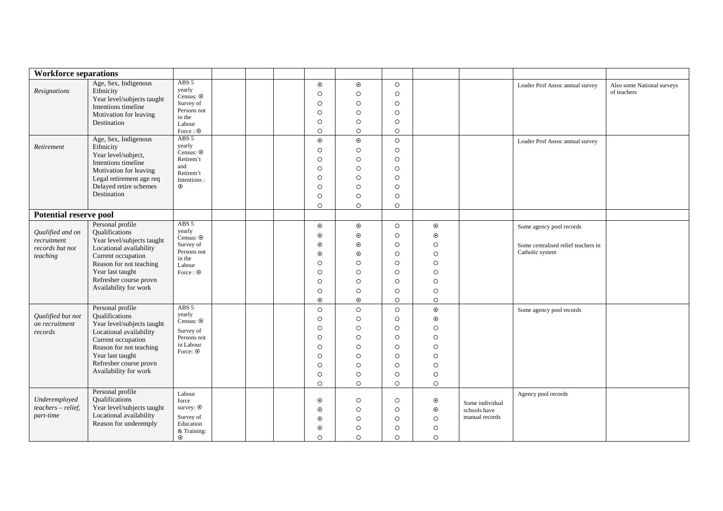| <b>Workforce separations</b>         |                                                       |                            |  |         |         |         |         |                 |                                     |                            |
|--------------------------------------|-------------------------------------------------------|----------------------------|--|---------|---------|---------|---------|-----------------|-------------------------------------|----------------------------|
|                                      | Age, Sex, Indigenous                                  | ABS <sub>5</sub><br>yearly |  | $\odot$ | $\odot$ | $\circ$ |         |                 | Leader Prof Assoc annual survey     | Also some National surveys |
| <b>Resignations</b>                  | Ethnicity<br>Year level/subjects taught               | Census: ⊙                  |  | $\circ$ | $\circ$ | $\circ$ |         |                 |                                     | of teachers                |
|                                      | Intentions timeline                                   | Survey of                  |  | $\circ$ | $\circ$ | $\circ$ |         |                 |                                     |                            |
|                                      | Motivation for leaving                                | Persons not<br>in the      |  | $\circ$ | $\circ$ | $\circ$ |         |                 |                                     |                            |
|                                      | Destination                                           | Labour                     |  | $\circ$ | $\circ$ | $\circ$ |         |                 |                                     |                            |
|                                      |                                                       | Force: $\odot$             |  | $\circ$ | $\circ$ | $\circ$ |         |                 |                                     |                            |
|                                      | Age, Sex, Indigenous                                  | ABS <sub>5</sub><br>yearly |  | $\odot$ | $\odot$ | $\circ$ |         |                 | Leader Prof Assoc annual survey     |                            |
| Retirement                           | Ethnicity<br>Year level/subject,                      | Census: ⊙                  |  | $\circ$ | $\circ$ | $\circ$ |         |                 |                                     |                            |
|                                      | Intentions timeline                                   | Retirem't                  |  | $\circ$ | $\circ$ | $\circ$ |         |                 |                                     |                            |
|                                      | Motivation for leaving                                | and<br>Retirem't           |  | $\circ$ | $\circ$ | $\circ$ |         |                 |                                     |                            |
|                                      | Legal retirement age req                              | Intentions:                |  | $\circ$ | $\circ$ | $\circ$ |         |                 |                                     |                            |
|                                      | Delayed retire schemes                                | $\odot$                    |  | $\circ$ | $\circ$ | $\circ$ |         |                 |                                     |                            |
|                                      | Destination                                           |                            |  | $\circ$ | $\circ$ | $\circ$ |         |                 |                                     |                            |
|                                      |                                                       |                            |  | $\circ$ | $\circ$ | $\circ$ |         |                 |                                     |                            |
| <b>Potential reserve pool</b>        |                                                       |                            |  |         |         |         |         |                 |                                     |                            |
|                                      | Personal profile                                      | ABS <sub>5</sub>           |  | $\odot$ | $\odot$ | $\circ$ | $\odot$ |                 | Some agency pool records            |                            |
| Qualified and on                     | Qualifications                                        | yearly<br>Census: ⊙        |  | $\odot$ | $\odot$ | $\circ$ | $\odot$ |                 |                                     |                            |
| recruitment<br>records but not       | Year level/subjects taught<br>Locational availability | Survey of                  |  | $\odot$ | $\odot$ | $\circ$ | $\circ$ |                 | Some centralised relief teachers in |                            |
| teaching                             | Current occupation                                    | Persons not                |  | $\odot$ | $\odot$ | $\circ$ | $\circ$ |                 | Catholic system                     |                            |
|                                      | Reason for not teaching                               | in the<br>Labour           |  | $\circ$ | $\circ$ | $\circ$ | O       |                 |                                     |                            |
|                                      | Year last taught                                      | Force: $\odot$             |  | $\circ$ | $\circ$ | $\circ$ | $\circ$ |                 |                                     |                            |
|                                      | Refresher course provn                                |                            |  | $\circ$ | $\circ$ | $\circ$ | $\circ$ |                 |                                     |                            |
|                                      | Availability for work                                 |                            |  | $\circ$ | $\circ$ | $\circ$ | $\circ$ |                 |                                     |                            |
|                                      |                                                       |                            |  | $\odot$ | $\odot$ | $\circ$ | $\circ$ |                 |                                     |                            |
|                                      | Personal profile                                      | ABS <sub>5</sub><br>yearly |  | $\circ$ | $\circ$ | $\circ$ | $\odot$ |                 | Some agency pool records            |                            |
| Qualified but not<br>on recruitment  | Qualifications<br>Year level/subjects taught          | Census: ⊙                  |  | $\circ$ | $\circ$ | $\circ$ | $\odot$ |                 |                                     |                            |
| records                              | Locational availability                               | Survey of                  |  | $\circ$ | $\circ$ | $\circ$ | $\circ$ |                 |                                     |                            |
|                                      | Current occupation                                    | Persons not                |  | $\circ$ | $\circ$ | $\circ$ | $\circ$ |                 |                                     |                            |
|                                      | Reason for not teaching                               | in Labour<br>Force: ⊙      |  | $\circ$ | $\circ$ | $\circ$ | $\circ$ |                 |                                     |                            |
|                                      | Year last taught                                      |                            |  | $\circ$ | $\circ$ | $\circ$ | $\circ$ |                 |                                     |                            |
|                                      | Refresher course provn                                |                            |  | $\circ$ | $\circ$ | $\circ$ | $\circ$ |                 |                                     |                            |
|                                      | Availability for work                                 |                            |  | $\circ$ | $\circ$ | $\circ$ | $\circ$ |                 |                                     |                            |
|                                      |                                                       |                            |  | $\circ$ | $\circ$ | $\circ$ | $\circ$ |                 |                                     |                            |
|                                      | Personal profile                                      | Labour                     |  |         |         |         |         |                 | Agency pool records                 |                            |
| Underemployed                        | Qualifications                                        | force                      |  | $\odot$ | $\circ$ | $\circ$ | $\odot$ | Some individual |                                     |                            |
| $teachers$ - $relief$ ,<br>part-time | Year level/subjects taught<br>Locational availability | survey: $\odot$            |  | $\odot$ | $\circ$ | $\circ$ | $\odot$ | schools have    |                                     |                            |
|                                      | Reason for underemply                                 | Survey of<br>Education     |  | $\odot$ | $\circ$ | $\circ$ | $\circ$ | manual records  |                                     |                            |
|                                      |                                                       | & Training:                |  | $\odot$ | $\circ$ | $\circ$ | $\circ$ |                 |                                     |                            |
|                                      |                                                       | $\odot$                    |  | $\circ$ | $\circ$ | $\circ$ | $\circ$ |                 |                                     |                            |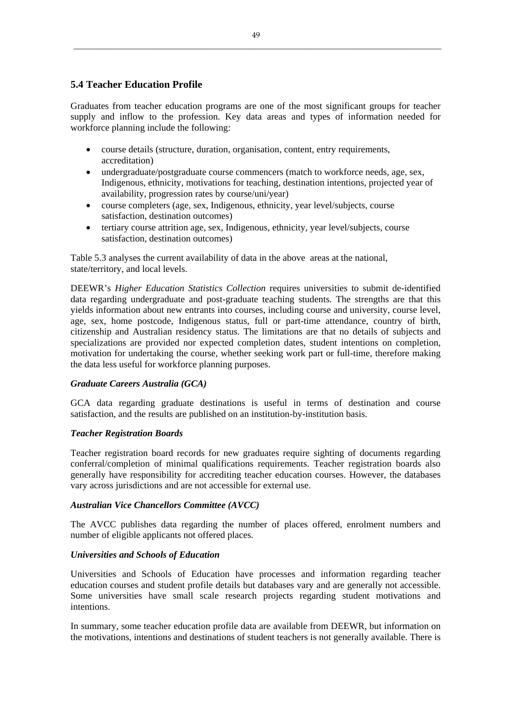# **5.4 Teacher Education Profile**

Graduates from teacher education programs are one of the most significant groups for teacher supply and inflow to the profession. Key data areas and types of information needed for workforce planning include the following:

- course details (structure, duration, organisation, content, entry requirements, accreditation)
- undergraduate/postgraduate course commencers (match to workforce needs, age, sex, Indigenous, ethnicity, motivations for teaching, destination intentions, projected year of availability, progression rates by course/uni/year)
- course completers (age, sex, Indigenous, ethnicity, year level/subjects, course satisfaction, destination outcomes)
- tertiary course attrition age, sex, Indigenous, ethnicity, year level/subjects, course satisfaction, destination outcomes)

Table 5.3 analyses the current availability of data in the above areas at the national, state/territory, and local levels.

DEEWR's *Higher Education Statistics Collection* requires universities to submit de-identified data regarding undergraduate and post-graduate teaching students. The strengths are that this yields information about new entrants into courses, including course and university, course level, age, sex, home postcode, Indigenous status, full or part-time attendance, country of birth, citizenship and Australian residency status. The limitations are that no details of subjects and specializations are provided nor expected completion dates, student intentions on completion, motivation for undertaking the course, whether seeking work part or full-time, therefore making the data less useful for workforce planning purposes.

# *Graduate Careers Australia (GCA)*

GCA data regarding graduate destinations is useful in terms of destination and course satisfaction, and the results are published on an institution-by-institution basis.

# *Teacher Registration Boards*

Teacher registration board records for new graduates require sighting of documents regarding conferral/completion of minimal qualifications requirements. Teacher registration boards also generally have responsibility for accrediting teacher education courses. However, the databases vary across jurisdictions and are not accessible for external use.

# *Australian Vice Chancellors Committee (AVCC)*

The AVCC publishes data regarding the number of places offered, enrolment numbers and number of eligible applicants not offered places.

# *Universities and Schools of Education*

Universities and Schools of Education have processes and information regarding teacher education courses and student profile details but databases vary and are generally not accessible. Some universities have small scale research projects regarding student motivations and intentions.

In summary, some teacher education profile data are available from DEEWR, but information on the motivations, intentions and destinations of student teachers is not generally available. There is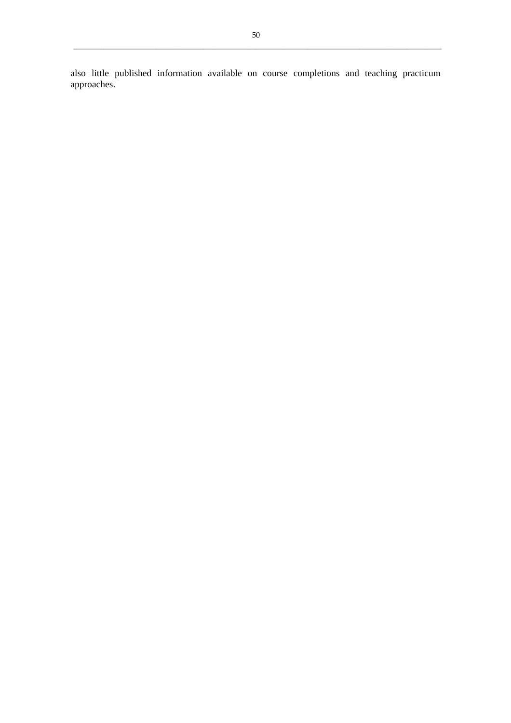also little published information available on course completions and teaching practicum approaches.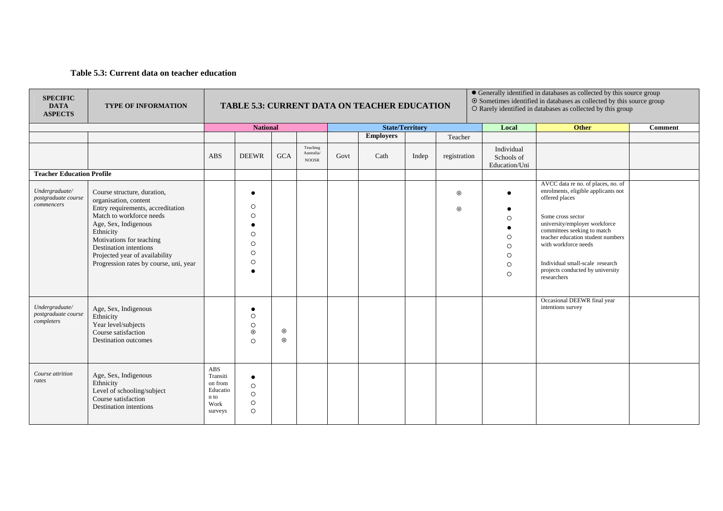#### **Table 5.3: Current data on teacher education**

| <b>SPECIFIC</b><br><b>DATA</b><br><b>ASPECTS</b>    | <b>TYPE OF INFORMATION</b>                                                                                                                    |                                                                          | <b>TABLE 5.3: CURRENT DATA ON TEACHER EDUCATION</b>    |                    |                                        |      |                        |       |                    |                                               | • Generally identified in databases as collected by this source group<br>Sometimes identified in databases as collected by this source group<br>O Rarely identified in databases as collected by this group |                |
|-----------------------------------------------------|-----------------------------------------------------------------------------------------------------------------------------------------------|--------------------------------------------------------------------------|--------------------------------------------------------|--------------------|----------------------------------------|------|------------------------|-------|--------------------|-----------------------------------------------|-------------------------------------------------------------------------------------------------------------------------------------------------------------------------------------------------------------|----------------|
|                                                     |                                                                                                                                               |                                                                          | <b>National</b>                                        |                    |                                        |      | <b>State/Territory</b> |       |                    | Local                                         | <b>Other</b>                                                                                                                                                                                                | <b>Comment</b> |
|                                                     |                                                                                                                                               |                                                                          |                                                        |                    |                                        |      | <b>Employers</b>       |       | Teacher            |                                               |                                                                                                                                                                                                             |                |
|                                                     |                                                                                                                                               | <b>ABS</b>                                                               | <b>DEEWR</b>                                           | <b>GCA</b>         | Teaching<br>Australia/<br><b>NOOSR</b> | Govt | Cath                   | Indep | registration       | Individual<br>Schools of<br>Education/Uni     |                                                                                                                                                                                                             |                |
| <b>Teacher Education Profile</b>                    |                                                                                                                                               |                                                                          |                                                        |                    |                                        |      |                        |       |                    |                                               |                                                                                                                                                                                                             |                |
| Undergraduate/<br>postgraduate course<br>commencers | Course structure, duration,<br>organisation, content<br>Entry requirements, accreditation<br>Match to workforce needs<br>Age, Sex, Indigenous |                                                                          | O<br>O                                                 |                    |                                        |      |                        |       | $\odot$<br>$\odot$ | $\circ$                                       | AVCC data re no. of places, no. of<br>enrolments, eligible applicants not<br>offered places<br>Some cross sector<br>university/employer workforce                                                           |                |
|                                                     | Ethnicity<br>Motivations for teaching<br>Destination intentions<br>Projected year of availability<br>Progression rates by course, uni, year   |                                                                          | $\Omega$<br>O<br>O<br>O                                |                    |                                        |      |                        |       |                    | O<br>$\circ$<br>$\circ$<br>$\circ$<br>$\circ$ | committees seeking to match<br>teacher education student numbers<br>with workforce needs<br>Individual small-scale research<br>projects conducted by university<br>researchers                              |                |
| Undergraduate/<br>postgraduate course<br>completers | Age, Sex, Indigenous<br>Ethnicity<br>Year level/subjects<br>Course satisfaction<br><b>Destination outcomes</b>                                |                                                                          | $\bullet$<br>$\circ$<br>$\circ$<br>$\odot$<br>$\Omega$ | $\odot$<br>$\odot$ |                                        |      |                        |       |                    |                                               | Occasional DEEWR final year<br>intentions survey                                                                                                                                                            |                |
| Course attrition<br>rates                           | Age, Sex, Indigenous<br>Ethnicity<br>Level of schooling/subject<br>Course satisfaction<br><b>Destination</b> intentions                       | <b>ABS</b><br>Transiti<br>on from<br>Educatio<br>n to<br>Work<br>surveys | $\circ$<br>$\circ$<br>$\circ$<br>$\circ$               |                    |                                        |      |                        |       |                    |                                               |                                                                                                                                                                                                             |                |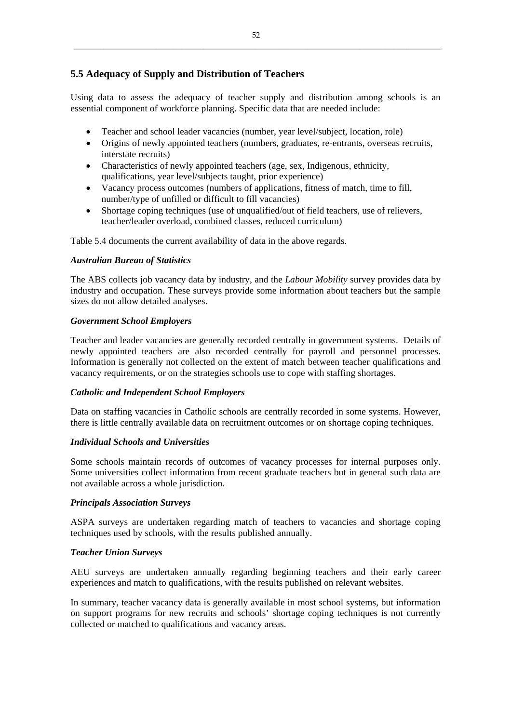# **5.5 Adequacy of Supply and Distribution of Teachers**

Using data to assess the adequacy of teacher supply and distribution among schools is an essential component of workforce planning. Specific data that are needed include:

- Teacher and school leader vacancies (number, year level/subject, location, role)
- Origins of newly appointed teachers (numbers, graduates, re-entrants, overseas recruits, interstate recruits)
- Characteristics of newly appointed teachers (age, sex, Indigenous, ethnicity, qualifications, year level/subjects taught, prior experience)
- Vacancy process outcomes (numbers of applications, fitness of match, time to fill, number/type of unfilled or difficult to fill vacancies)
- Shortage coping techniques (use of unqualified/out of field teachers, use of relievers, teacher/leader overload, combined classes, reduced curriculum)

Table 5.4 documents the current availability of data in the above regards.

#### *Australian Bureau of Statistics*

The ABS collects job vacancy data by industry, and the *Labour Mobility* survey provides data by industry and occupation. These surveys provide some information about teachers but the sample sizes do not allow detailed analyses.

#### *Government School Employers*

Teacher and leader vacancies are generally recorded centrally in government systems. Details of newly appointed teachers are also recorded centrally for payroll and personnel processes. Information is generally not collected on the extent of match between teacher qualifications and vacancy requirements, or on the strategies schools use to cope with staffing shortages.

# *Catholic and Independent School Employers*

Data on staffing vacancies in Catholic schools are centrally recorded in some systems. However, there is little centrally available data on recruitment outcomes or on shortage coping techniques.

# *Individual Schools and Universities*

Some schools maintain records of outcomes of vacancy processes for internal purposes only. Some universities collect information from recent graduate teachers but in general such data are not available across a whole jurisdiction.

# *Principals Association Surveys*

ASPA surveys are undertaken regarding match of teachers to vacancies and shortage coping techniques used by schools, with the results published annually.

#### *Teacher Union Surveys*

AEU surveys are undertaken annually regarding beginning teachers and their early career experiences and match to qualifications, with the results published on relevant websites.

In summary, teacher vacancy data is generally available in most school systems, but information on support programs for new recruits and schools' shortage coping techniques is not currently collected or matched to qualifications and vacancy areas.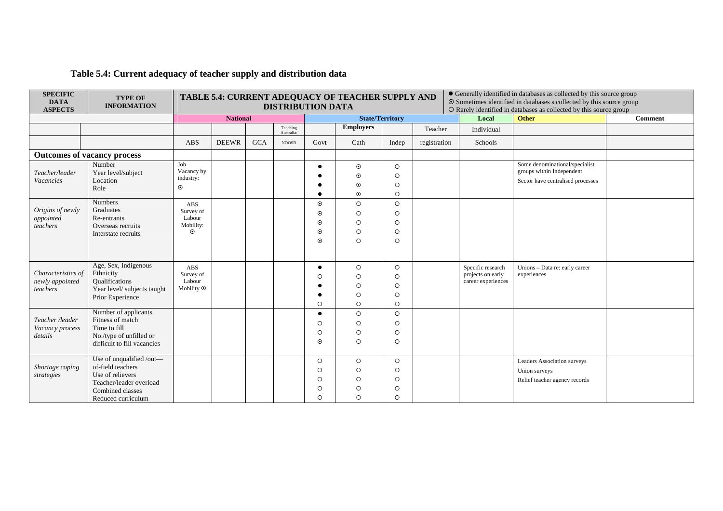# **Table 5.4: Current adequacy of teacher supply and distribution data**

| <b>SPECIFIC</b><br><b>DATA</b><br><b>ASPECTS</b>  | <b>TYPE OF</b><br><b>INFORMATION</b>                                                                                                   |                                                  |                 |            |                       | <b>DISTRIBUTION DATA</b>                            | TABLE 5.4: CURRENT ADEQUACY OF TEACHER SUPPLY AND   |                                                     |              | • Generally identified in databases as collected by this source group<br>$\odot$ Sometimes identified in databases s collected by this source group<br>O Rarely identified in databases as collected by this source group |                                                                                                  |                |
|---------------------------------------------------|----------------------------------------------------------------------------------------------------------------------------------------|--------------------------------------------------|-----------------|------------|-----------------------|-----------------------------------------------------|-----------------------------------------------------|-----------------------------------------------------|--------------|---------------------------------------------------------------------------------------------------------------------------------------------------------------------------------------------------------------------------|--------------------------------------------------------------------------------------------------|----------------|
|                                                   |                                                                                                                                        |                                                  | <b>National</b> |            |                       | <b>State/Territory</b>                              |                                                     |                                                     |              | Local                                                                                                                                                                                                                     | <b>Other</b>                                                                                     | <b>Comment</b> |
|                                                   |                                                                                                                                        |                                                  |                 |            | Teaching<br>Australia |                                                     | <b>Employers</b>                                    |                                                     | Teacher      | Individual                                                                                                                                                                                                                |                                                                                                  |                |
|                                                   |                                                                                                                                        | <b>ABS</b>                                       | <b>DEEWR</b>    | <b>GCA</b> | <b>NOOSR</b>          | Govt                                                | Cath                                                | Indep                                               | registration | Schools                                                                                                                                                                                                                   |                                                                                                  |                |
|                                                   | <b>Outcomes of vacancy process</b>                                                                                                     |                                                  |                 |            |                       |                                                     |                                                     |                                                     |              |                                                                                                                                                                                                                           |                                                                                                  |                |
| Teacher/leader<br>Vacancies                       | Number<br>Year level/subject<br>Location<br>Role<br><b>Numbers</b>                                                                     | Job<br>Vacancy by<br>industry:<br>$\odot$<br>ABS |                 |            |                       | $\bullet$<br>$\odot$                                | $\odot$<br>$\odot$<br>$\odot$<br>$\odot$<br>$\circ$ | $\circ$<br>$\circ$<br>$\circ$<br>$\circ$<br>$\circ$ |              |                                                                                                                                                                                                                           | Some denominational/specialist<br>groups within Independent<br>Sector have centralised processes |                |
| Origins of newly<br>appointed<br>teachers         | Graduates<br>Re-entrants<br>Overseas recruits<br>Interstate recruits                                                                   | Survey of<br>Labour<br>Mobility:<br>$\odot$      |                 |            |                       | $\odot$<br>$\odot$<br>$\odot$<br>$\odot$            | $\circ$<br>$\circ$<br>$\circ$<br>$\circ$            | $\circ$<br>$\circ$<br>$\circ$<br>$\circ$            |              |                                                                                                                                                                                                                           |                                                                                                  |                |
| Characteristics of<br>newly appointed<br>teachers | Age, Sex, Indigenous<br>Ethnicity<br>Qualifications<br>Year level/ subjects taught<br>Prior Experience                                 | ABS<br>Survey of<br>Labour<br>Mobility ⊙         |                 |            |                       | $\bullet$<br>$\circ$<br>$\circ$                     | $\circ$<br>$\circ$<br>$\circ$<br>$\circ$<br>$\circ$ | $\circ$<br>$\circ$<br>$\circ$<br>$\circ$<br>$\circ$ |              | Specific research<br>projects on early<br>career experiences                                                                                                                                                              | Unions - Data re: early career<br>experiences                                                    |                |
| Teacher /leader<br>Vacancy process<br>details     | Number of applicants<br>Fitness of match<br>Time to fill<br>No./type of unfilled or<br>difficult to fill vacancies                     |                                                  |                 |            |                       | $\bullet$<br>$\circ$<br>$\circ$<br>$\odot$          | $\circ$<br>$\circ$<br>$\circ$<br>$\circ$            | $\circ$<br>$\circ$<br>$\circ$<br>$\circ$            |              |                                                                                                                                                                                                                           |                                                                                                  |                |
| Shortage coping<br>strategies                     | Use of unqualified /out-<br>of-field teachers<br>Use of relievers<br>Teacher/leader overload<br>Combined classes<br>Reduced curriculum |                                                  |                 |            |                       | $\circ$<br>$\circ$<br>$\circ$<br>$\circ$<br>$\circ$ | $\circ$<br>$\circ$<br>$\circ$<br>$\circ$<br>$\circ$ | $\circ$<br>$\circ$<br>$\circ$<br>$\circ$<br>$\circ$ |              |                                                                                                                                                                                                                           | Leaders Association surveys<br>Union surveys<br>Relief teacher agency records                    |                |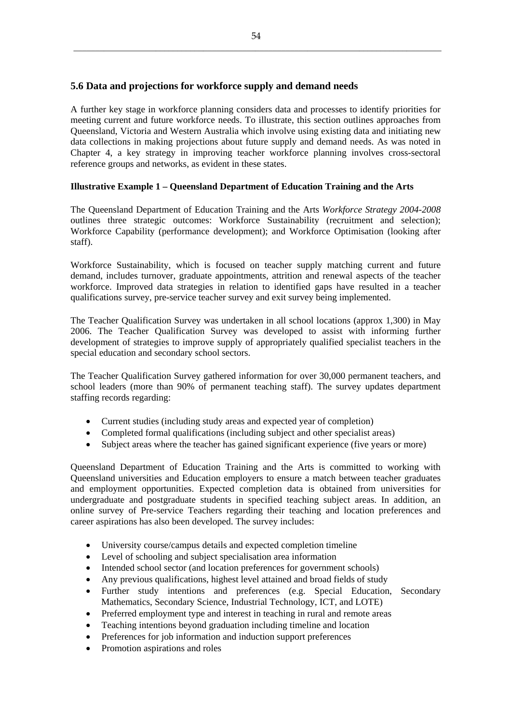# **5.6 Data and projections for workforce supply and demand needs**

A further key stage in workforce planning considers data and processes to identify priorities for meeting current and future workforce needs. To illustrate, this section outlines approaches from Queensland, Victoria and Western Australia which involve using existing data and initiating new data collections in making projections about future supply and demand needs. As was noted in Chapter 4, a key strategy in improving teacher workforce planning involves cross-sectoral reference groups and networks, as evident in these states.

# **Illustrative Example 1 – Queensland Department of Education Training and the Arts**

The Queensland Department of Education Training and the Arts *Workforce Strategy 2004-2008* outlines three strategic outcomes: Workforce Sustainability (recruitment and selection); Workforce Capability (performance development); and Workforce Optimisation (looking after staff).

Workforce Sustainability, which is focused on teacher supply matching current and future demand, includes turnover, graduate appointments, attrition and renewal aspects of the teacher workforce. Improved data strategies in relation to identified gaps have resulted in a teacher qualifications survey, pre-service teacher survey and exit survey being implemented.

The Teacher Qualification Survey was undertaken in all school locations (approx 1,300) in May 2006. The Teacher Qualification Survey was developed to assist with informing further development of strategies to improve supply of appropriately qualified specialist teachers in the special education and secondary school sectors.

The Teacher Qualification Survey gathered information for over 30,000 permanent teachers, and school leaders (more than 90% of permanent teaching staff). The survey updates department staffing records regarding:

- Current studies (including study areas and expected year of completion)
- Completed formal qualifications (including subject and other specialist areas)
- Subject areas where the teacher has gained significant experience (five years or more)

Queensland Department of Education Training and the Arts is committed to working with Queensland universities and Education employers to ensure a match between teacher graduates and employment opportunities. Expected completion data is obtained from universities for undergraduate and postgraduate students in specified teaching subject areas. In addition, an online survey of Pre-service Teachers regarding their teaching and location preferences and career aspirations has also been developed. The survey includes:

- University course/campus details and expected completion timeline
- Level of schooling and subject specialisation area information
- Intended school sector (and location preferences for government schools)
- Any previous qualifications, highest level attained and broad fields of study
- Further study intentions and preferences (e.g. Special Education, Secondary Mathematics, Secondary Science, Industrial Technology, ICT, and LOTE)
- Preferred employment type and interest in teaching in rural and remote areas
- Teaching intentions beyond graduation including timeline and location
- Preferences for job information and induction support preferences
- Promotion aspirations and roles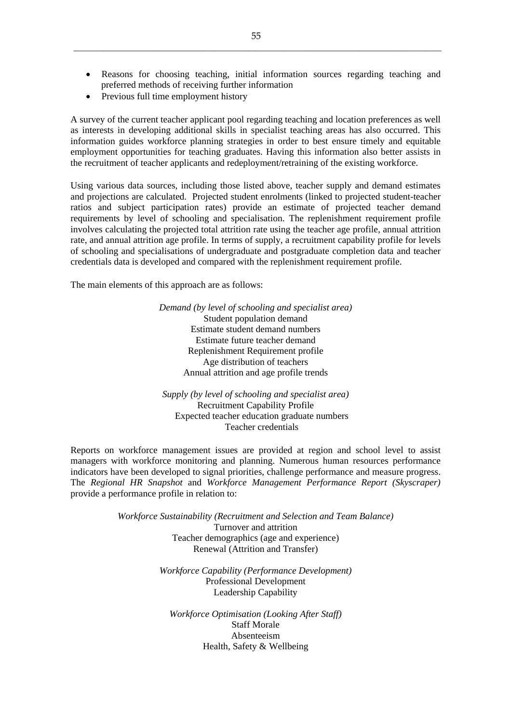- Reasons for choosing teaching, initial information sources regarding teaching and preferred methods of receiving further information
- Previous full time employment history

A survey of the current teacher applicant pool regarding teaching and location preferences as well as interests in developing additional skills in specialist teaching areas has also occurred. This information guides workforce planning strategies in order to best ensure timely and equitable employment opportunities for teaching graduates. Having this information also better assists in the recruitment of teacher applicants and redeployment/retraining of the existing workforce.

Using various data sources, including those listed above, teacher supply and demand estimates and projections are calculated. Projected student enrolments (linked to projected student-teacher ratios and subject participation rates) provide an estimate of projected teacher demand requirements by level of schooling and specialisation. The replenishment requirement profile involves calculating the projected total attrition rate using the teacher age profile, annual attrition rate, and annual attrition age profile. In terms of supply, a recruitment capability profile for levels of schooling and specialisations of undergraduate and postgraduate completion data and teacher credentials data is developed and compared with the replenishment requirement profile.

The main elements of this approach are as follows:

*Demand (by level of schooling and specialist area)*  Student population demand Estimate student demand numbers Estimate future teacher demand Replenishment Requirement profile Age distribution of teachers Annual attrition and age profile trends

*Supply (by level of schooling and specialist area)*  Recruitment Capability Profile Expected teacher education graduate numbers Teacher credentials

Reports on workforce management issues are provided at region and school level to assist managers with workforce monitoring and planning. Numerous human resources performance indicators have been developed to signal priorities, challenge performance and measure progress. The *Regional HR Snapshot* and *Workforce Management Performance Report (Skyscraper)*  provide a performance profile in relation to:

> *Workforce Sustainability (Recruitment and Selection and Team Balance)*  Turnover and attrition Teacher demographics (age and experience) Renewal (Attrition and Transfer)

> > *Workforce Capability (Performance Development)*  Professional Development Leadership Capability

*Workforce Optimisation (Looking After Staff)*  Staff Morale Absenteeism Health, Safety & Wellbeing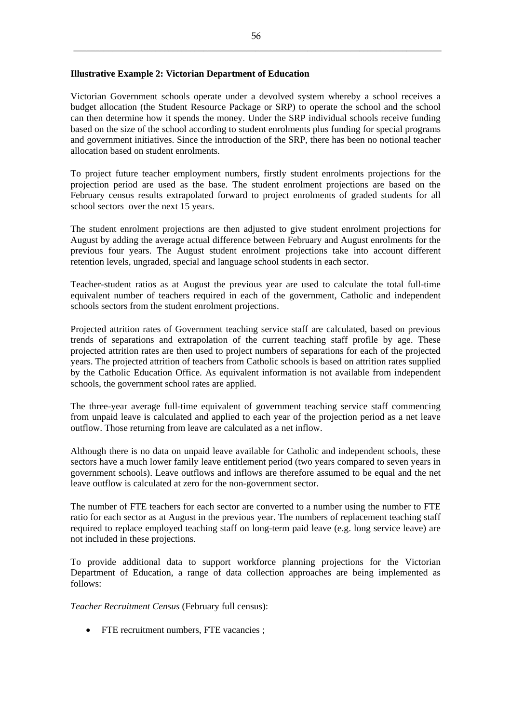# **Illustrative Example 2: Victorian Department of Education**

Victorian Government schools operate under a devolved system whereby a school receives a budget allocation (the Student Resource Package or SRP) to operate the school and the school can then determine how it spends the money. Under the SRP individual schools receive funding based on the size of the school according to student enrolments plus funding for special programs and government initiatives. Since the introduction of the SRP, there has been no notional teacher allocation based on student enrolments.

To project future teacher employment numbers, firstly student enrolments projections for the projection period are used as the base. The student enrolment projections are based on the February census results extrapolated forward to project enrolments of graded students for all school sectors over the next 15 years.

The student enrolment projections are then adjusted to give student enrolment projections for August by adding the average actual difference between February and August enrolments for the previous four years. The August student enrolment projections take into account different retention levels, ungraded, special and language school students in each sector.

Teacher-student ratios as at August the previous year are used to calculate the total full-time equivalent number of teachers required in each of the government, Catholic and independent schools sectors from the student enrolment projections.

Projected attrition rates of Government teaching service staff are calculated, based on previous trends of separations and extrapolation of the current teaching staff profile by age. These projected attrition rates are then used to project numbers of separations for each of the projected years. The projected attrition of teachers from Catholic schools is based on attrition rates supplied by the Catholic Education Office. As equivalent information is not available from independent schools, the government school rates are applied.

The three-year average full-time equivalent of government teaching service staff commencing from unpaid leave is calculated and applied to each year of the projection period as a net leave outflow. Those returning from leave are calculated as a net inflow.

Although there is no data on unpaid leave available for Catholic and independent schools, these sectors have a much lower family leave entitlement period (two years compared to seven years in government schools). Leave outflows and inflows are therefore assumed to be equal and the net leave outflow is calculated at zero for the non-government sector.

The number of FTE teachers for each sector are converted to a number using the number to FTE ratio for each sector as at August in the previous year. The numbers of replacement teaching staff required to replace employed teaching staff on long-term paid leave (e.g. long service leave) are not included in these projections.

To provide additional data to support workforce planning projections for the Victorian Department of Education, a range of data collection approaches are being implemented as follows:

*Teacher Recruitment Census* (February full census):

• FTE recruitment numbers, FTE vacancies :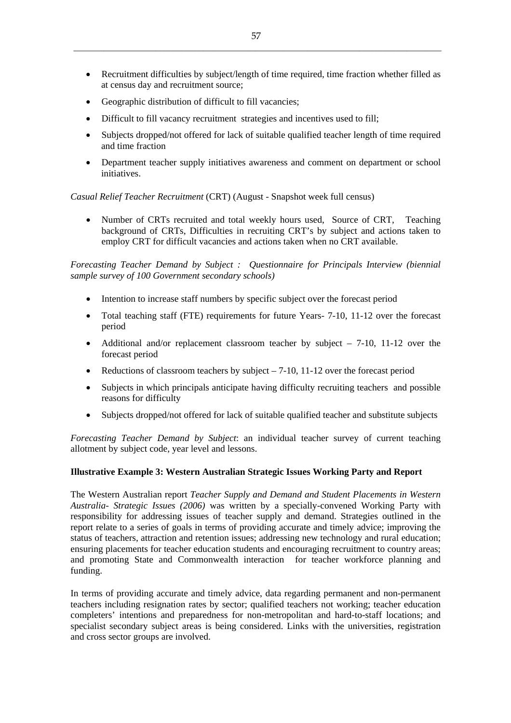- Recruitment difficulties by subject/length of time required, time fraction whether filled as at census day and recruitment source;
- Geographic distribution of difficult to fill vacancies;
- Difficult to fill vacancy recruitment strategies and incentives used to fill;
- Subjects dropped/not offered for lack of suitable qualified teacher length of time required and time fraction
- Department teacher supply initiatives awareness and comment on department or school initiatives.

*Casual Relief Teacher Recruitment* (CRT) (August - Snapshot week full census)

• Number of CRTs recruited and total weekly hours used, Source of CRT, Teaching background of CRTs, Difficulties in recruiting CRT's by subject and actions taken to employ CRT for difficult vacancies and actions taken when no CRT available.

*Forecasting Teacher Demand by Subject : Questionnaire for Principals Interview (biennial sample survey of 100 Government secondary schools)* 

- Intention to increase staff numbers by specific subject over the forecast period
- Total teaching staff (FTE) requirements for future Years- 7-10, 11-12 over the forecast period
- Additional and/or replacement classroom teacher by subject 7-10, 11-12 over the forecast period
- Reductions of classroom teachers by subject  $-7-10$ , 11-12 over the forecast period
- Subjects in which principals anticipate having difficulty recruiting teachers and possible reasons for difficulty
- Subjects dropped/not offered for lack of suitable qualified teacher and substitute subjects

*Forecasting Teacher Demand by Subject*: an individual teacher survey of current teaching allotment by subject code, year level and lessons.

#### **Illustrative Example 3: Western Australian Strategic Issues Working Party and Report**

The Western Australian report *Teacher Supply and Demand and Student Placements in Western Australia- Strategic Issues (2006)* was written by a specially-convened Working Party with responsibility for addressing issues of teacher supply and demand. Strategies outlined in the report relate to a series of goals in terms of providing accurate and timely advice; improving the status of teachers, attraction and retention issues; addressing new technology and rural education; ensuring placements for teacher education students and encouraging recruitment to country areas; and promoting State and Commonwealth interaction for teacher workforce planning and funding.

In terms of providing accurate and timely advice, data regarding permanent and non-permanent teachers including resignation rates by sector; qualified teachers not working; teacher education completers' intentions and preparedness for non-metropolitan and hard-to-staff locations; and specialist secondary subject areas is being considered. Links with the universities, registration and cross sector groups are involved.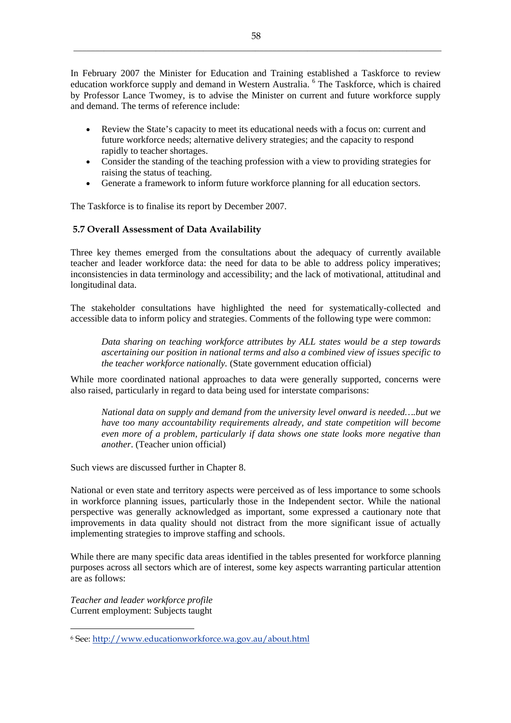In February 2007 the Minister for Education and Training established a Taskforce to review education workforce supply and demand in Western Australia. <sup>6</sup> The Taskforce, which is chaired by Professor Lance Twomey, is to advise the Minister on current and future workforce supply and demand. The terms of reference include:

- Review the State's capacity to meet its educational needs with a focus on: current and future workforce needs; alternative delivery strategies; and the capacity to respond rapidly to teacher shortages.
- Consider the standing of the teaching profession with a view to providing strategies for raising the status of teaching.
- Generate a framework to inform future workforce planning for all education sectors.

The Taskforce is to finalise its report by December 2007.

# **5.7 Overall Assessment of Data Availability**

Three key themes emerged from the consultations about the adequacy of currently available teacher and leader workforce data: the need for data to be able to address policy imperatives; inconsistencies in data terminology and accessibility; and the lack of motivational, attitudinal and longitudinal data.

The stakeholder consultations have highlighted the need for systematically-collected and accessible data to inform policy and strategies. Comments of the following type were common:

*Data sharing on teaching workforce attributes by ALL states would be a step towards ascertaining our position in national terms and also a combined view of issues specific to the teacher workforce nationally.* (State government education official)

While more coordinated national approaches to data were generally supported, concerns were also raised, particularly in regard to data being used for interstate comparisons:

*National data on supply and demand from the university level onward is needed….but we have too many accountability requirements already, and state competition will become even more of a problem, particularly if data shows one state looks more negative than another*. (Teacher union official)

Such views are discussed further in Chapter 8.

National or even state and territory aspects were perceived as of less importance to some schools in workforce planning issues, particularly those in the Independent sector. While the national perspective was generally acknowledged as important, some expressed a cautionary note that improvements in data quality should not distract from the more significant issue of actually implementing strategies to improve staffing and schools.

While there are many specific data areas identified in the tables presented for workforce planning purposes across all sectors which are of interest, some key aspects warranting particular attention are as follows:

*Teacher and leader workforce profile*  Current employment: Subjects taught

 $\overline{a}$ 

<sup>6</sup> See: http://www.educationworkforce.wa.gov.au/about.html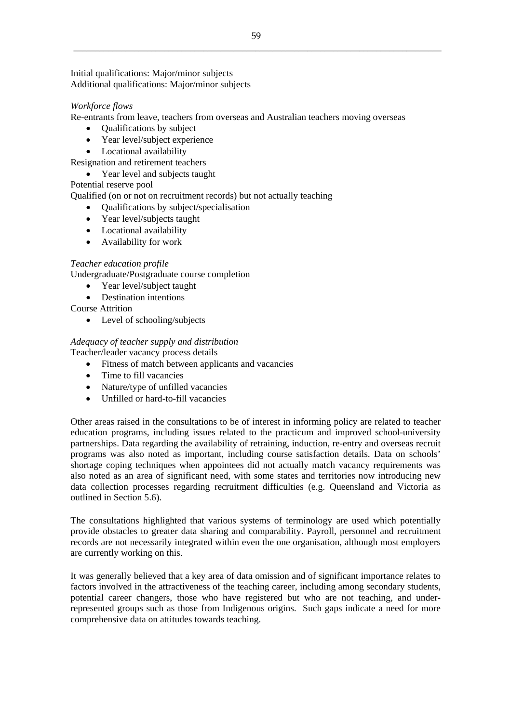Initial qualifications: Major/minor subjects Additional qualifications: Major/minor subjects

#### *Workforce flows*

Re-entrants from leave, teachers from overseas and Australian teachers moving overseas

- Qualifications by subject
- Year level/subject experience
- Locational availability
- Resignation and retirement teachers
	- Year level and subjects taught

Potential reserve pool

Qualified (on or not on recruitment records) but not actually teaching

- Qualifications by subject/specialisation
- Year level/subjects taught
- Locational availability
- Availability for work

#### *Teacher education profile*

Undergraduate/Postgraduate course completion

- Year level/subject taught
- Destination intentions

Course Attrition

• Level of schooling/subjects

#### *Adequacy of teacher supply and distribution*

Teacher/leader vacancy process details

- Fitness of match between applicants and vacancies
- Time to fill vacancies
- Nature/type of unfilled vacancies
- Unfilled or hard-to-fill vacancies

Other areas raised in the consultations to be of interest in informing policy are related to teacher education programs, including issues related to the practicum and improved school-university partnerships. Data regarding the availability of retraining, induction, re-entry and overseas recruit programs was also noted as important, including course satisfaction details. Data on schools' shortage coping techniques when appointees did not actually match vacancy requirements was also noted as an area of significant need, with some states and territories now introducing new data collection processes regarding recruitment difficulties (e.g. Queensland and Victoria as outlined in Section 5.6).

The consultations highlighted that various systems of terminology are used which potentially provide obstacles to greater data sharing and comparability. Payroll, personnel and recruitment records are not necessarily integrated within even the one organisation, although most employers are currently working on this.

It was generally believed that a key area of data omission and of significant importance relates to factors involved in the attractiveness of the teaching career, including among secondary students, potential career changers, those who have registered but who are not teaching, and underrepresented groups such as those from Indigenous origins. Such gaps indicate a need for more comprehensive data on attitudes towards teaching.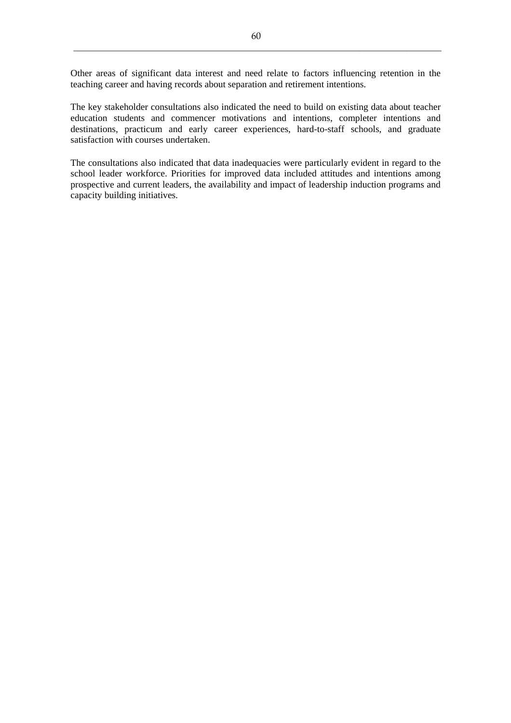Other areas of significant data interest and need relate to factors influencing retention in the teaching career and having records about separation and retirement intentions.

The key stakeholder consultations also indicated the need to build on existing data about teacher education students and commencer motivations and intentions, completer intentions and destinations, practicum and early career experiences, hard-to-staff schools, and graduate satisfaction with courses undertaken.

The consultations also indicated that data inadequacies were particularly evident in regard to the school leader workforce. Priorities for improved data included attitudes and intentions among prospective and current leaders, the availability and impact of leadership induction programs and capacity building initiatives.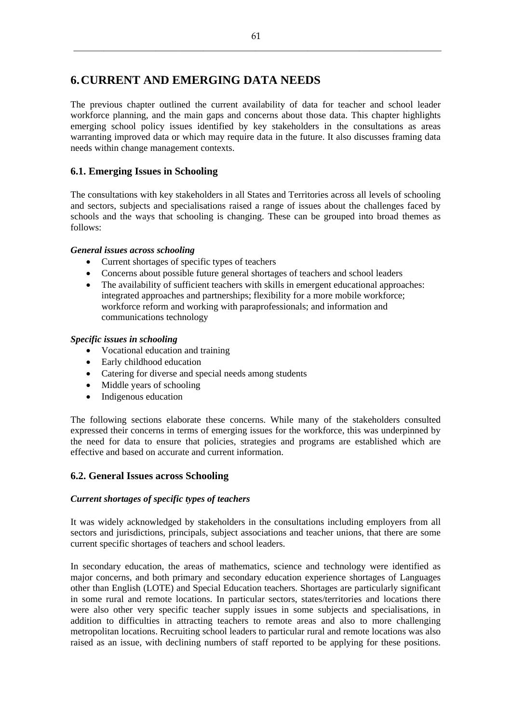# **6. CURRENT AND EMERGING DATA NEEDS**

The previous chapter outlined the current availability of data for teacher and school leader workforce planning, and the main gaps and concerns about those data. This chapter highlights emerging school policy issues identified by key stakeholders in the consultations as areas warranting improved data or which may require data in the future. It also discusses framing data needs within change management contexts.

# **6.1. Emerging Issues in Schooling**

The consultations with key stakeholders in all States and Territories across all levels of schooling and sectors, subjects and specialisations raised a range of issues about the challenges faced by schools and the ways that schooling is changing. These can be grouped into broad themes as follows:

# *General issues across schooling*

- Current shortages of specific types of teachers
- Concerns about possible future general shortages of teachers and school leaders
- The availability of sufficient teachers with skills in emergent educational approaches: integrated approaches and partnerships; flexibility for a more mobile workforce; workforce reform and working with paraprofessionals; and information and communications technology

# *Specific issues in schooling*

- Vocational education and training
- Early childhood education
- Catering for diverse and special needs among students
- Middle years of schooling
- Indigenous education

The following sections elaborate these concerns. While many of the stakeholders consulted expressed their concerns in terms of emerging issues for the workforce, this was underpinned by the need for data to ensure that policies, strategies and programs are established which are effective and based on accurate and current information.

# **6.2. General Issues across Schooling**

# *Current shortages of specific types of teachers*

It was widely acknowledged by stakeholders in the consultations including employers from all sectors and jurisdictions, principals, subject associations and teacher unions, that there are some current specific shortages of teachers and school leaders.

In secondary education, the areas of mathematics, science and technology were identified as major concerns, and both primary and secondary education experience shortages of Languages other than English (LOTE) and Special Education teachers. Shortages are particularly significant in some rural and remote locations. In particular sectors, states/territories and locations there were also other very specific teacher supply issues in some subjects and specialisations, in addition to difficulties in attracting teachers to remote areas and also to more challenging metropolitan locations. Recruiting school leaders to particular rural and remote locations was also raised as an issue, with declining numbers of staff reported to be applying for these positions.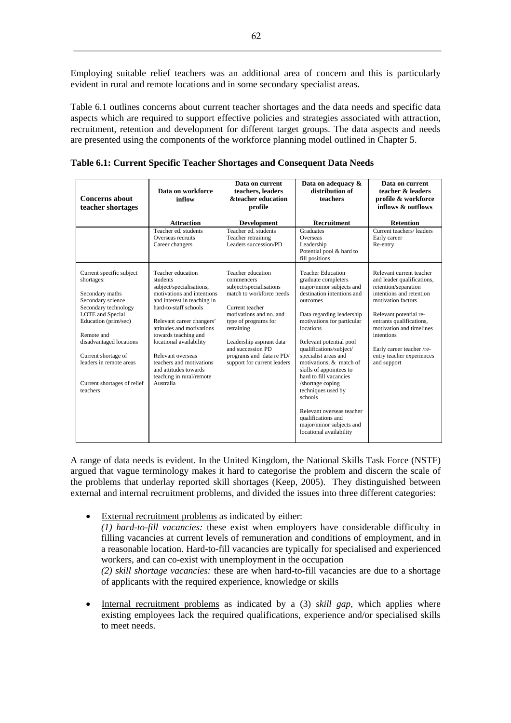Employing suitable relief teachers was an additional area of concern and this is particularly evident in rural and remote locations and in some secondary specialist areas.

Table 6.1 outlines concerns about current teacher shortages and the data needs and specific data aspects which are required to support effective policies and strategies associated with attraction, recruitment, retention and development for different target groups. The data aspects and needs are presented using the components of the workforce planning model outlined in Chapter 5.

| <b>Concerns about</b><br>teacher shortages                                                                                                                                                                                                                                                      | Data on workforce<br>inflow                                                                                                                                                                                                                                                                                                                                                     | Data on current<br>teachers, leaders<br>&teacher education<br>profile                                                                                                                                                                                                                  | Data on adequacy &<br>distribution of<br>teachers                                                                                                                                                                                                                                                                                                                                                                                                                                                                          | Data on current<br>teacher & leaders<br>profile & workforce<br>inflows & outflows                                                                                                                                                                                                                         |
|-------------------------------------------------------------------------------------------------------------------------------------------------------------------------------------------------------------------------------------------------------------------------------------------------|---------------------------------------------------------------------------------------------------------------------------------------------------------------------------------------------------------------------------------------------------------------------------------------------------------------------------------------------------------------------------------|----------------------------------------------------------------------------------------------------------------------------------------------------------------------------------------------------------------------------------------------------------------------------------------|----------------------------------------------------------------------------------------------------------------------------------------------------------------------------------------------------------------------------------------------------------------------------------------------------------------------------------------------------------------------------------------------------------------------------------------------------------------------------------------------------------------------------|-----------------------------------------------------------------------------------------------------------------------------------------------------------------------------------------------------------------------------------------------------------------------------------------------------------|
|                                                                                                                                                                                                                                                                                                 | <b>Attraction</b>                                                                                                                                                                                                                                                                                                                                                               | <b>Development</b>                                                                                                                                                                                                                                                                     | <b>Recruitment</b>                                                                                                                                                                                                                                                                                                                                                                                                                                                                                                         | <b>Retention</b>                                                                                                                                                                                                                                                                                          |
|                                                                                                                                                                                                                                                                                                 | Teacher ed. students<br>Overseas recruits<br>Career changers                                                                                                                                                                                                                                                                                                                    | Teacher ed students<br>Teacher retraining<br>Leaders succession/PD                                                                                                                                                                                                                     | Graduates<br>Overseas<br>Leadership<br>Potential pool & hard to<br>fill positions                                                                                                                                                                                                                                                                                                                                                                                                                                          | Current teachers/leaders<br>Early career<br>Re-entry                                                                                                                                                                                                                                                      |
| Current specific subject<br>shortages:<br>Secondary maths<br>Secondary science<br>Secondary technology<br><b>LOTE</b> and Special<br>Education (prim/sec)<br>Remote and<br>disadvantaged locations<br>Current shortage of<br>leaders in remote areas<br>Current shortages of relief<br>teachers | Teacher education<br>students<br>subject/specialisations,<br>motivations and intentions<br>and interest in teaching in<br>hard-to-staff schools<br>Relevant career changers'<br>attitudes and motivations<br>towards teaching and<br>locational availability<br>Relevant overseas<br>teachers and motivations<br>and attitudes towards<br>teaching in rural/remote<br>Australia | Teacher education<br>commencers<br>subject/specialisations<br>match to workforce needs<br>Current teacher<br>motivations and no. and<br>type of programs for<br>retraining<br>Leadership aspirant data<br>and succession PD<br>programs and data re PD/<br>support for current leaders | <b>Teacher Education</b><br>graduate completers<br>major/minor subjects and<br>destination intentions and<br>outcomes<br>Data regarding leadership<br>motivations for particular<br>locations<br>Relevant potential pool<br>qualifications/subject/<br>specialist areas and<br>motivations, & match of<br>skills of appointees to<br>hard to fill vacancies<br>/shortage coping<br>techniques used by<br>schools<br>Relevant overseas teacher<br>qualifications and<br>major/minor subjects and<br>locational availability | Relevant current teacher<br>and leader qualifications,<br>retention/separation<br>intentions and retention<br>motivation factors<br>Relevant potential re-<br>entrants qualifications,<br>motivation and timelines<br>intentions<br>Early career teacher /re-<br>entry teacher experiences<br>and support |

**Table 6.1: Current Specific Teacher Shortages and Consequent Data Needs** 

A range of data needs is evident. In the United Kingdom, the National Skills Task Force (NSTF) argued that vague terminology makes it hard to categorise the problem and discern the scale of the problems that underlay reported skill shortages (Keep, 2005). They distinguished between external and internal recruitment problems, and divided the issues into three different categories:

• External recruitment problems as indicated by either:

 *(1) hard-to-fill vacancies:* these exist when employers have considerable difficulty in filling vacancies at current levels of remuneration and conditions of employment, and in a reasonable location. Hard-to-fill vacancies are typically for specialised and experienced workers, and can co-exist with unemployment in the occupation

 *(2) skill shortage vacancies:* these are when hard-to-fill vacancies are due to a shortage of applicants with the required experience, knowledge or skills

• Internal recruitment problems as indicated by a (3) *skill gap*, which applies where existing employees lack the required qualifications, experience and/or specialised skills to meet needs.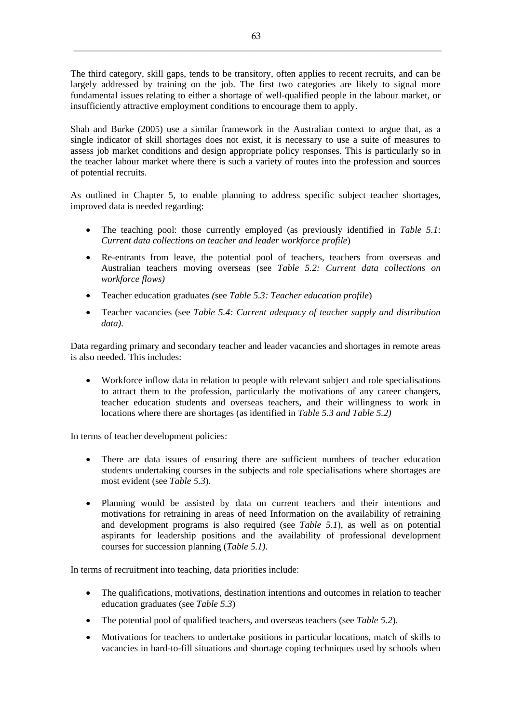The third category, skill gaps, tends to be transitory, often applies to recent recruits, and can be largely addressed by training on the job. The first two categories are likely to signal more fundamental issues relating to either a shortage of well-qualified people in the labour market, or insufficiently attractive employment conditions to encourage them to apply.

Shah and Burke (2005) use a similar framework in the Australian context to argue that, as a single indicator of skill shortages does not exist, it is necessary to use a suite of measures to assess job market conditions and design appropriate policy responses. This is particularly so in the teacher labour market where there is such a variety of routes into the profession and sources of potential recruits.

As outlined in Chapter 5, to enable planning to address specific subject teacher shortages, improved data is needed regarding:

- The teaching pool: those currently employed (as previously identified in *Table 5.1*: *Current data collections on teacher and leader workforce profile*)
- Re-entrants from leave, the potential pool of teachers, teachers from overseas and Australian teachers moving overseas (see *Table 5.2: Current data collections on workforce flows)*
- Teacher education graduates *(*see *Table 5.3: Teacher education profile*)
- Teacher vacancies (see *Table 5.4: Current adequacy of teacher supply and distribution data).*

Data regarding primary and secondary teacher and leader vacancies and shortages in remote areas is also needed. This includes:

• Workforce inflow data in relation to people with relevant subject and role specialisations to attract them to the profession, particularly the motivations of any career changers, teacher education students and overseas teachers, and their willingness to work in locations where there are shortages (as identified in *Table 5.3 and Table 5.2)*

In terms of teacher development policies:

- There are data issues of ensuring there are sufficient numbers of teacher education students undertaking courses in the subjects and role specialisations where shortages are most evident (see *Table 5.3*).
- Planning would be assisted by data on current teachers and their intentions and motivations for retraining in areas of need Information on the availability of retraining and development programs is also required (see *Table 5.1*), as well as on potential aspirants for leadership positions and the availability of professional development courses for succession planning (*Table 5.1).*

In terms of recruitment into teaching, data priorities include:

- The qualifications, motivations, destination intentions and outcomes in relation to teacher education graduates (see *Table 5.3*)
- The potential pool of qualified teachers, and overseas teachers (see *Table 5.2*).
- Motivations for teachers to undertake positions in particular locations, match of skills to vacancies in hard-to-fill situations and shortage coping techniques used by schools when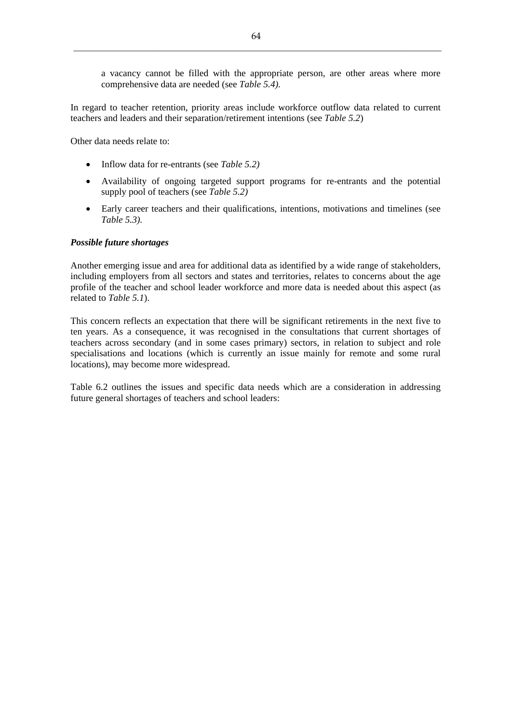a vacancy cannot be filled with the appropriate person, are other areas where more comprehensive data are needed (see *Table 5.4).* 

In regard to teacher retention, priority areas include workforce outflow data related to current teachers and leaders and their separation/retirement intentions (see *Table 5.2*)

Other data needs relate to:

- Inflow data for re-entrants (see *Table 5.2)*
- Availability of ongoing targeted support programs for re-entrants and the potential supply pool of teachers (see *Table 5.2)*
- Early career teachers and their qualifications, intentions, motivations and timelines (see *Table 5.3).*

#### *Possible future shortages*

Another emerging issue and area for additional data as identified by a wide range of stakeholders, including employers from all sectors and states and territories, relates to concerns about the age profile of the teacher and school leader workforce and more data is needed about this aspect (as related to *Table 5.1*).

This concern reflects an expectation that there will be significant retirements in the next five to ten years. As a consequence, it was recognised in the consultations that current shortages of teachers across secondary (and in some cases primary) sectors, in relation to subject and role specialisations and locations (which is currently an issue mainly for remote and some rural locations), may become more widespread.

Table 6.2 outlines the issues and specific data needs which are a consideration in addressing future general shortages of teachers and school leaders: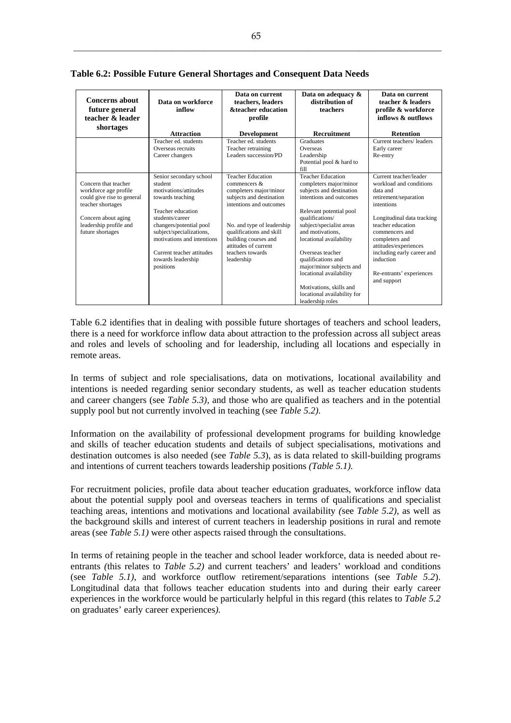| <b>Concerns about</b><br>future general<br>teacher & leader<br>shortages                                                                                              | Data on workforce<br>inflow<br><b>Attraction</b>                                                                                                                                                                                                                             | Data on current<br>teachers, leaders<br>&teacher education<br>profile<br><b>Development</b>                                                                                                                                                                              | Data on adequacy &<br>distribution of<br>teachers<br><b>Recruitment</b>                                                                                                                                                                                                                                                                                                                                           | Data on current<br>teacher & leaders<br>profile & workforce<br>inflows & outflows<br><b>Retention</b>                                                                                                                                                                                                      |
|-----------------------------------------------------------------------------------------------------------------------------------------------------------------------|------------------------------------------------------------------------------------------------------------------------------------------------------------------------------------------------------------------------------------------------------------------------------|--------------------------------------------------------------------------------------------------------------------------------------------------------------------------------------------------------------------------------------------------------------------------|-------------------------------------------------------------------------------------------------------------------------------------------------------------------------------------------------------------------------------------------------------------------------------------------------------------------------------------------------------------------------------------------------------------------|------------------------------------------------------------------------------------------------------------------------------------------------------------------------------------------------------------------------------------------------------------------------------------------------------------|
|                                                                                                                                                                       | Teacher ed. students<br>Overseas recruits<br>Career changers                                                                                                                                                                                                                 | Teacher ed students<br>Teacher retraining<br>Leaders succession/PD                                                                                                                                                                                                       | Graduates<br>Overseas<br>Leadership<br>Potential pool & hard to<br>fill                                                                                                                                                                                                                                                                                                                                           | Current teachers/leaders<br>Early career<br>Re-entry                                                                                                                                                                                                                                                       |
| Concern that teacher<br>workforce age profile<br>could give rise to general<br>teacher shortages<br>Concern about aging<br>leadership profile and<br>future shortages | Senior secondary school<br>student<br>motivations/attitudes<br>towards teaching<br>Teacher education<br>students/career<br>changers/potential pool<br>subject/specializations,<br>motivations and intentions<br>Current teacher attitudes<br>towards leadership<br>positions | <b>Teacher Education</b><br>commencers $\&$<br>completers major/minor<br>subjects and destination<br>intentions and outcomes<br>No. and type of leadership<br>qualifications and skill<br>building courses and<br>attitudes of current<br>teachers towards<br>leadership | <b>Teacher Education</b><br>completers major/minor<br>subjects and destination<br>intentions and outcomes<br>Relevant potential pool<br>qualifications/<br>subject/specialist areas<br>and motivations.<br>locational availability<br>Overseas teacher<br>qualifications and<br>major/minor subjects and<br>locational availability<br>Motivations, skills and<br>locational availability for<br>leadership roles | Current teacher/leader<br>workload and conditions<br>data and<br>retirement/separation<br>intentions<br>Longitudinal data tracking<br>teacher education<br>commencers and<br>completers and<br>attitudes/experiences<br>including early career and<br>induction<br>Re-entrants' experiences<br>and support |

# **Table 6.2: Possible Future General Shortages and Consequent Data Needs**

Table 6.2 identifies that in dealing with possible future shortages of teachers and school leaders, there is a need for workforce inflow data about attraction to the profession across all subject areas and roles and levels of schooling and for leadership, including all locations and especially in remote areas.

In terms of subject and role specialisations, data on motivations, locational availability and intentions is needed regarding senior secondary students, as well as teacher education students and career changers (see *Table 5.3),* and those who are qualified as teachers and in the potential supply pool but not currently involved in teaching (see *Table 5.2).* 

Information on the availability of professional development programs for building knowledge and skills of teacher education students and details of subject specialisations, motivations and destination outcomes is also needed (see *Table 5.3*), as is data related to skill-building programs and intentions of current teachers towards leadership positions *(Table 5.1).* 

For recruitment policies, profile data about teacher education graduates, workforce inflow data about the potential supply pool and overseas teachers in terms of qualifications and specialist teaching areas, intentions and motivations and locational availability *(*see *Table 5.2)*, as well as the background skills and interest of current teachers in leadership positions in rural and remote areas (see *Table 5.1)* were other aspects raised through the consultations.

In terms of retaining people in the teacher and school leader workforce, data is needed about reentrants *(*this relates to *Table 5.2)* and current teachers' and leaders' workload and conditions (see *Table 5.1)*, and workforce outflow retirement/separations intentions (see *Table 5.2*). Longitudinal data that follows teacher education students into and during their early career experiences in the workforce would be particularly helpful in this regard (this relates to *Table 5.2*  on graduates' early career experiences*).*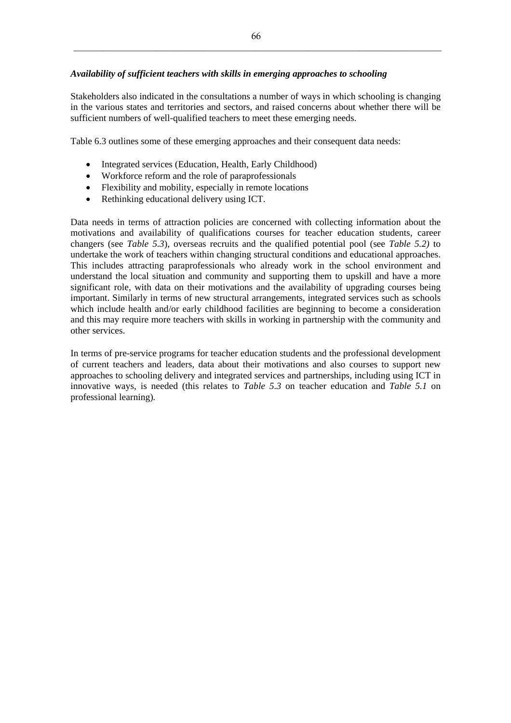# *Availability of sufficient teachers with skills in emerging approaches to schooling*

Stakeholders also indicated in the consultations a number of ways in which schooling is changing in the various states and territories and sectors, and raised concerns about whether there will be sufficient numbers of well-qualified teachers to meet these emerging needs.

Table 6.3 outlines some of these emerging approaches and their consequent data needs:

- Integrated services (Education, Health, Early Childhood)
- Workforce reform and the role of paraprofessionals
- Flexibility and mobility, especially in remote locations
- Rethinking educational delivery using ICT.

Data needs in terms of attraction policies are concerned with collecting information about the motivations and availability of qualifications courses for teacher education students, career changers (see *Table 5.3*), overseas recruits and the qualified potential pool (see *Table 5.2)* to undertake the work of teachers within changing structural conditions and educational approaches. This includes attracting paraprofessionals who already work in the school environment and understand the local situation and community and supporting them to upskill and have a more significant role, with data on their motivations and the availability of upgrading courses being important. Similarly in terms of new structural arrangements, integrated services such as schools which include health and/or early childhood facilities are beginning to become a consideration and this may require more teachers with skills in working in partnership with the community and other services.

In terms of pre-service programs for teacher education students and the professional development of current teachers and leaders, data about their motivations and also courses to support new approaches to schooling delivery and integrated services and partnerships, including using ICT in innovative ways, is needed (this relates to *Table 5.3* on teacher education and *Table 5.1* on professional learning)*.*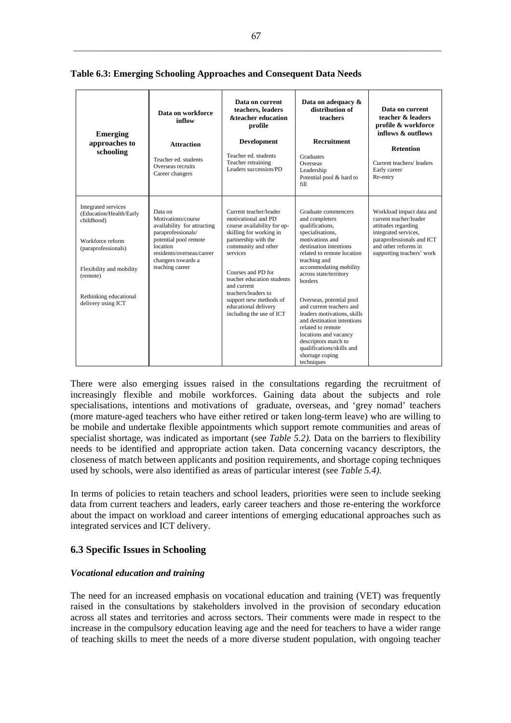| <b>Emerging</b><br>approaches to<br>schooling                                                                                                                                                   | Data on workforce<br>inflow<br><b>Attraction</b><br>Teacher ed. students<br>Overseas recruits<br>Career changers                                                                              | Data on current<br>teachers, leaders<br>&teacher education<br>profile<br>Development<br>Teacher ed. students<br>Teacher retraining<br>Leaders succession/PD                                                                                                                                                                                | Data on adequacy &<br>distribution of<br>teachers<br><b>Recruitment</b><br>Graduates<br>Overseas<br>Leadership<br>Potential pool & hard to<br>fill                                                                                                                                                                                                                                                                                                                                              | Data on current<br>teacher & leaders<br>profile & workforce<br>inflows & outflows<br><b>Retention</b><br>Current teachers/leaders<br>Early career<br>Re-entry                       |
|-------------------------------------------------------------------------------------------------------------------------------------------------------------------------------------------------|-----------------------------------------------------------------------------------------------------------------------------------------------------------------------------------------------|--------------------------------------------------------------------------------------------------------------------------------------------------------------------------------------------------------------------------------------------------------------------------------------------------------------------------------------------|-------------------------------------------------------------------------------------------------------------------------------------------------------------------------------------------------------------------------------------------------------------------------------------------------------------------------------------------------------------------------------------------------------------------------------------------------------------------------------------------------|-------------------------------------------------------------------------------------------------------------------------------------------------------------------------------------|
| Integrated services<br>(Education/Health/Early<br>childhood)<br>Workforce reform<br>(paraprofessionals)<br>Flexibility and mobility<br>(remote)<br>Rethinking educational<br>delivery using ICT | Data on<br>Motivations/course<br>availability for attracting<br>paraprofessionals/<br>potential pool remote<br>location<br>residents/overseas/career<br>changers towards a<br>teaching career | Current teacher/leader<br>motivational and PD<br>course availability for up-<br>skilling for working in<br>partnership with the<br>community and other<br>services<br>Courses and PD for<br>teacher education students<br>and current<br>teachers/leaders to<br>support new methods of<br>educational delivery<br>including the use of ICT | Graduate commencers<br>and completers<br>qualifications,<br>specialisations,<br>motivations and<br>destination intentions<br>related to remote location<br>teaching and<br>accommodating mobility<br>across state/territory<br>borders<br>Overseas, potential pool<br>and current teachers and<br>leaders motivations, skills<br>and destination intentions<br>related to remote<br>locations and vacancy<br>descriptors match to<br>qualifications/skills and<br>shortage coping<br>techniques | Workload impact data and<br>current teacher/leader<br>attitudes regarding<br>integrated services,<br>paraprofessionals and ICT<br>and other reforms in<br>supporting teachers' work |

### **Table 6.3: Emerging Schooling Approaches and Consequent Data Needs**

There were also emerging issues raised in the consultations regarding the recruitment of increasingly flexible and mobile workforces. Gaining data about the subjects and role specialisations, intentions and motivations of graduate, overseas, and 'grey nomad' teachers (more mature-aged teachers who have either retired or taken long-term leave) who are willing to be mobile and undertake flexible appointments which support remote communities and areas of specialist shortage, was indicated as important (see *Table 5.2).* Data on the barriers to flexibility needs to be identified and appropriate action taken. Data concerning vacancy descriptors, the closeness of match between applicants and position requirements, and shortage coping techniques used by schools, were also identified as areas of particular interest (see *Table 5.4).* 

In terms of policies to retain teachers and school leaders, priorities were seen to include seeking data from current teachers and leaders, early career teachers and those re-entering the workforce about the impact on workload and career intentions of emerging educational approaches such as integrated services and ICT delivery.

# **6.3 Specific Issues in Schooling**

# *Vocational education and training*

The need for an increased emphasis on vocational education and training (VET) was frequently raised in the consultations by stakeholders involved in the provision of secondary education across all states and territories and across sectors. Their comments were made in respect to the increase in the compulsory education leaving age and the need for teachers to have a wider range of teaching skills to meet the needs of a more diverse student population, with ongoing teacher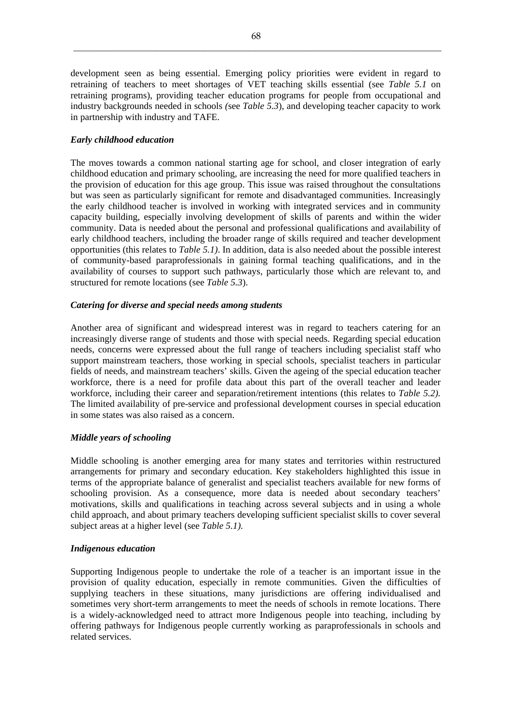development seen as being essential. Emerging policy priorities were evident in regard to retraining of teachers to meet shortages of VET teaching skills essential (see *Table 5.1* on retraining programs), providing teacher education programs for people from occupational and industry backgrounds needed in schools *(*see *Table 5.3*), and developing teacher capacity to work in partnership with industry and TAFE.

#### *Early childhood education*

The moves towards a common national starting age for school, and closer integration of early childhood education and primary schooling, are increasing the need for more qualified teachers in the provision of education for this age group. This issue was raised throughout the consultations but was seen as particularly significant for remote and disadvantaged communities. Increasingly the early childhood teacher is involved in working with integrated services and in community capacity building, especially involving development of skills of parents and within the wider community. Data is needed about the personal and professional qualifications and availability of early childhood teachers, including the broader range of skills required and teacher development opportunities (this relates to *Table 5.1)*. In addition, data is also needed about the possible interest of community-based paraprofessionals in gaining formal teaching qualifications, and in the availability of courses to support such pathways, particularly those which are relevant to, and structured for remote locations (see *Table 5.3*).

### *Catering for diverse and special needs among students*

Another area of significant and widespread interest was in regard to teachers catering for an increasingly diverse range of students and those with special needs. Regarding special education needs, concerns were expressed about the full range of teachers including specialist staff who support mainstream teachers, those working in special schools, specialist teachers in particular fields of needs, and mainstream teachers' skills. Given the ageing of the special education teacher workforce, there is a need for profile data about this part of the overall teacher and leader workforce, including their career and separation/retirement intentions (this relates to *Table 5.2).* The limited availability of pre-service and professional development courses in special education in some states was also raised as a concern.

# *Middle years of schooling*

Middle schooling is another emerging area for many states and territories within restructured arrangements for primary and secondary education. Key stakeholders highlighted this issue in terms of the appropriate balance of generalist and specialist teachers available for new forms of schooling provision. As a consequence, more data is needed about secondary teachers' motivations, skills and qualifications in teaching across several subjects and in using a whole child approach, and about primary teachers developing sufficient specialist skills to cover several subject areas at a higher level (see *Table 5.1).* 

#### *Indigenous education*

Supporting Indigenous people to undertake the role of a teacher is an important issue in the provision of quality education, especially in remote communities. Given the difficulties of supplying teachers in these situations, many jurisdictions are offering individualised and sometimes very short-term arrangements to meet the needs of schools in remote locations. There is a widely-acknowledged need to attract more Indigenous people into teaching, including by offering pathways for Indigenous people currently working as paraprofessionals in schools and related services.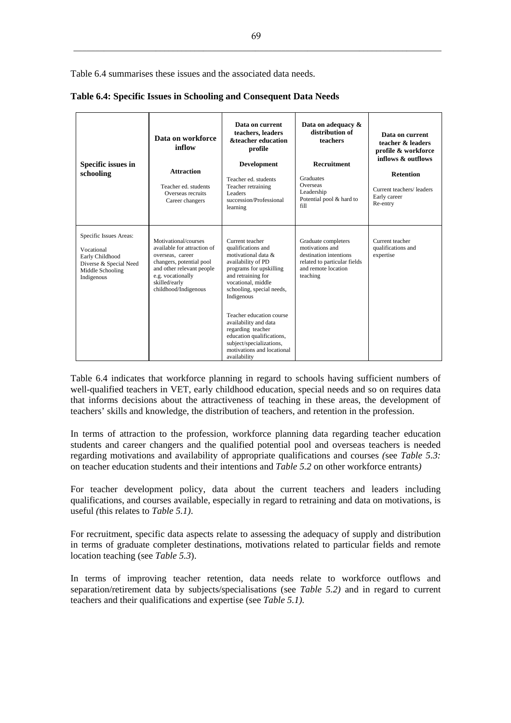Table 6.4 summarises these issues and the associated data needs.

| Specific issues in<br>schooling                                                                                     | Data on workforce<br>inflow<br><b>Attraction</b><br>Teacher ed. students<br>Overseas recruits<br>Career changers                                                                               | Data on current<br>teachers, leaders<br>&teacher education<br>profile<br><b>Development</b><br>Teacher ed students<br>Teacher retraining<br>Leaders<br>succession/Professional<br>learning                                                                                                                                                                                            | Data on adequacy &<br>distribution of<br>teachers<br><b>Recruitment</b><br>Graduates<br>Overseas<br>Leadership<br>Potential pool & hard to<br>fill | Data on current<br>teacher $\&$ leaders<br>profile & workforce<br>inflows & outflows<br><b>Retention</b><br>Current teachers/leaders<br>Early career<br>Re-entry |
|---------------------------------------------------------------------------------------------------------------------|------------------------------------------------------------------------------------------------------------------------------------------------------------------------------------------------|---------------------------------------------------------------------------------------------------------------------------------------------------------------------------------------------------------------------------------------------------------------------------------------------------------------------------------------------------------------------------------------|----------------------------------------------------------------------------------------------------------------------------------------------------|------------------------------------------------------------------------------------------------------------------------------------------------------------------|
| Specific Issues Areas:<br>Vocational<br>Early Childhood<br>Diverse & Special Need<br>Middle Schooling<br>Indigenous | Motivational/courses<br>available for attraction of<br>overseas, career<br>changers, potential pool<br>and other relevant people<br>e.g. vocationally<br>skilled/early<br>childhood/Indigenous | Current teacher<br>qualifications and<br>motivational data &<br>availability of PD<br>programs for upskilling<br>and retraining for<br>vocational, middle<br>schooling, special needs,<br>Indigenous<br>Teacher education course<br>availability and data<br>regarding teacher<br>education qualifications,<br>subject/specializations,<br>motivations and locational<br>availability | Graduate completers<br>motivations and<br>destination intentions<br>related to particular fields<br>and remote location<br>teaching                | Current teacher<br>qualifications and<br>expertise                                                                                                               |

| Table 6.4: Specific Issues in Schooling and Consequent Data Needs |  |  |  |  |
|-------------------------------------------------------------------|--|--|--|--|
|-------------------------------------------------------------------|--|--|--|--|

Table 6.4 indicates that workforce planning in regard to schools having sufficient numbers of well-qualified teachers in VET, early childhood education, special needs and so on requires data that informs decisions about the attractiveness of teaching in these areas, the development of teachers' skills and knowledge, the distribution of teachers, and retention in the profession.

In terms of attraction to the profession, workforce planning data regarding teacher education students and career changers and the qualified potential pool and overseas teachers is needed regarding motivations and availability of appropriate qualifications and courses *(*see *Table 5.3:*  on teacher education students and their intentions and *Table 5.2* on other workforce entrants*)* 

For teacher development policy, data about the current teachers and leaders including qualifications, and courses available, especially in regard to retraining and data on motivations, is useful *(*this relates to *Table 5.1)*.

For recruitment, specific data aspects relate to assessing the adequacy of supply and distribution in terms of graduate completer destinations, motivations related to particular fields and remote location teaching (see *Table 5.3*).

In terms of improving teacher retention, data needs relate to workforce outflows and separation/retirement data by subjects/specialisations (see *Table 5.2)* and in regard to current teachers and their qualifications and expertise (see *Table 5.1).*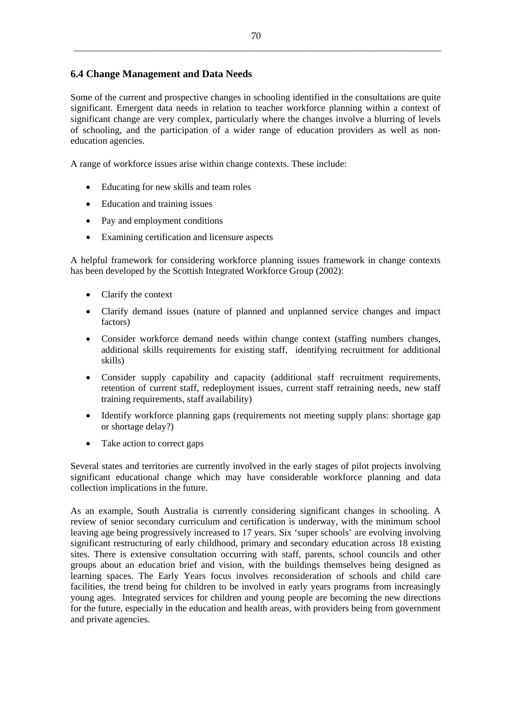# **6.4 Change Management and Data Needs**

Some of the current and prospective changes in schooling identified in the consultations are quite significant. Emergent data needs in relation to teacher workforce planning within a context of significant change are very complex, particularly where the changes involve a blurring of levels of schooling, and the participation of a wider range of education providers as well as noneducation agencies.

A range of workforce issues arise within change contexts. These include:

- Educating for new skills and team roles
- Education and training issues
- Pay and employment conditions
- Examining certification and licensure aspects

A helpful framework for considering workforce planning issues framework in change contexts has been developed by the Scottish Integrated Workforce Group (2002):

- Clarify the context
- Clarify demand issues (nature of planned and unplanned service changes and impact factors)
- Consider workforce demand needs within change context (staffing numbers changes, additional skills requirements for existing staff, identifying recruitment for additional skills)
- Consider supply capability and capacity (additional staff recruitment requirements, retention of current staff, redeployment issues, current staff retraining needs, new staff training requirements, staff availability)
- Identify workforce planning gaps (requirements not meeting supply plans: shortage gap or shortage delay?)
- Take action to correct gaps

Several states and territories are currently involved in the early stages of pilot projects involving significant educational change which may have considerable workforce planning and data collection implications in the future.

As an example, South Australia is currently considering significant changes in schooling. A review of senior secondary curriculum and certification is underway, with the minimum school leaving age being progressively increased to 17 years. Six 'super schools' are evolving involving significant restructuring of early childhood, primary and secondary education across 18 existing sites. There is extensive consultation occurring with staff, parents, school councils and other groups about an education brief and vision, with the buildings themselves being designed as learning spaces. The Early Years focus involves reconsideration of schools and child care facilities, the trend being for children to be involved in early years programs from increasingly young ages. Integrated services for children and young people are becoming the new directions for the future, especially in the education and health areas, with providers being from government and private agencies.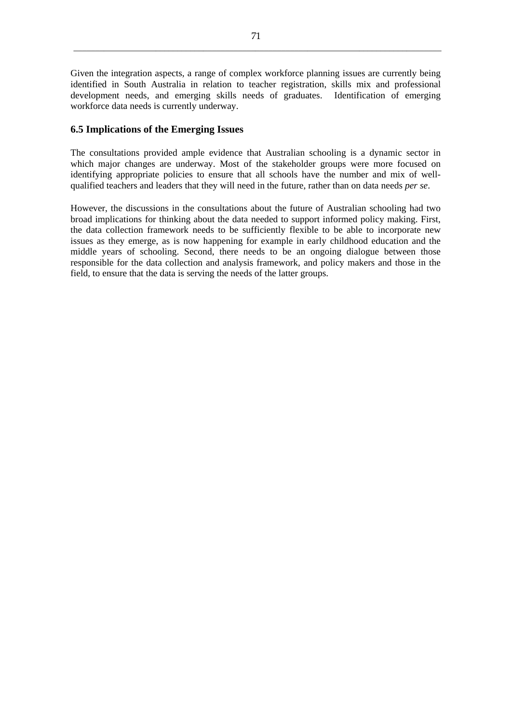Given the integration aspects, a range of complex workforce planning issues are currently being identified in South Australia in relation to teacher registration, skills mix and professional development needs, and emerging skills needs of graduates. Identification of emerging workforce data needs is currently underway.

### **6.5 Implications of the Emerging Issues**

The consultations provided ample evidence that Australian schooling is a dynamic sector in which major changes are underway. Most of the stakeholder groups were more focused on identifying appropriate policies to ensure that all schools have the number and mix of wellqualified teachers and leaders that they will need in the future, rather than on data needs *per se*.

However, the discussions in the consultations about the future of Australian schooling had two broad implications for thinking about the data needed to support informed policy making. First, the data collection framework needs to be sufficiently flexible to be able to incorporate new issues as they emerge, as is now happening for example in early childhood education and the middle years of schooling. Second, there needs to be an ongoing dialogue between those responsible for the data collection and analysis framework, and policy makers and those in the field, to ensure that the data is serving the needs of the latter groups.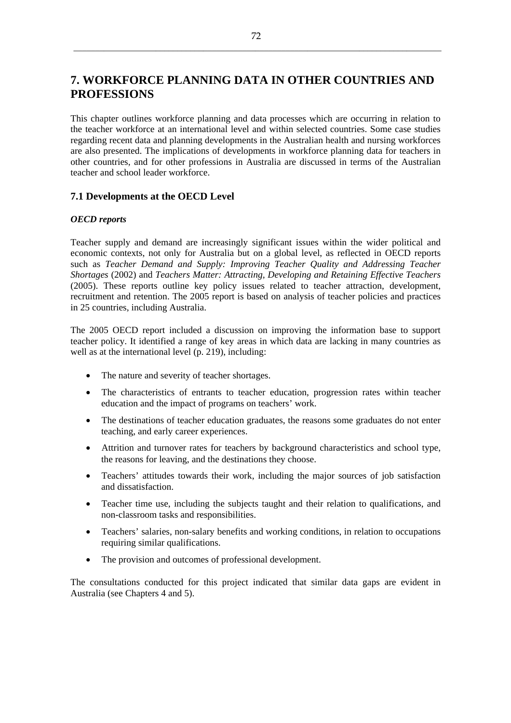# **7. WORKFORCE PLANNING DATA IN OTHER COUNTRIES AND PROFESSIONS**

This chapter outlines workforce planning and data processes which are occurring in relation to the teacher workforce at an international level and within selected countries. Some case studies regarding recent data and planning developments in the Australian health and nursing workforces are also presented. The implications of developments in workforce planning data for teachers in other countries, and for other professions in Australia are discussed in terms of the Australian teacher and school leader workforce.

# **7.1 Developments at the OECD Level**

# *OECD reports*

Teacher supply and demand are increasingly significant issues within the wider political and economic contexts, not only for Australia but on a global level, as reflected in OECD reports such as *Teacher Demand and Supply: Improving Teacher Quality and Addressing Teacher Shortages* (2002) and *Teachers Matter: Attracting, Developing and Retaining Effective Teachers*  (2005). These reports outline key policy issues related to teacher attraction, development, recruitment and retention. The 2005 report is based on analysis of teacher policies and practices in 25 countries, including Australia.

The 2005 OECD report included a discussion on improving the information base to support teacher policy. It identified a range of key areas in which data are lacking in many countries as well as at the international level (p. 219), including:

- The nature and severity of teacher shortages.
- The characteristics of entrants to teacher education, progression rates within teacher education and the impact of programs on teachers' work.
- The destinations of teacher education graduates, the reasons some graduates do not enter teaching, and early career experiences.
- Attrition and turnover rates for teachers by background characteristics and school type, the reasons for leaving, and the destinations they choose.
- Teachers' attitudes towards their work, including the major sources of job satisfaction and dissatisfaction.
- Teacher time use, including the subjects taught and their relation to qualifications, and non-classroom tasks and responsibilities.
- Teachers' salaries, non-salary benefits and working conditions, in relation to occupations requiring similar qualifications.
- The provision and outcomes of professional development.

The consultations conducted for this project indicated that similar data gaps are evident in Australia (see Chapters 4 and 5).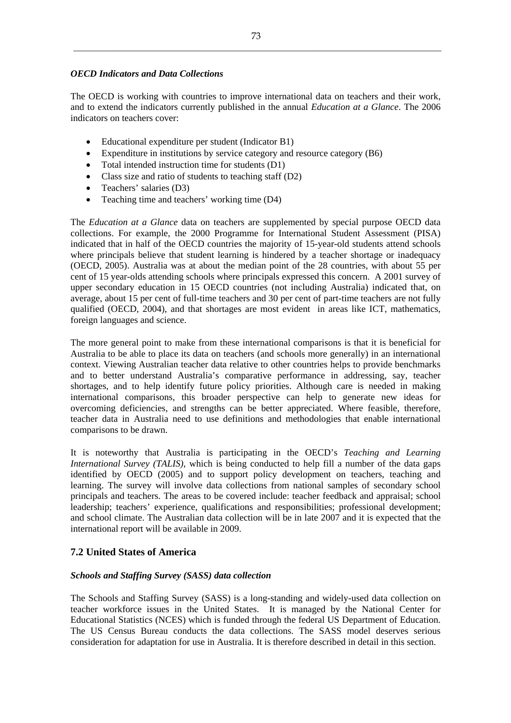### *OECD Indicators and Data Collections*

The OECD is working with countries to improve international data on teachers and their work, and to extend the indicators currently published in the annual *Education at a Glance*. The 2006 indicators on teachers cover:

- Educational expenditure per student (Indicator B1)
- Expenditure in institutions by service category and resource category (B6)
- Total intended instruction time for students (D1)
- Class size and ratio of students to teaching staff (D2)
- Teachers' salaries (D3)
- Teaching time and teachers' working time (D4)

The *Education at a Glance* data on teachers are supplemented by special purpose OECD data collections. For example, the 2000 Programme for International Student Assessment (PISA) indicated that in half of the OECD countries the majority of 15-year-old students attend schools where principals believe that student learning is hindered by a teacher shortage or inadequacy (OECD, 2005). Australia was at about the median point of the 28 countries, with about 55 per cent of 15 year-olds attending schools where principals expressed this concern. A 2001 survey of upper secondary education in 15 OECD countries (not including Australia) indicated that, on average, about 15 per cent of full-time teachers and 30 per cent of part-time teachers are not fully qualified (OECD, 2004), and that shortages are most evident in areas like ICT, mathematics, foreign languages and science.

The more general point to make from these international comparisons is that it is beneficial for Australia to be able to place its data on teachers (and schools more generally) in an international context. Viewing Australian teacher data relative to other countries helps to provide benchmarks and to better understand Australia's comparative performance in addressing, say, teacher shortages, and to help identify future policy priorities. Although care is needed in making international comparisons, this broader perspective can help to generate new ideas for overcoming deficiencies, and strengths can be better appreciated. Where feasible, therefore, teacher data in Australia need to use definitions and methodologies that enable international comparisons to be drawn.

It is noteworthy that Australia is participating in the OECD's *Teaching and Learning International Survey (TALIS)*, which is being conducted to help fill a number of the data gaps identified by OECD (2005) and to support policy development on teachers, teaching and learning. The survey will involve data collections from national samples of secondary school principals and teachers. The areas to be covered include: teacher feedback and appraisal; school leadership; teachers' experience, qualifications and responsibilities; professional development; and school climate. The Australian data collection will be in late 2007 and it is expected that the international report will be available in 2009.

# **7.2 United States of America**

### *Schools and Staffing Survey (SASS) data collection*

The Schools and Staffing Survey (SASS) is a long-standing and widely-used data collection on teacher workforce issues in the United States. It is managed by the National Center for Educational Statistics (NCES) which is funded through the federal US Department of Education. The US Census Bureau conducts the data collections. The SASS model deserves serious consideration for adaptation for use in Australia. It is therefore described in detail in this section.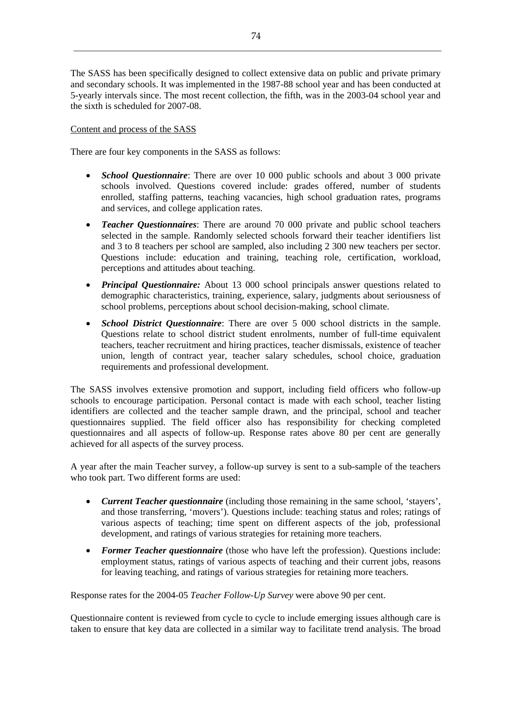The SASS has been specifically designed to collect extensive data on public and private primary and secondary schools. It was implemented in the 1987-88 school year and has been conducted at 5-yearly intervals since. The most recent collection, the fifth, was in the 2003-04 school year and the sixth is scheduled for 2007-08.

Content and process of the SASS

There are four key components in the SASS as follows:

- *School Questionnaire*: There are over 10 000 public schools and about 3 000 private schools involved. Questions covered include: grades offered, number of students enrolled, staffing patterns, teaching vacancies, high school graduation rates, programs and services, and college application rates.
- *Teacher Questionnaires*: There are around 70 000 private and public school teachers selected in the sample. Randomly selected schools forward their teacher identifiers list and 3 to 8 teachers per school are sampled, also including 2 300 new teachers per sector. Questions include: education and training, teaching role, certification, workload, perceptions and attitudes about teaching.
- *Principal Questionnaire:* About 13 000 school principals answer questions related to demographic characteristics, training, experience, salary, judgments about seriousness of school problems, perceptions about school decision-making, school climate.
- *School District Questionnaire*: There are over 5 000 school districts in the sample. Questions relate to school district student enrolments, number of full-time equivalent teachers, teacher recruitment and hiring practices, teacher dismissals, existence of teacher union, length of contract year, teacher salary schedules, school choice, graduation requirements and professional development.

The SASS involves extensive promotion and support, including field officers who follow-up schools to encourage participation. Personal contact is made with each school, teacher listing identifiers are collected and the teacher sample drawn, and the principal, school and teacher questionnaires supplied. The field officer also has responsibility for checking completed questionnaires and all aspects of follow-up. Response rates above 80 per cent are generally achieved for all aspects of the survey process.

A year after the main Teacher survey, a follow-up survey is sent to a sub-sample of the teachers who took part. Two different forms are used:

- *Current Teacher questionnaire* (including those remaining in the same school, 'stayers', and those transferring, 'movers'). Questions include: teaching status and roles; ratings of various aspects of teaching; time spent on different aspects of the job, professional development, and ratings of various strategies for retaining more teachers.
- *Former Teacher questionnaire* (those who have left the profession). Questions include: employment status, ratings of various aspects of teaching and their current jobs, reasons for leaving teaching, and ratings of various strategies for retaining more teachers.

Response rates for the 2004-05 *Teacher Follow-Up Survey* were above 90 per cent.

Questionnaire content is reviewed from cycle to cycle to include emerging issues although care is taken to ensure that key data are collected in a similar way to facilitate trend analysis. The broad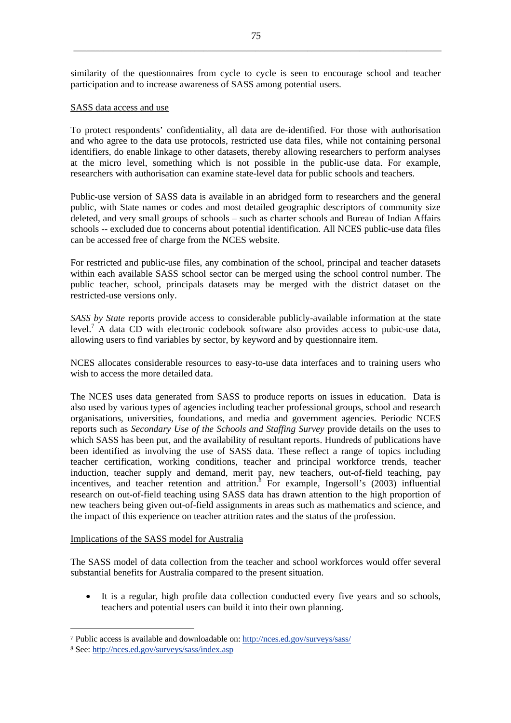similarity of the questionnaires from cycle to cycle is seen to encourage school and teacher participation and to increase awareness of SASS among potential users.

#### SASS data access and use

To protect respondents' confidentiality, all data are de-identified. For those with authorisation and who agree to the data use protocols, restricted use data files, while not containing personal identifiers, do enable linkage to other datasets, thereby allowing researchers to perform analyses at the micro level, something which is not possible in the public-use data. For example, researchers with authorisation can examine state-level data for public schools and teachers.

Public-use version of SASS data is available in an abridged form to researchers and the general public, with State names or codes and most detailed geographic descriptors of community size deleted, and very small groups of schools – such as charter schools and Bureau of Indian Affairs schools -- excluded due to concerns about potential identification. All NCES public-use data files can be accessed free of charge from the NCES website.

For restricted and public-use files, any combination of the school, principal and teacher datasets within each available SASS school sector can be merged using the school control number. The public teacher, school, principals datasets may be merged with the district dataset on the restricted-use versions only.

*SASS by State* reports provide access to considerable publicly-available information at the state level.<sup>7</sup> A data CD with electronic codebook software also provides access to pubic-use data, allowing users to find variables by sector, by keyword and by questionnaire item.

NCES allocates considerable resources to easy-to-use data interfaces and to training users who wish to access the more detailed data.

The NCES uses data generated from SASS to produce reports on issues in education. Data is also used by various types of agencies including teacher professional groups, school and research organisations, universities, foundations, and media and government agencies. Periodic NCES reports such as *Secondary Use of the Schools and Staffing Survey* provide details on the uses to which SASS has been put, and the availability of resultant reports. Hundreds of publications have been identified as involving the use of SASS data. These reflect a range of topics including teacher certification, working conditions, teacher and principal workforce trends, teacher induction, teacher supply and demand, merit pay, new teachers, out-of-field teaching, pay incentives, and teacher retention and attrition.<sup>8</sup> For example, Ingersoll's  $(2003)$  influential research on out-of-field teaching using SASS data has drawn attention to the high proportion of new teachers being given out-of-field assignments in areas such as mathematics and science, and the impact of this experience on teacher attrition rates and the status of the profession.

#### Implications of the SASS model for Australia

The SASS model of data collection from the teacher and school workforces would offer several substantial benefits for Australia compared to the present situation.

It is a regular, high profile data collection conducted every five years and so schools, teachers and potential users can build it into their own planning.

 $\overline{a}$ 

<sup>7</sup> Public access is available and downloadable on: http://nces.ed.gov/surveys/sass/

<sup>8</sup> See: http://nces.ed.gov/surveys/sass/index.asp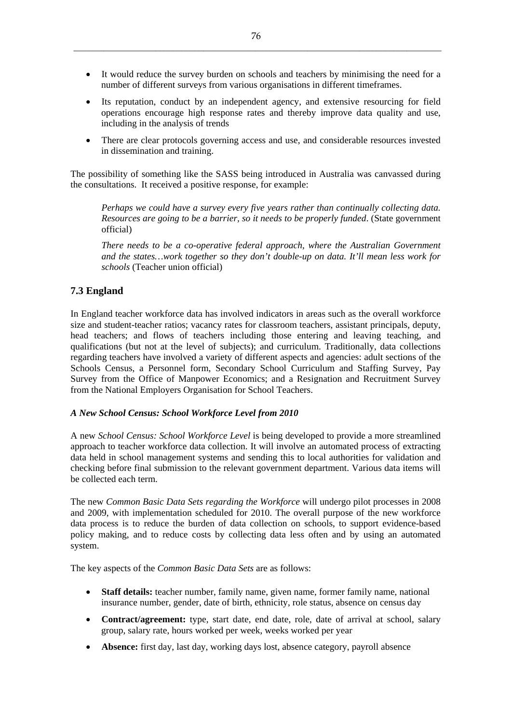- It would reduce the survey burden on schools and teachers by minimising the need for a number of different surveys from various organisations in different timeframes.
- Its reputation, conduct by an independent agency, and extensive resourcing for field operations encourage high response rates and thereby improve data quality and use, including in the analysis of trends
- There are clear protocols governing access and use, and considerable resources invested in dissemination and training.

The possibility of something like the SASS being introduced in Australia was canvassed during the consultations. It received a positive response, for example:

*Perhaps we could have a survey every five years rather than continually collecting data. Resources are going to be a barrier, so it needs to be properly funded*. (State government official)

*There needs to be a co-operative federal approach, where the Australian Government and the states…work together so they don't double-up on data. It'll mean less work for schools* (Teacher union official)

# **7.3 England**

In England teacher workforce data has involved indicators in areas such as the overall workforce size and student-teacher ratios; vacancy rates for classroom teachers, assistant principals, deputy, head teachers; and flows of teachers including those entering and leaving teaching, and qualifications (but not at the level of subjects); and curriculum. Traditionally, data collections regarding teachers have involved a variety of different aspects and agencies: adult sections of the Schools Census, a Personnel form, Secondary School Curriculum and Staffing Survey, Pay Survey from the Office of Manpower Economics; and a Resignation and Recruitment Survey from the National Employers Organisation for School Teachers.

# *A New School Census: School Workforce Level from 2010*

A new *School Census: School Workforce Level* is being developed to provide a more streamlined approach to teacher workforce data collection. It will involve an automated process of extracting data held in school management systems and sending this to local authorities for validation and checking before final submission to the relevant government department. Various data items will be collected each term.

The new *Common Basic Data Sets regarding the Workforce* will undergo pilot processes in 2008 and 2009, with implementation scheduled for 2010. The overall purpose of the new workforce data process is to reduce the burden of data collection on schools, to support evidence-based policy making, and to reduce costs by collecting data less often and by using an automated system.

The key aspects of the *Common Basic Data Sets* are as follows:

- **Staff details:** teacher number, family name, given name, former family name, national insurance number, gender, date of birth, ethnicity, role status, absence on census day
- **Contract/agreement:** type, start date, end date, role, date of arrival at school, salary group, salary rate, hours worked per week, weeks worked per year
- **Absence:** first day, last day, working days lost, absence category, payroll absence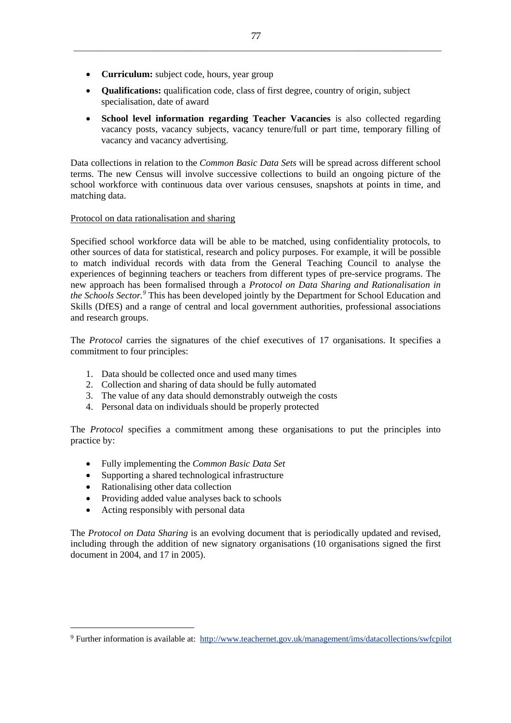- **Curriculum:** subject code, hours, year group
- **Qualifications:** qualification code, class of first degree, country of origin, subject specialisation, date of award
- **School level information regarding Teacher Vacancies** is also collected regarding vacancy posts, vacancy subjects, vacancy tenure/full or part time, temporary filling of vacancy and vacancy advertising.

Data collections in relation to the *Common Basic Data Sets* will be spread across different school terms. The new Census will involve successive collections to build an ongoing picture of the school workforce with continuous data over various censuses, snapshots at points in time, and matching data.

### Protocol on data rationalisation and sharing

Specified school workforce data will be able to be matched, using confidentiality protocols, to other sources of data for statistical, research and policy purposes. For example, it will be possible to match individual records with data from the General Teaching Council to analyse the experiences of beginning teachers or teachers from different types of pre-service programs. The new approach has been formalised through a *Protocol on Data Sharing and Rationalisation in the Schools Sector.<sup>9</sup>* This has been developed jointly by the Department for School Education and Skills (DfES) and a range of central and local government authorities, professional associations and research groups.

The *Protocol* carries the signatures of the chief executives of 17 organisations. It specifies a commitment to four principles:

- 1. Data should be collected once and used many times
- 2. Collection and sharing of data should be fully automated
- 3. The value of any data should demonstrably outweigh the costs
- 4. Personal data on individuals should be properly protected

The *Protocol* specifies a commitment among these organisations to put the principles into practice by:

- Fully implementing the *Common Basic Data Set*
- Supporting a shared technological infrastructure
- Rationalising other data collection

 $\overline{a}$ 

- Providing added value analyses back to schools
- Acting responsibly with personal data

The *Protocol on Data Sharing* is an evolving document that is periodically updated and revised, including through the addition of new signatory organisations (10 organisations signed the first document in 2004, and 17 in 2005).

<sup>9</sup> Further information is available at: http://www.teachernet.gov.uk/management/ims/datacollections/swfcpilot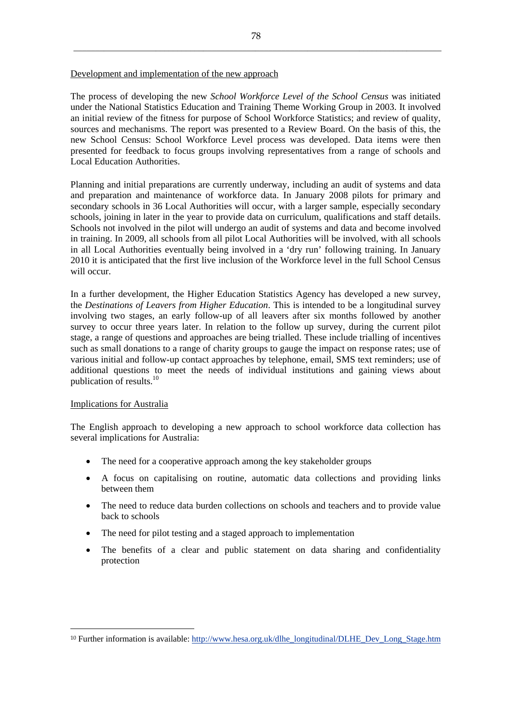### Development and implementation of the new approach

The process of developing the new *School Workforce Level of the School Census* was initiated under the National Statistics Education and Training Theme Working Group in 2003. It involved an initial review of the fitness for purpose of School Workforce Statistics; and review of quality, sources and mechanisms. The report was presented to a Review Board. On the basis of this, the new School Census: School Workforce Level process was developed. Data items were then presented for feedback to focus groups involving representatives from a range of schools and Local Education Authorities.

Planning and initial preparations are currently underway, including an audit of systems and data and preparation and maintenance of workforce data. In January 2008 pilots for primary and secondary schools in 36 Local Authorities will occur, with a larger sample, especially secondary schools, joining in later in the year to provide data on curriculum, qualifications and staff details. Schools not involved in the pilot will undergo an audit of systems and data and become involved in training. In 2009, all schools from all pilot Local Authorities will be involved, with all schools in all Local Authorities eventually being involved in a 'dry run' following training. In January 2010 it is anticipated that the first live inclusion of the Workforce level in the full School Census will occur

In a further development, the Higher Education Statistics Agency has developed a new survey, the *Destinations of Leavers from Higher Education*. This is intended to be a longitudinal survey involving two stages, an early follow-up of all leavers after six months followed by another survey to occur three years later. In relation to the follow up survey, during the current pilot stage, a range of questions and approaches are being trialled. These include trialling of incentives such as small donations to a range of charity groups to gauge the impact on response rates; use of various initial and follow-up contact approaches by telephone, email, SMS text reminders; use of additional questions to meet the needs of individual institutions and gaining views about publication of results.<sup>10</sup>

### Implications for Australia

 $\overline{a}$ 

The English approach to developing a new approach to school workforce data collection has several implications for Australia:

- The need for a cooperative approach among the key stakeholder groups
- A focus on capitalising on routine, automatic data collections and providing links between them
- The need to reduce data burden collections on schools and teachers and to provide value back to schools
- The need for pilot testing and a staged approach to implementation
- The benefits of a clear and public statement on data sharing and confidentiality protection

<sup>10</sup> Further information is available: http://www.hesa.org.uk/dlhe\_longitudinal/DLHE\_Dev\_Long\_Stage.htm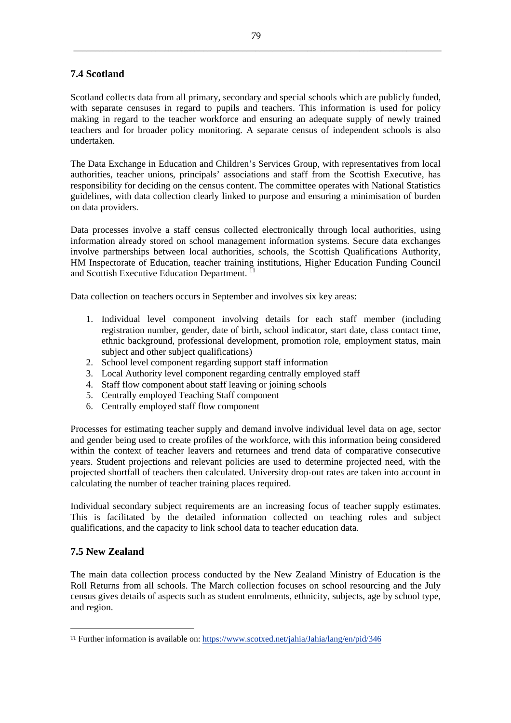# **7.4 Scotland**

Scotland collects data from all primary, secondary and special schools which are publicly funded, with separate censuses in regard to pupils and teachers. This information is used for policy making in regard to the teacher workforce and ensuring an adequate supply of newly trained teachers and for broader policy monitoring. A separate census of independent schools is also undertaken.

The Data Exchange in Education and Children's Services Group, with representatives from local authorities, teacher unions, principals' associations and staff from the Scottish Executive, has responsibility for deciding on the census content. The committee operates with National Statistics guidelines, with data collection clearly linked to purpose and ensuring a minimisation of burden on data providers.

Data processes involve a staff census collected electronically through local authorities, using information already stored on school management information systems. Secure data exchanges involve partnerships between local authorities, schools, the Scottish Qualifications Authority, HM Inspectorate of Education, teacher training institutions, Higher Education Funding Council and Scottish Executive Education Department.

Data collection on teachers occurs in September and involves six key areas:

- 1. Individual level component involving details for each staff member (including registration number, gender, date of birth, school indicator, start date, class contact time, ethnic background, professional development, promotion role, employment status, main subject and other subject qualifications)
- 2. School level component regarding support staff information
- 3. Local Authority level component regarding centrally employed staff
- 4. Staff flow component about staff leaving or joining schools
- 5. Centrally employed Teaching Staff component
- 6. Centrally employed staff flow component

Processes for estimating teacher supply and demand involve individual level data on age, sector and gender being used to create profiles of the workforce, with this information being considered within the context of teacher leavers and returnees and trend data of comparative consecutive years. Student projections and relevant policies are used to determine projected need, with the projected shortfall of teachers then calculated. University drop-out rates are taken into account in calculating the number of teacher training places required.

Individual secondary subject requirements are an increasing focus of teacher supply estimates. This is facilitated by the detailed information collected on teaching roles and subject qualifications, and the capacity to link school data to teacher education data.

# **7.5 New Zealand**

 $\overline{a}$ 

The main data collection process conducted by the New Zealand Ministry of Education is the Roll Returns from all schools. The March collection focuses on school resourcing and the July census gives details of aspects such as student enrolments, ethnicity, subjects, age by school type, and region.

<sup>11</sup> Further information is available on: https://www.scotxed.net/jahia/Jahia/lang/en/pid/346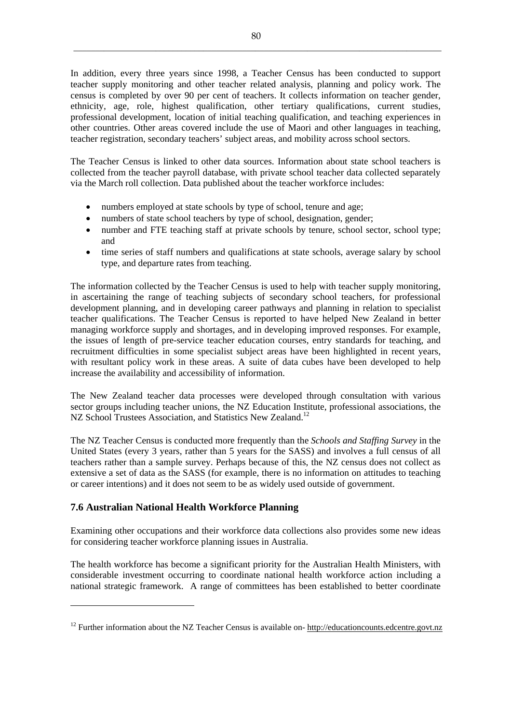In addition, every three years since 1998, a Teacher Census has been conducted to support teacher supply monitoring and other teacher related analysis, planning and policy work. The census is completed by over 90 per cent of teachers. It collects information on teacher gender, ethnicity, age, role, highest qualification, other tertiary qualifications, current studies, professional development, location of initial teaching qualification, and teaching experiences in other countries. Other areas covered include the use of Maori and other languages in teaching, teacher registration, secondary teachers' subject areas, and mobility across school sectors.

The Teacher Census is linked to other data sources. Information about state school teachers is collected from the teacher payroll database, with private school teacher data collected separately via the March roll collection. Data published about the teacher workforce includes:

- numbers employed at state schools by type of school, tenure and age;
- numbers of state school teachers by type of school, designation, gender;
- number and FTE teaching staff at private schools by tenure, school sector, school type; and
- time series of staff numbers and qualifications at state schools, average salary by school type, and departure rates from teaching.

The information collected by the Teacher Census is used to help with teacher supply monitoring, in ascertaining the range of teaching subjects of secondary school teachers, for professional development planning, and in developing career pathways and planning in relation to specialist teacher qualifications. The Teacher Census is reported to have helped New Zealand in better managing workforce supply and shortages, and in developing improved responses. For example, the issues of length of pre-service teacher education courses, entry standards for teaching, and recruitment difficulties in some specialist subject areas have been highlighted in recent years, with resultant policy work in these areas. A suite of data cubes have been developed to help increase the availability and accessibility of information.

The New Zealand teacher data processes were developed through consultation with various sector groups including teacher unions, the NZ Education Institute, professional associations, the NZ School Trustees Association, and Statistics New Zealand.<sup>12</sup>

The NZ Teacher Census is conducted more frequently than the *Schools and Staffing Survey* in the United States (every 3 years, rather than 5 years for the SASS) and involves a full census of all teachers rather than a sample survey. Perhaps because of this, the NZ census does not collect as extensive a set of data as the SASS (for example, there is no information on attitudes to teaching or career intentions) and it does not seem to be as widely used outside of government.

# **7.6 Australian National Health Workforce Planning**

 $\overline{a}$ 

Examining other occupations and their workforce data collections also provides some new ideas for considering teacher workforce planning issues in Australia.

The health workforce has become a significant priority for the Australian Health Ministers, with considerable investment occurring to coordinate national health workforce action including a national strategic framework. A range of committees has been established to better coordinate

 $12$  Further information about the NZ Teacher Census is available on- http://educationcounts.edcentre.govt.nz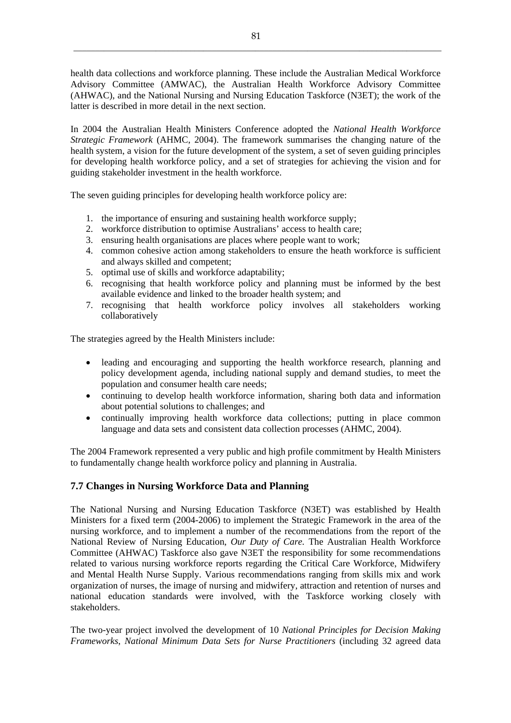health data collections and workforce planning. These include the Australian Medical Workforce Advisory Committee (AMWAC), the Australian Health Workforce Advisory Committee (AHWAC), and the National Nursing and Nursing Education Taskforce (N3ET); the work of the latter is described in more detail in the next section.

In 2004 the Australian Health Ministers Conference adopted the *National Health Workforce Strategic Framework* (AHMC, 2004). The framework summarises the changing nature of the health system, a vision for the future development of the system, a set of seven guiding principles for developing health workforce policy, and a set of strategies for achieving the vision and for guiding stakeholder investment in the health workforce.

The seven guiding principles for developing health workforce policy are:

- 1. the importance of ensuring and sustaining health workforce supply;
- 2. workforce distribution to optimise Australians' access to health care;
- 3. ensuring health organisations are places where people want to work;
- 4. common cohesive action among stakeholders to ensure the heath workforce is sufficient and always skilled and competent;
- 5. optimal use of skills and workforce adaptability;
- 6. recognising that health workforce policy and planning must be informed by the best available evidence and linked to the broader health system; and
- 7. recognising that health workforce policy involves all stakeholders working collaboratively

The strategies agreed by the Health Ministers include:

- leading and encouraging and supporting the health workforce research, planning and policy development agenda, including national supply and demand studies, to meet the population and consumer health care needs;
- continuing to develop health workforce information, sharing both data and information about potential solutions to challenges; and
- continually improving health workforce data collections; putting in place common language and data sets and consistent data collection processes (AHMC, 2004).

The 2004 Framework represented a very public and high profile commitment by Health Ministers to fundamentally change health workforce policy and planning in Australia.

### **7.7 Changes in Nursing Workforce Data and Planning**

The National Nursing and Nursing Education Taskforce (N3ET) was established by Health Ministers for a fixed term (2004-2006) to implement the Strategic Framework in the area of the nursing workforce, and to implement a number of the recommendations from the report of the National Review of Nursing Education, *Our Duty of Care.* The Australian Health Workforce Committee (AHWAC) Taskforce also gave N3ET the responsibility for some recommendations related to various nursing workforce reports regarding the Critical Care Workforce, Midwifery and Mental Health Nurse Supply. Various recommendations ranging from skills mix and work organization of nurses, the image of nursing and midwifery, attraction and retention of nurses and national education standards were involved, with the Taskforce working closely with stakeholders.

The two-year project involved the development of 10 *National Principles for Decision Making Frameworks*, *National Minimum Data Sets for Nurse Practitioners* (including 32 agreed data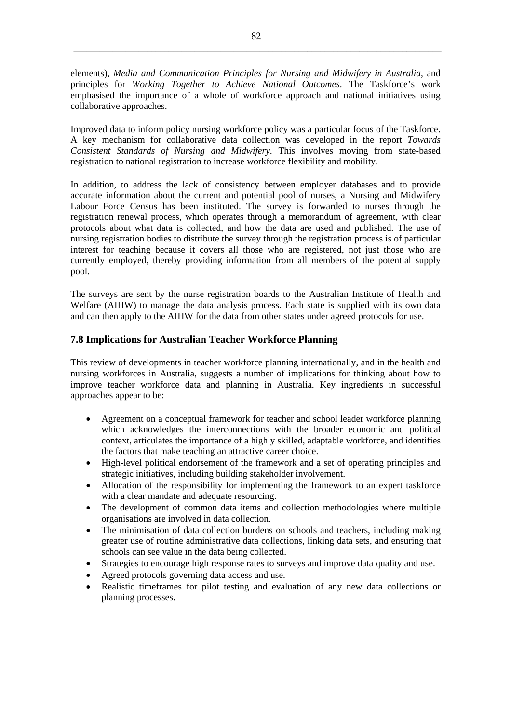elements), *Media and Communication Principles for Nursing and Midwifery in Australia*, and principles for *Working Together to Achieve National Outcomes*. The Taskforce's work emphasised the importance of a whole of workforce approach and national initiatives using collaborative approaches.

Improved data to inform policy nursing workforce policy was a particular focus of the Taskforce. A key mechanism for collaborative data collection was developed in the report *Towards Consistent Standards of Nursing and Midwifery*. This involves moving from state-based registration to national registration to increase workforce flexibility and mobility.

In addition, to address the lack of consistency between employer databases and to provide accurate information about the current and potential pool of nurses, a Nursing and Midwifery Labour Force Census has been instituted. The survey is forwarded to nurses through the registration renewal process, which operates through a memorandum of agreement, with clear protocols about what data is collected, and how the data are used and published. The use of nursing registration bodies to distribute the survey through the registration process is of particular interest for teaching because it covers all those who are registered, not just those who are currently employed, thereby providing information from all members of the potential supply pool.

The surveys are sent by the nurse registration boards to the Australian Institute of Health and Welfare (AIHW) to manage the data analysis process. Each state is supplied with its own data and can then apply to the AIHW for the data from other states under agreed protocols for use.

# **7.8 Implications for Australian Teacher Workforce Planning**

This review of developments in teacher workforce planning internationally, and in the health and nursing workforces in Australia, suggests a number of implications for thinking about how to improve teacher workforce data and planning in Australia. Key ingredients in successful approaches appear to be:

- Agreement on a conceptual framework for teacher and school leader workforce planning which acknowledges the interconnections with the broader economic and political context, articulates the importance of a highly skilled, adaptable workforce, and identifies the factors that make teaching an attractive career choice.
- High-level political endorsement of the framework and a set of operating principles and strategic initiatives, including building stakeholder involvement.
- Allocation of the responsibility for implementing the framework to an expert taskforce with a clear mandate and adequate resourcing.
- The development of common data items and collection methodologies where multiple organisations are involved in data collection.
- The minimisation of data collection burdens on schools and teachers, including making greater use of routine administrative data collections, linking data sets, and ensuring that schools can see value in the data being collected.
- Strategies to encourage high response rates to surveys and improve data quality and use.
- Agreed protocols governing data access and use.
- Realistic timeframes for pilot testing and evaluation of any new data collections or planning processes.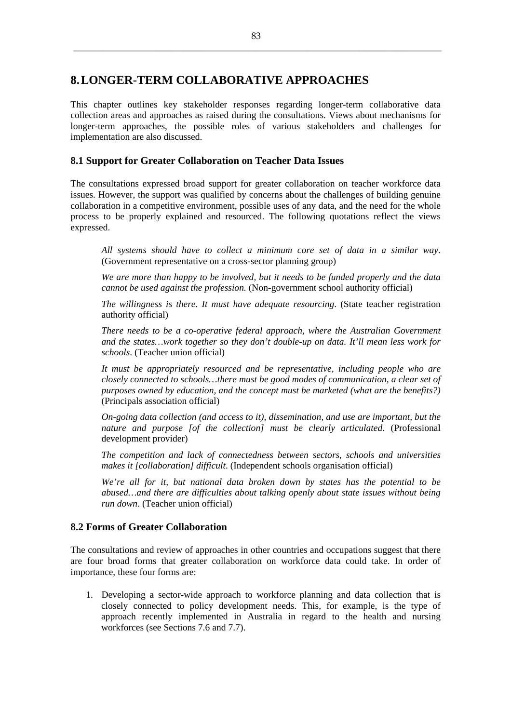# **8.LONGER-TERM COLLABORATIVE APPROACHES**

This chapter outlines key stakeholder responses regarding longer-term collaborative data collection areas and approaches as raised during the consultations. Views about mechanisms for longer-term approaches, the possible roles of various stakeholders and challenges for implementation are also discussed.

# **8.1 Support for Greater Collaboration on Teacher Data Issues**

The consultations expressed broad support for greater collaboration on teacher workforce data issues. However, the support was qualified by concerns about the challenges of building genuine collaboration in a competitive environment, possible uses of any data, and the need for the whole process to be properly explained and resourced. The following quotations reflect the views expressed.

*All systems should have to collect a minimum core set of data in a similar way*. (Government representative on a cross-sector planning group)

*We are more than happy to be involved, but it needs to be funded properly and the data cannot be used against the profession.* (Non-government school authority official)

*The willingness is there. It must have adequate resourcing*. (State teacher registration authority official)

*There needs to be a co-operative federal approach, where the Australian Government and the states…work together so they don't double-up on data. It'll mean less work for schools*. (Teacher union official)

*It must be appropriately resourced and be representative, including people who are closely connected to schools…there must be good modes of communication, a clear set of purposes owned by education, and the concept must be marketed (what are the benefits?)* (Principals association official)

*On-going data collection (and access to it), dissemination, and use are important, but the nature and purpose [of the collection] must be clearly articulated*. (Professional development provider)

*The competition and lack of connectedness between sectors, schools and universities makes it [collaboration] difficult*. (Independent schools organisation official)

*We're all for it, but national data broken down by states has the potential to be abused…and there are difficulties about talking openly about state issues without being run down*. (Teacher union official)

# **8.2 Forms of Greater Collaboration**

The consultations and review of approaches in other countries and occupations suggest that there are four broad forms that greater collaboration on workforce data could take. In order of importance, these four forms are:

1. Developing a sector-wide approach to workforce planning and data collection that is closely connected to policy development needs. This, for example, is the type of approach recently implemented in Australia in regard to the health and nursing workforces (see Sections 7.6 and 7.7).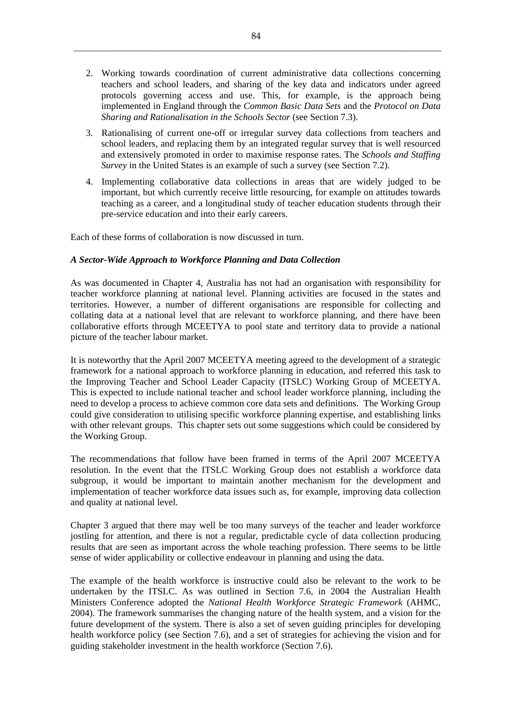- 2. Working towards coordination of current administrative data collections concerning teachers and school leaders, and sharing of the key data and indicators under agreed protocols governing access and use. This, for example, is the approach being implemented in England through the *Common Basic Data Sets* and the *Protocol on Data Sharing and Rationalisation in the Schools Sector* (see Section 7.3).
- 3. Rationalising of current one-off or irregular survey data collections from teachers and school leaders, and replacing them by an integrated regular survey that is well resourced and extensively promoted in order to maximise response rates. The *Schools and Staffing Survey* in the United States is an example of such a survey (see Section 7.2).
- 4. Implementing collaborative data collections in areas that are widely judged to be important, but which currently receive little resourcing, for example on attitudes towards teaching as a career, and a longitudinal study of teacher education students through their pre-service education and into their early careers.

Each of these forms of collaboration is now discussed in turn.

### *A Sector-Wide Approach to Workforce Planning and Data Collection*

As was documented in Chapter 4, Australia has not had an organisation with responsibility for teacher workforce planning at national level. Planning activities are focused in the states and territories. However, a number of different organisations are responsible for collecting and collating data at a national level that are relevant to workforce planning, and there have been collaborative efforts through MCEETYA to pool state and territory data to provide a national picture of the teacher labour market.

It is noteworthy that the April 2007 MCEETYA meeting agreed to the development of a strategic framework for a national approach to workforce planning in education, and referred this task to the Improving Teacher and School Leader Capacity (ITSLC) Working Group of MCEETYA. This is expected to include national teacher and school leader workforce planning, including the need to develop a process to achieve common core data sets and definitions. The Working Group could give consideration to utilising specific workforce planning expertise, and establishing links with other relevant groups. This chapter sets out some suggestions which could be considered by the Working Group.

The recommendations that follow have been framed in terms of the April 2007 MCEETYA resolution. In the event that the ITSLC Working Group does not establish a workforce data subgroup, it would be important to maintain another mechanism for the development and implementation of teacher workforce data issues such as, for example, improving data collection and quality at national level.

Chapter 3 argued that there may well be too many surveys of the teacher and leader workforce jostling for attention, and there is not a regular, predictable cycle of data collection producing results that are seen as important across the whole teaching profession. There seems to be little sense of wider applicability or collective endeavour in planning and using the data.

The example of the health workforce is instructive could also be relevant to the work to be undertaken by the ITSLC. As was outlined in Section 7.6, in 2004 the Australian Health Ministers Conference adopted the *National Health Workforce Strategic Framework* (AHMC, 2004). The framework summarises the changing nature of the health system, and a vision for the future development of the system. There is also a set of seven guiding principles for developing health workforce policy (see Section 7.6), and a set of strategies for achieving the vision and for guiding stakeholder investment in the health workforce (Section 7.6).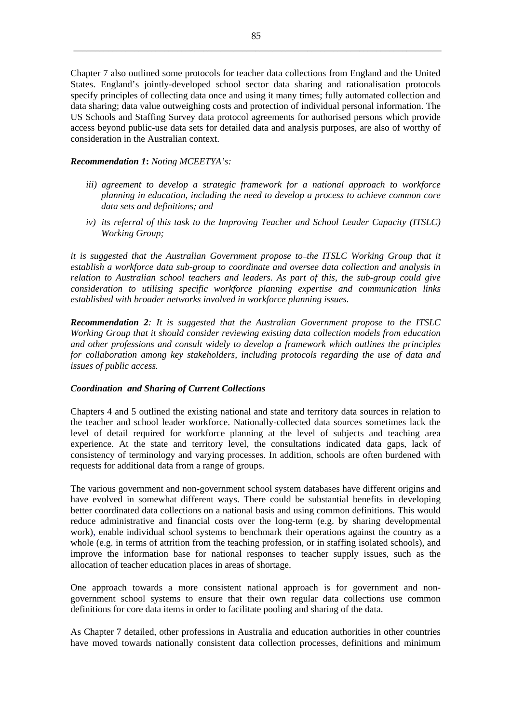Chapter 7 also outlined some protocols for teacher data collections from England and the United States. England's jointly-developed school sector data sharing and rationalisation protocols specify principles of collecting data once and using it many times; fully automated collection and data sharing; data value outweighing costs and protection of individual personal information. The US Schools and Staffing Survey data protocol agreements for authorised persons which provide access beyond public-use data sets for detailed data and analysis purposes, are also of worthy of consideration in the Australian context.

### *Recommendation 1***:** *Noting MCEETYA's:*

- *iii) agreement to develop a strategic framework for a national approach to workforce planning in education, including the need to develop a process to achieve common core data sets and definitions; and*
- *iv) its referral of this task to the Improving Teacher and School Leader Capacity (ITSLC) Working Group;*

*it is suggested that the Australian Government propose to-the ITSLC Working Group that it establish a workforce data sub-group to coordinate and oversee data collection and analysis in relation to Australian school teachers and leaders. As part of this, the sub-group could give consideration to utilising specific workforce planning expertise and communication links established with broader networks involved in workforce planning issues.* 

*Recommendation 2: It is suggested that the Australian Government propose to the ITSLC Working Group that it should consider reviewing existing data collection models from education and other professions and consult widely to develop a framework which outlines the principles for collaboration among key stakeholders, including protocols regarding the use of data and issues of public access.*

### *Coordination and Sharing of Current Collections*

Chapters 4 and 5 outlined the existing national and state and territory data sources in relation to the teacher and school leader workforce. Nationally-collected data sources sometimes lack the level of detail required for workforce planning at the level of subjects and teaching area experience. At the state and territory level, the consultations indicated data gaps, lack of consistency of terminology and varying processes. In addition, schools are often burdened with requests for additional data from a range of groups.

The various government and non-government school system databases have different origins and have evolved in somewhat different ways. There could be substantial benefits in developing better coordinated data collections on a national basis and using common definitions. This would reduce administrative and financial costs over the long-term (e.g. by sharing developmental work), enable individual school systems to benchmark their operations against the country as a whole (e.g. in terms of attrition from the teaching profession, or in staffing isolated schools), and improve the information base for national responses to teacher supply issues, such as the allocation of teacher education places in areas of shortage.

One approach towards a more consistent national approach is for government and nongovernment school systems to ensure that their own regular data collections use common definitions for core data items in order to facilitate pooling and sharing of the data.

As Chapter 7 detailed, other professions in Australia and education authorities in other countries have moved towards nationally consistent data collection processes, definitions and minimum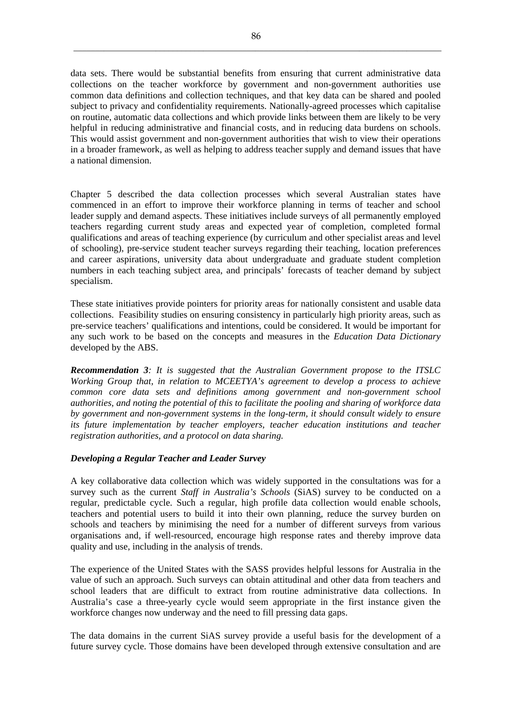data sets. There would be substantial benefits from ensuring that current administrative data collections on the teacher workforce by government and non-government authorities use common data definitions and collection techniques, and that key data can be shared and pooled subject to privacy and confidentiality requirements. Nationally-agreed processes which capitalise on routine, automatic data collections and which provide links between them are likely to be very helpful in reducing administrative and financial costs, and in reducing data burdens on schools. This would assist government and non-government authorities that wish to view their operations in a broader framework, as well as helping to address teacher supply and demand issues that have a national dimension.

Chapter 5 described the data collection processes which several Australian states have commenced in an effort to improve their workforce planning in terms of teacher and school leader supply and demand aspects. These initiatives include surveys of all permanently employed teachers regarding current study areas and expected year of completion, completed formal qualifications and areas of teaching experience (by curriculum and other specialist areas and level of schooling), pre-service student teacher surveys regarding their teaching, location preferences and career aspirations, university data about undergraduate and graduate student completion numbers in each teaching subject area, and principals' forecasts of teacher demand by subject specialism.

These state initiatives provide pointers for priority areas for nationally consistent and usable data collections. Feasibility studies on ensuring consistency in particularly high priority areas, such as pre-service teachers' qualifications and intentions, could be considered. It would be important for any such work to be based on the concepts and measures in the *Education Data Dictionary* developed by the ABS.

*Recommendation 3: It is suggested that the Australian Government propose to the ITSLC Working Group that, in relation to MCEETYA's agreement to develop a process to achieve common core data sets and definitions among government and non-government school authorities, and noting the potential of this to facilitate the pooling and sharing of workforce data by government and non-government systems in the long-term, it should consult widely to ensure its future implementation by teacher employers, teacher education institutions and teacher registration authorities, and a protocol on data sharing.*

### *Developing a Regular Teacher and Leader Survey*

A key collaborative data collection which was widely supported in the consultations was for a survey such as the current *Staff in Australia's Schools* (SiAS) survey to be conducted on a regular, predictable cycle. Such a regular, high profile data collection would enable schools, teachers and potential users to build it into their own planning, reduce the survey burden on schools and teachers by minimising the need for a number of different surveys from various organisations and, if well-resourced, encourage high response rates and thereby improve data quality and use, including in the analysis of trends.

The experience of the United States with the SASS provides helpful lessons for Australia in the value of such an approach. Such surveys can obtain attitudinal and other data from teachers and school leaders that are difficult to extract from routine administrative data collections. In Australia's case a three-yearly cycle would seem appropriate in the first instance given the workforce changes now underway and the need to fill pressing data gaps.

The data domains in the current SiAS survey provide a useful basis for the development of a future survey cycle. Those domains have been developed through extensive consultation and are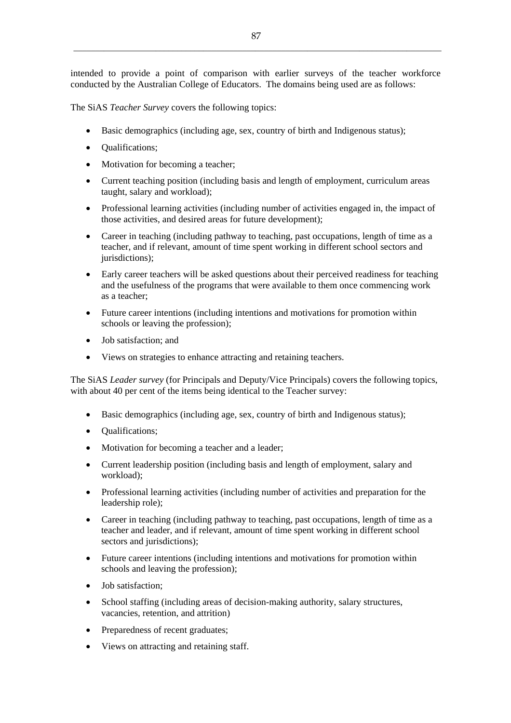intended to provide a point of comparison with earlier surveys of the teacher workforce conducted by the Australian College of Educators. The domains being used are as follows:

The SiAS *Teacher Survey* covers the following topics:

- Basic demographics (including age, sex, country of birth and Indigenous status);
- Qualifications;
- Motivation for becoming a teacher;
- Current teaching position (including basis and length of employment, curriculum areas taught, salary and workload);
- Professional learning activities (including number of activities engaged in, the impact of those activities, and desired areas for future development);
- Career in teaching (including pathway to teaching, past occupations, length of time as a teacher, and if relevant, amount of time spent working in different school sectors and jurisdictions);
- Early career teachers will be asked questions about their perceived readiness for teaching and the usefulness of the programs that were available to them once commencing work as a teacher;
- Future career intentions (including intentions and motivations for promotion within schools or leaving the profession);
- Job satisfaction; and
- Views on strategies to enhance attracting and retaining teachers.

The SiAS *Leader survey* (for Principals and Deputy/Vice Principals) covers the following topics, with about 40 per cent of the items being identical to the Teacher survey:

- Basic demographics (including age, sex, country of birth and Indigenous status);
- Qualifications;
- Motivation for becoming a teacher and a leader;
- Current leadership position (including basis and length of employment, salary and workload);
- Professional learning activities (including number of activities and preparation for the leadership role);
- Career in teaching (including pathway to teaching, past occupations, length of time as a teacher and leader, and if relevant, amount of time spent working in different school sectors and jurisdictions);
- Future career intentions (including intentions and motivations for promotion within schools and leaving the profession);
- Job satisfaction;
- School staffing (including areas of decision-making authority, salary structures, vacancies, retention, and attrition)
- Preparedness of recent graduates;
- Views on attracting and retaining staff.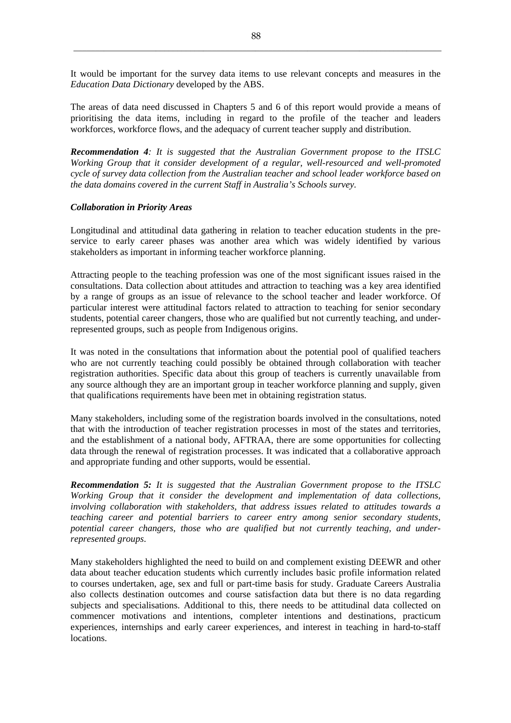It would be important for the survey data items to use relevant concepts and measures in the *Education Data Dictionary* developed by the ABS.

The areas of data need discussed in Chapters 5 and 6 of this report would provide a means of prioritising the data items, including in regard to the profile of the teacher and leaders workforces, workforce flows, and the adequacy of current teacher supply and distribution.

*Recommendation 4: It is suggested that the Australian Government propose to the ITSLC Working Group that it consider development of a regular, well-resourced and well-promoted cycle of survey data collection from the Australian teacher and school leader workforce based on the data domains covered in the current Staff in Australia's Schools survey.*

#### *Collaboration in Priority Areas*

Longitudinal and attitudinal data gathering in relation to teacher education students in the preservice to early career phases was another area which was widely identified by various stakeholders as important in informing teacher workforce planning.

Attracting people to the teaching profession was one of the most significant issues raised in the consultations. Data collection about attitudes and attraction to teaching was a key area identified by a range of groups as an issue of relevance to the school teacher and leader workforce. Of particular interest were attitudinal factors related to attraction to teaching for senior secondary students, potential career changers, those who are qualified but not currently teaching, and underrepresented groups, such as people from Indigenous origins.

It was noted in the consultations that information about the potential pool of qualified teachers who are not currently teaching could possibly be obtained through collaboration with teacher registration authorities. Specific data about this group of teachers is currently unavailable from any source although they are an important group in teacher workforce planning and supply, given that qualifications requirements have been met in obtaining registration status.

Many stakeholders, including some of the registration boards involved in the consultations, noted that with the introduction of teacher registration processes in most of the states and territories, and the establishment of a national body, AFTRAA, there are some opportunities for collecting data through the renewal of registration processes. It was indicated that a collaborative approach and appropriate funding and other supports, would be essential.

*Recommendation 5: It is suggested that the Australian Government propose to the ITSLC Working Group that it consider the development and implementation of data collections, involving collaboration with stakeholders, that address issues related to attitudes towards a teaching career and potential barriers to career entry among senior secondary students, potential career changers, those who are qualified but not currently teaching, and underrepresented groups*.

Many stakeholders highlighted the need to build on and complement existing DEEWR and other data about teacher education students which currently includes basic profile information related to courses undertaken, age, sex and full or part-time basis for study. Graduate Careers Australia also collects destination outcomes and course satisfaction data but there is no data regarding subjects and specialisations. Additional to this, there needs to be attitudinal data collected on commencer motivations and intentions, completer intentions and destinations, practicum experiences, internships and early career experiences, and interest in teaching in hard-to-staff locations.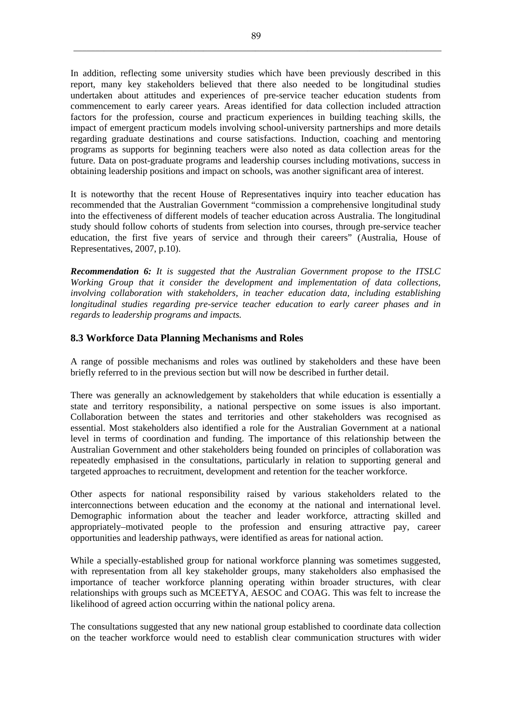In addition, reflecting some university studies which have been previously described in this report, many key stakeholders believed that there also needed to be longitudinal studies undertaken about attitudes and experiences of pre-service teacher education students from commencement to early career years. Areas identified for data collection included attraction factors for the profession, course and practicum experiences in building teaching skills, the impact of emergent practicum models involving school-university partnerships and more details regarding graduate destinations and course satisfactions. Induction, coaching and mentoring programs as supports for beginning teachers were also noted as data collection areas for the future. Data on post-graduate programs and leadership courses including motivations, success in obtaining leadership positions and impact on schools, was another significant area of interest.

It is noteworthy that the recent House of Representatives inquiry into teacher education has recommended that the Australian Government "commission a comprehensive longitudinal study into the effectiveness of different models of teacher education across Australia. The longitudinal study should follow cohorts of students from selection into courses, through pre-service teacher education, the first five years of service and through their careers" (Australia, House of Representatives, 2007, p.10).

*Recommendation 6: It is suggested that the Australian Government propose to the ITSLC Working Group that it consider the development and implementation of data collections, involving collaboration with stakeholders, in teacher education data, including establishing longitudinal studies regarding pre-service teacher education to early career phases and in regards to leadership programs and impacts.* 

### **8.3 Workforce Data Planning Mechanisms and Roles**

A range of possible mechanisms and roles was outlined by stakeholders and these have been briefly referred to in the previous section but will now be described in further detail.

There was generally an acknowledgement by stakeholders that while education is essentially a state and territory responsibility, a national perspective on some issues is also important. Collaboration between the states and territories and other stakeholders was recognised as essential. Most stakeholders also identified a role for the Australian Government at a national level in terms of coordination and funding. The importance of this relationship between the Australian Government and other stakeholders being founded on principles of collaboration was repeatedly emphasised in the consultations, particularly in relation to supporting general and targeted approaches to recruitment, development and retention for the teacher workforce.

Other aspects for national responsibility raised by various stakeholders related to the interconnections between education and the economy at the national and international level. Demographic information about the teacher and leader workforce, attracting skilled and appropriately–motivated people to the profession and ensuring attractive pay, career opportunities and leadership pathways, were identified as areas for national action.

While a specially-established group for national workforce planning was sometimes suggested, with representation from all key stakeholder groups, many stakeholders also emphasised the importance of teacher workforce planning operating within broader structures, with clear relationships with groups such as MCEETYA, AESOC and COAG. This was felt to increase the likelihood of agreed action occurring within the national policy arena.

The consultations suggested that any new national group established to coordinate data collection on the teacher workforce would need to establish clear communication structures with wider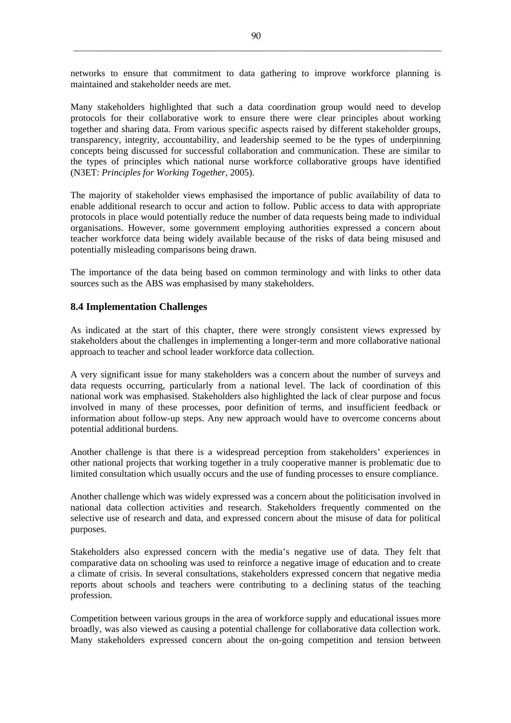networks to ensure that commitment to data gathering to improve workforce planning is maintained and stakeholder needs are met.

Many stakeholders highlighted that such a data coordination group would need to develop protocols for their collaborative work to ensure there were clear principles about working together and sharing data. From various specific aspects raised by different stakeholder groups, transparency, integrity, accountability, and leadership seemed to be the types of underpinning concepts being discussed for successful collaboration and communication. These are similar to the types of principles which national nurse workforce collaborative groups have identified (N3ET: *Principles for Working Together*, 2005).

The majority of stakeholder views emphasised the importance of public availability of data to enable additional research to occur and action to follow. Public access to data with appropriate protocols in place would potentially reduce the number of data requests being made to individual organisations. However, some government employing authorities expressed a concern about teacher workforce data being widely available because of the risks of data being misused and potentially misleading comparisons being drawn.

The importance of the data being based on common terminology and with links to other data sources such as the ABS was emphasised by many stakeholders.

### **8.4 Implementation Challenges**

As indicated at the start of this chapter, there were strongly consistent views expressed by stakeholders about the challenges in implementing a longer-term and more collaborative national approach to teacher and school leader workforce data collection.

A very significant issue for many stakeholders was a concern about the number of surveys and data requests occurring, particularly from a national level. The lack of coordination of this national work was emphasised. Stakeholders also highlighted the lack of clear purpose and focus involved in many of these processes, poor definition of terms, and insufficient feedback or information about follow-up steps. Any new approach would have to overcome concerns about potential additional burdens.

Another challenge is that there is a widespread perception from stakeholders' experiences in other national projects that working together in a truly cooperative manner is problematic due to limited consultation which usually occurs and the use of funding processes to ensure compliance.

Another challenge which was widely expressed was a concern about the politicisation involved in national data collection activities and research. Stakeholders frequently commented on the selective use of research and data, and expressed concern about the misuse of data for political purposes.

Stakeholders also expressed concern with the media's negative use of data. They felt that comparative data on schooling was used to reinforce a negative image of education and to create a climate of crisis. In several consultations, stakeholders expressed concern that negative media reports about schools and teachers were contributing to a declining status of the teaching profession.

Competition between various groups in the area of workforce supply and educational issues more broadly, was also viewed as causing a potential challenge for collaborative data collection work. Many stakeholders expressed concern about the on-going competition and tension between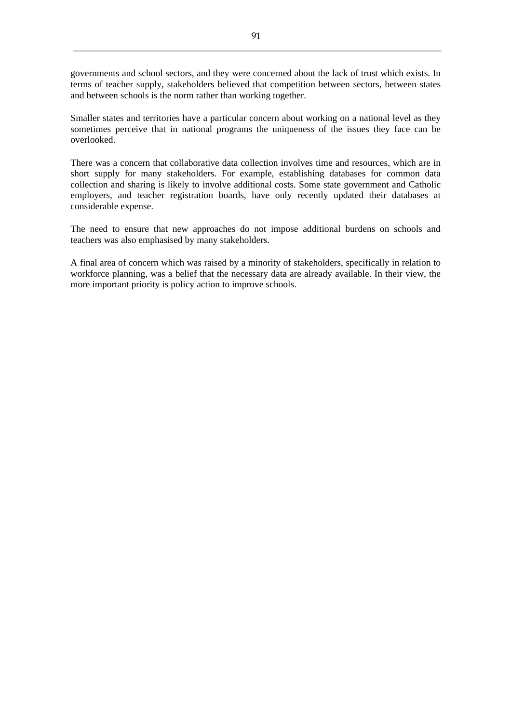governments and school sectors, and they were concerned about the lack of trust which exists. In terms of teacher supply, stakeholders believed that competition between sectors, between states and between schools is the norm rather than working together.

Smaller states and territories have a particular concern about working on a national level as they sometimes perceive that in national programs the uniqueness of the issues they face can be overlooked.

There was a concern that collaborative data collection involves time and resources, which are in short supply for many stakeholders. For example, establishing databases for common data collection and sharing is likely to involve additional costs. Some state government and Catholic employers, and teacher registration boards, have only recently updated their databases at considerable expense.

The need to ensure that new approaches do not impose additional burdens on schools and teachers was also emphasised by many stakeholders.

A final area of concern which was raised by a minority of stakeholders, specifically in relation to workforce planning, was a belief that the necessary data are already available. In their view, the more important priority is policy action to improve schools.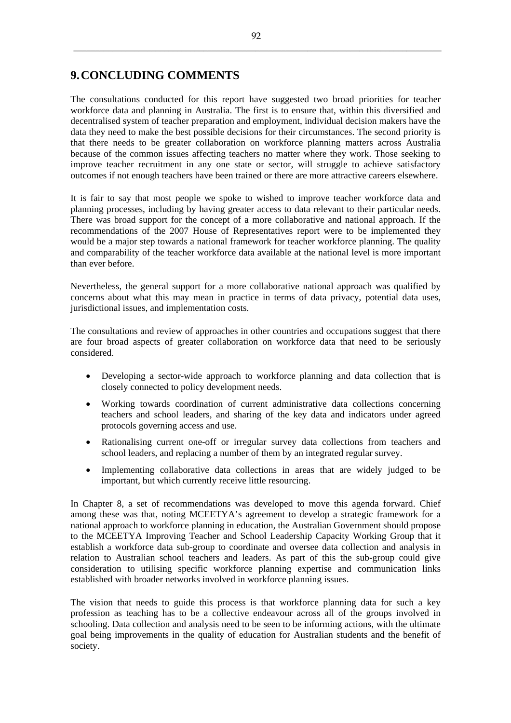# **9.CONCLUDING COMMENTS**

The consultations conducted for this report have suggested two broad priorities for teacher workforce data and planning in Australia. The first is to ensure that, within this diversified and decentralised system of teacher preparation and employment, individual decision makers have the data they need to make the best possible decisions for their circumstances. The second priority is that there needs to be greater collaboration on workforce planning matters across Australia because of the common issues affecting teachers no matter where they work. Those seeking to improve teacher recruitment in any one state or sector, will struggle to achieve satisfactory outcomes if not enough teachers have been trained or there are more attractive careers elsewhere.

It is fair to say that most people we spoke to wished to improve teacher workforce data and planning processes, including by having greater access to data relevant to their particular needs. There was broad support for the concept of a more collaborative and national approach. If the recommendations of the 2007 House of Representatives report were to be implemented they would be a major step towards a national framework for teacher workforce planning. The quality and comparability of the teacher workforce data available at the national level is more important than ever before.

Nevertheless, the general support for a more collaborative national approach was qualified by concerns about what this may mean in practice in terms of data privacy, potential data uses, jurisdictional issues, and implementation costs.

The consultations and review of approaches in other countries and occupations suggest that there are four broad aspects of greater collaboration on workforce data that need to be seriously considered.

- Developing a sector-wide approach to workforce planning and data collection that is closely connected to policy development needs.
- Working towards coordination of current administrative data collections concerning teachers and school leaders, and sharing of the key data and indicators under agreed protocols governing access and use.
- Rationalising current one-off or irregular survey data collections from teachers and school leaders, and replacing a number of them by an integrated regular survey.
- Implementing collaborative data collections in areas that are widely judged to be important, but which currently receive little resourcing.

In Chapter 8, a set of recommendations was developed to move this agenda forward. Chief among these was that, noting MCEETYA's agreement to develop a strategic framework for a national approach to workforce planning in education, the Australian Government should propose to the MCEETYA Improving Teacher and School Leadership Capacity Working Group that it establish a workforce data sub-group to coordinate and oversee data collection and analysis in relation to Australian school teachers and leaders. As part of this the sub-group could give consideration to utilising specific workforce planning expertise and communication links established with broader networks involved in workforce planning issues.

The vision that needs to guide this process is that workforce planning data for such a key profession as teaching has to be a collective endeavour across all of the groups involved in schooling. Data collection and analysis need to be seen to be informing actions, with the ultimate goal being improvements in the quality of education for Australian students and the benefit of society.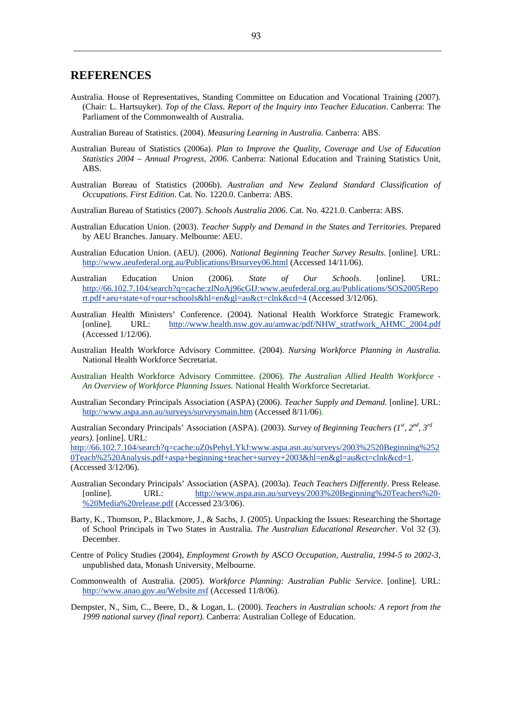# **REFERENCES**

- Australia. House of Representatives, Standing Committee on Education and Vocational Training (2007). (Chair: L. Hartsuyker). *Top of the Class. Report of the Inquiry into Teacher Education*. Canberra: The Parliament of the Commonwealth of Australia.
- Australian Bureau of Statistics. (2004). *Measuring Learning in Australia*. Canberra: ABS.
- Australian Bureau of Statistics (2006a). *Plan to Improve the Quality, Coverage and Use of Education Statistics 2004 – Annual Progress, 2006*. Canberra: National Education and Training Statistics Unit, **ABS**.
- Australian Bureau of Statistics (2006b). *Australian and New Zealand Standard Classification of Occupations. First Edition*. Cat. No. 1220.0. Canberra: ABS.
- Australian Bureau of Statistics (2007). *Schools Australia 2006*. Cat. No. 4221.0. Canberra: ABS.
- Australian Education Union. (2003). *Teacher Supply and Demand in the States and Territories*. Prepared by AEU Branches. January. Melbourne: AEU.
- Australian Education Union. (AEU). (2006). *National Beginning Teacher Survey Results*. [online]. URL: http://www.aeufederal.org.au/Publications/Btsurvey06.html (Accessed 14/11/06).
- Australian Education Union (2006). *State of Our Schools*. [online]. URL: http://66.102.7.104/search?q=cache:zlNoAj96cGIJ:www.aeufederal.org.au/Publications/SOS2005Repo rt.pdf+aeu+state+of+our+schools&hl=en&gl=au&ct=clnk&cd=4 (Accessed 3/12/06).
- Australian Health Ministers' Conference. (2004). National Health Workforce Strategic Framework. [online]. URL: http://www.health.nsw.gov.au/amwac/pdf/NHW\_stratfwork\_AHMC\_2004.pdf (Accessed 1/12/06).
- Australian Health Workforce Advisory Committee. (2004). *Nursing Workforce Planning in Australia.*  National Health Workforce Secretariat.
- Australian Health Workforce Advisory Committee. (2006). *The Australian Allied Health Workforce An Overview of Workforce Planning Issues.* National Health Workforce Secretariat.
- Australian Secondary Principals Association (ASPA) (2006). *Teacher Supply and Demand*. [online]. URL: http://www.aspa.asn.au/surveys/surveysmain.htm (Accessed 8/11/06).

Australian Secondary Principals' Association (ASPA). (2003). *Survey of Beginning Teachers (1st, 2nd, 3rd years).* [online]. URL:

http://66.102.7.104/search?q=cache:uZ0sPehyLYkJ:www.aspa.asn.au/surveys/2003%2520Beginning%252 0Teach%2520Analysis.pdf+aspa+beginning+teacher+survey+2003&hl=en&gl=au&ct=clnk&cd=1. (Accessed 3/12/06).

- Australian Secondary Principals' Association (ASPA). (2003a). *Teach Teachers Differently*. Press Release. [online]. URL: http://www.aspa.asn.au/surveys/2003%20Beginning%20Teachers%20- %20Media%20release.pdf (Accessed 23/3/06).
- Barty, K., Thomson, P., Blackmore, J., & Sachs, J. (2005). Unpacking the Issues: Researching the Shortage of School Principals in Two States in Australia. *The Australian Educational Researcher*. Vol 32 (3). December.
- Centre of Policy Studies (2004), *Employment Growth by ASCO Occupation, Australia, 1994-5 to 2002-3*, unpublished data, Monash University, Melbourne.
- Commonwealth of Australia. (2005). *Workforce Planning: Australian Public Service*. [online]. URL: http://www.anao.gov.au/Website.nsf (Accessed 11/8/06).
- Dempster, N., Sim, C., Beere, D., & Logan, L. (2000). *Teachers in Australian schools: A report from the 1999 national survey (final report).* Canberra: Australian College of Education.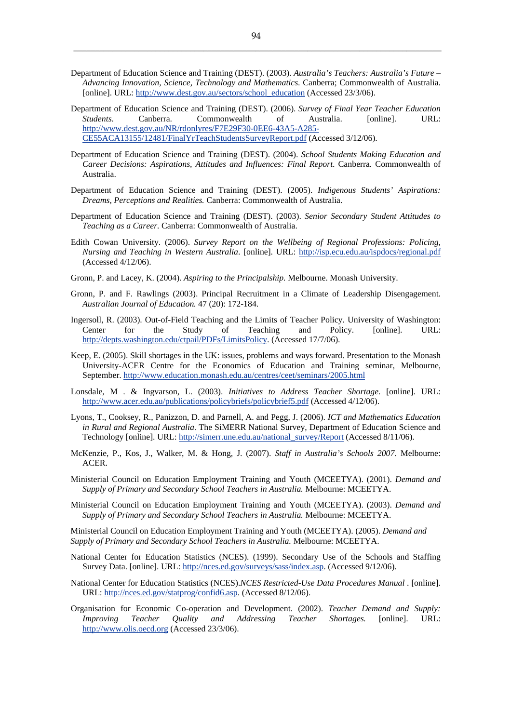- Department of Education Science and Training (DEST). (2003). *Australia's Teachers: Australia's Future Advancing Innovation, Science, Technology and Mathematics*. Canberra; Commonwealth of Australia. [online]. URL: http://www.dest.gov.au/sectors/school\_education (Accessed 23/3/06).
- Department of Education Science and Training (DEST). (2006). *Survey of Final Year Teacher Education Students.* Canberra. Commonwealth of Australia. [online]. URL: http://www.dest.gov.au/NR/rdonlyres/F7E29F30-0EE6-43A5-A285- CE55ACA13155/12481/FinalYrTeachStudentsSurveyReport.pdf (Accessed 3/12/06).
- Department of Education Science and Training (DEST). (2004). *School Students Making Education and Career Decisions: Aspirations, Attitudes and Influences: Final Report*. Canberra. Commonwealth of Australia.
- Department of Education Science and Training (DEST). (2005). *Indigenous Students' Aspirations: Dreams, Perceptions and Realities.* Canberra: Commonwealth of Australia.
- Department of Education Science and Training (DEST). (2003). *Senior Secondary Student Attitudes to Teaching as a Career.* Canberra: Commonwealth of Australia.
- Edith Cowan University. (2006). *Survey Report on the Wellbeing of Regional Professions: Policing, Nursing and Teaching in Western Australia*. [online]. URL: http://isp.ecu.edu.au/ispdocs/regional.pdf (Accessed 4/12/06).
- Gronn, P. and Lacey, K. (2004). *Aspiring to the Principalship.* Melbourne. Monash University.
- Gronn, P. and F. Rawlings (2003). Principal Recruitment in a Climate of Leadership Disengagement. *Australian Journal of Education.* 47 (20): 172-184.
- Ingersoll, R. (2003). Out-of-Field Teaching and the Limits of Teacher Policy. University of Washington: Center for the Study of Teaching and Policy. [online]. URL: http://depts.washington.edu/ctpail/PDFs/LimitsPolicy. (Accessed 17/7/06).
- Keep, E. (2005). Skill shortages in the UK: issues, problems and ways forward. Presentation to the Monash University-ACER Centre for the Economics of Education and Training seminar, Melbourne, September. http://www.education.monash.edu.au/centres/ceet/seminars/2005.html
- Lonsdale, M . & Ingvarson, L. (2003). *Initiatives to Address Teacher Shortage*. [online]. URL: http://www.acer.edu.au/publications/policybriefs/policybrief5.pdf (Accessed 4/12/06).
- Lyons, T., Cooksey, R., Panizzon, D. and Parnell, A. and Pegg, J. (2006). *ICT and Mathematics Education in Rural and Regional Australia*. The SiMERR National Survey, Department of Education Science and Technology [online]. URL: http://simerr.une.edu.au/national\_survey/Report (Accessed 8/11/06).
- McKenzie, P., Kos, J., Walker, M. & Hong, J. (2007). *Staff in Australia's Schools 2007*. Melbourne: ACER.
- Ministerial Council on Education Employment Training and Youth (MCEETYA). (2001). *Demand and Supply of Primary and Secondary School Teachers in Australia.* Melbourne: MCEETYA.
- Ministerial Council on Education Employment Training and Youth (MCEETYA). (2003). *Demand and Supply of Primary and Secondary School Teachers in Australia.* Melbourne: MCEETYA.

Ministerial Council on Education Employment Training and Youth (MCEETYA). (2005). *Demand and Supply of Primary and Secondary School Teachers in Australia.* Melbourne: MCEETYA.

- National Center for Education Statistics (NCES). (1999). Secondary Use of the Schools and Staffing Survey Data. [online]. URL: http://nces.ed.gov/surveys/sass/index.asp. (Accessed 9/12/06).
- National Center for Education Statistics (NCES).*NCES Restricted-Use Data Procedures Manual* . [online]. URL: http://nces.ed.gov/statprog/confid6.asp. (Accessed 8/12/06).
- Organisation for Economic Co-operation and Development. (2002). *Teacher Demand and Supply: Improving Teacher Quality and Addressing Teacher Shortages.* [online]. URL: http://www.olis.oecd.org (Accessed 23/3/06).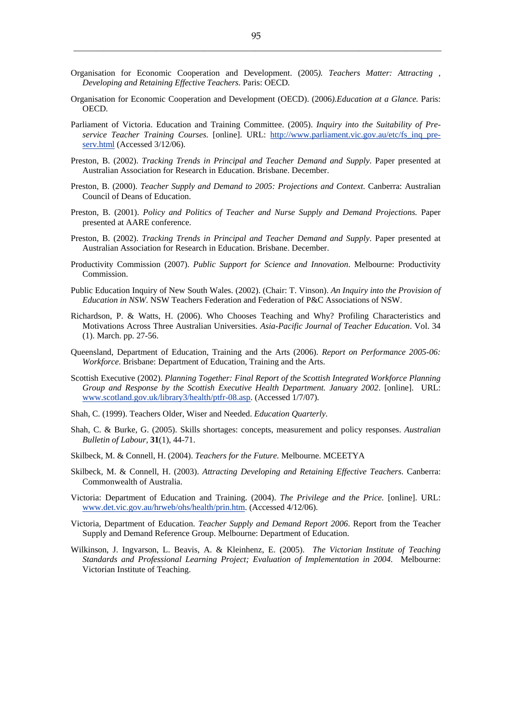- Organisation for Economic Cooperation and Development. (2005*). Teachers Matter: Attracting , Developing and Retaining Effective Teachers.* Paris: OECD*.*
- Organisation for Economic Cooperation and Development (OECD). (2006*).Education at a Glance.* Paris: OECD*.*
- Parliament of Victoria. Education and Training Committee. (2005). *Inquiry into the Suitability of Preservice Teacher Training Courses.* [online]. URL: http://www.parliament.vic.gov.au/etc/fs\_inq\_preserv.html (Accessed 3/12/06).
- Preston, B. (2002). *Tracking Trends in Principal and Teacher Demand and Supply*. Paper presented at Australian Association for Research in Education. Brisbane. December.
- Preston, B. (2000). *Teacher Supply and Demand to 2005: Projections and Context*. Canberra: Australian Council of Deans of Education.
- Preston, B. (2001). *Policy and Politics of Teacher and Nurse Supply and Demand Projections.* Paper presented at AARE conference.
- Preston, B. (2002). *Tracking Trends in Principal and Teacher Demand and Supply*. Paper presented at Australian Association for Research in Education. Brisbane. December.
- Productivity Commission (2007). *Public Support for Science and Innovation*. Melbourne: Productivity Commission.
- Public Education Inquiry of New South Wales. (2002). (Chair: T. Vinson). *An Inquiry into the Provision of Education in NSW*. NSW Teachers Federation and Federation of P&C Associations of NSW.
- Richardson, P. & Watts, H. (2006). Who Chooses Teaching and Why? Profiling Characteristics and Motivations Across Three Australian Universities. *Asia-Pacific Journal of Teacher Education*. Vol. 34 (1). March. pp. 27-56.
- Queensland, Department of Education, Training and the Arts (2006). *Report on Performance 2005-06: Workforce*. Brisbane: Department of Education, Training and the Arts.
- Scottish Executive (2002). *Planning Together: Final Report of the Scottish Integrated Workforce Planning Group and Response by the Scottish Executive Health Department. January 2002*. [online]. URL: www.scotland.gov.uk/library3/health/ptfr-08.asp. (Accessed 1/7/07).
- Shah, C. (1999). Teachers Older, Wiser and Needed. *Education Quarterly*.
- Shah, C. & Burke, G. (2005). Skills shortages: concepts, measurement and policy responses. *Australian Bulletin of Labour,* **31**(1), 44-71.
- Skilbeck, M. & Connell, H. (2004). *Teachers for the Future.* Melbourne. MCEETYA
- Skilbeck, M. & Connell, H. (2003). *Attracting Developing and Retaining Effective Teachers.* Canberra: Commonwealth of Australia.
- Victoria: Department of Education and Training. (2004). *The Privilege and the Price.* [online]. URL: www.det.vic.gov.au/hrweb/ohs/health/prin.htm. (Accessed 4/12/06).
- Victoria, Department of Education. *Teacher Supply and Demand Report 2006*. Report from the Teacher Supply and Demand Reference Group. Melbourne: Department of Education.
- Wilkinson, J. Ingvarson, L. Beavis, A. & Kleinhenz, E. (2005). *The Victorian Institute of Teaching Standards and Professional Learning Project; Evaluation of Implementation in 2004*. Melbourne: Victorian Institute of Teaching.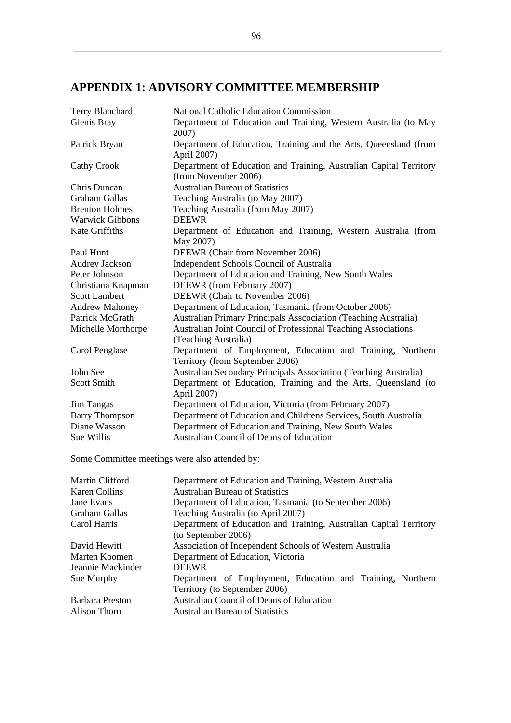# **APPENDIX 1: ADVISORY COMMITTEE MEMBERSHIP**

| Terry Blanchard        | <b>National Catholic Education Commission</b>                                                 |  |  |  |  |  |  |  |
|------------------------|-----------------------------------------------------------------------------------------------|--|--|--|--|--|--|--|
| Glenis Bray            | Department of Education and Training, Western Australia (to May<br>2007)                      |  |  |  |  |  |  |  |
| Patrick Bryan          | Department of Education, Training and the Arts, Queensland (from<br>April 2007)               |  |  |  |  |  |  |  |
| <b>Cathy Crook</b>     | Department of Education and Training, Australian Capital Territory<br>(from November 2006)    |  |  |  |  |  |  |  |
| Chris Duncan           | <b>Australian Bureau of Statistics</b>                                                        |  |  |  |  |  |  |  |
| <b>Graham Gallas</b>   | Teaching Australia (to May 2007)                                                              |  |  |  |  |  |  |  |
| <b>Brenton Holmes</b>  | Teaching Australia (from May 2007)                                                            |  |  |  |  |  |  |  |
| <b>Warwick Gibbons</b> | <b>DEEWR</b>                                                                                  |  |  |  |  |  |  |  |
| Kate Griffiths         | Department of Education and Training, Western Australia (from<br>May 2007)                    |  |  |  |  |  |  |  |
| Paul Hunt              | DEEWR (Chair from November 2006)                                                              |  |  |  |  |  |  |  |
| Audrey Jackson         | Independent Schools Council of Australia                                                      |  |  |  |  |  |  |  |
| Peter Johnson          | Department of Education and Training, New South Wales                                         |  |  |  |  |  |  |  |
| Christiana Knapman     | DEEWR (from February 2007)                                                                    |  |  |  |  |  |  |  |
| <b>Scott Lambert</b>   | DEEWR (Chair to November 2006)                                                                |  |  |  |  |  |  |  |
| <b>Andrew Mahoney</b>  | Department of Education, Tasmania (from October 2006)                                         |  |  |  |  |  |  |  |
| Patrick McGrath        | Australian Primary Principals Asscociation (Teaching Australia)                               |  |  |  |  |  |  |  |
| Michelle Morthorpe     | Australian Joint Council of Professional Teaching Associations<br>(Teaching Australia)        |  |  |  |  |  |  |  |
| Carol Penglase         | Department of Employment, Education and Training, Northern<br>Territory (from September 2006) |  |  |  |  |  |  |  |
| John See               | Australian Secondary Principals Association (Teaching Australia)                              |  |  |  |  |  |  |  |
| Scott Smith            | Department of Education, Training and the Arts, Queensland (to<br>April 2007)                 |  |  |  |  |  |  |  |
| Jim Tangas             | Department of Education, Victoria (from February 2007)                                        |  |  |  |  |  |  |  |
| <b>Barry Thompson</b>  | Department of Education and Childrens Services, South Australia                               |  |  |  |  |  |  |  |
| Diane Wasson           | Department of Education and Training, New South Wales                                         |  |  |  |  |  |  |  |
| Sue Willis             | Australian Council of Deans of Education                                                      |  |  |  |  |  |  |  |

Some Committee meetings were also attended by:

| Martin Clifford   | Department of Education and Training, Western Australia            |  |  |  |  |  |  |  |  |
|-------------------|--------------------------------------------------------------------|--|--|--|--|--|--|--|--|
| Karen Collins     | <b>Australian Bureau of Statistics</b>                             |  |  |  |  |  |  |  |  |
| Jane Evans        | Department of Education, Tasmania (to September 2006)              |  |  |  |  |  |  |  |  |
| Graham Gallas     | Teaching Australia (to April 2007)                                 |  |  |  |  |  |  |  |  |
| Carol Harris      | Department of Education and Training, Australian Capital Territory |  |  |  |  |  |  |  |  |
|                   | (to September 2006)                                                |  |  |  |  |  |  |  |  |
| David Hewitt      | Association of Independent Schools of Western Australia            |  |  |  |  |  |  |  |  |
| Marten Koomen     | Department of Education, Victoria                                  |  |  |  |  |  |  |  |  |
| Jeannie Mackinder | <b>DEEWR</b>                                                       |  |  |  |  |  |  |  |  |
| Sue Murphy        | Department of Employment, Education and Training, Northern         |  |  |  |  |  |  |  |  |
|                   | Territory (to September 2006)                                      |  |  |  |  |  |  |  |  |
| Barbara Preston   | Australian Council of Deans of Education                           |  |  |  |  |  |  |  |  |
| Alison Thorn      | <b>Australian Bureau of Statistics</b>                             |  |  |  |  |  |  |  |  |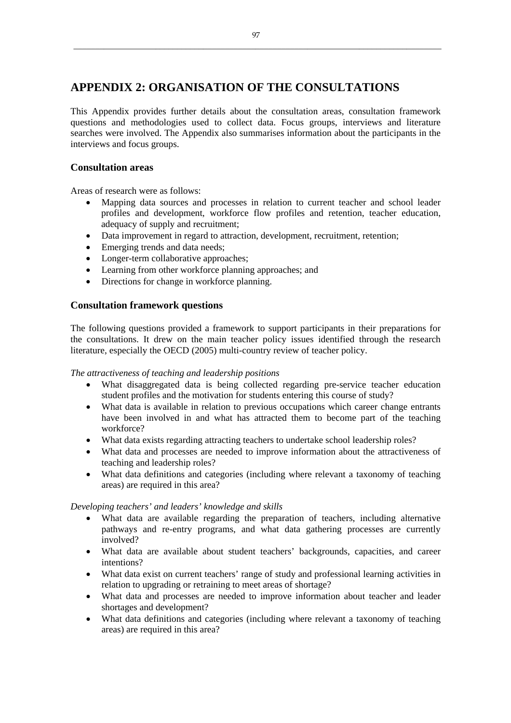# **APPENDIX 2: ORGANISATION OF THE CONSULTATIONS**

This Appendix provides further details about the consultation areas, consultation framework questions and methodologies used to collect data. Focus groups, interviews and literature searches were involved. The Appendix also summarises information about the participants in the interviews and focus groups.

# **Consultation areas**

Areas of research were as follows:

- Mapping data sources and processes in relation to current teacher and school leader profiles and development, workforce flow profiles and retention, teacher education, adequacy of supply and recruitment;
- Data improvement in regard to attraction, development, recruitment, retention;
- Emerging trends and data needs;
- Longer-term collaborative approaches;
- Learning from other workforce planning approaches; and
- Directions for change in workforce planning.

# **Consultation framework questions**

The following questions provided a framework to support participants in their preparations for the consultations. It drew on the main teacher policy issues identified through the research literature, especially the OECD (2005) multi-country review of teacher policy.

### *The attractiveness of teaching and leadership positions*

- What disaggregated data is being collected regarding pre-service teacher education student profiles and the motivation for students entering this course of study?
- What data is available in relation to previous occupations which career change entrants have been involved in and what has attracted them to become part of the teaching workforce?
- What data exists regarding attracting teachers to undertake school leadership roles?
- What data and processes are needed to improve information about the attractiveness of teaching and leadership roles?
- What data definitions and categories (including where relevant a taxonomy of teaching areas) are required in this area?

### *Developing teachers' and leaders' knowledge and skills*

- What data are available regarding the preparation of teachers, including alternative pathways and re-entry programs, and what data gathering processes are currently involved?
- What data are available about student teachers' backgrounds, capacities, and career intentions?
- What data exist on current teachers' range of study and professional learning activities in relation to upgrading or retraining to meet areas of shortage?
- What data and processes are needed to improve information about teacher and leader shortages and development?
- What data definitions and categories (including where relevant a taxonomy of teaching areas) are required in this area?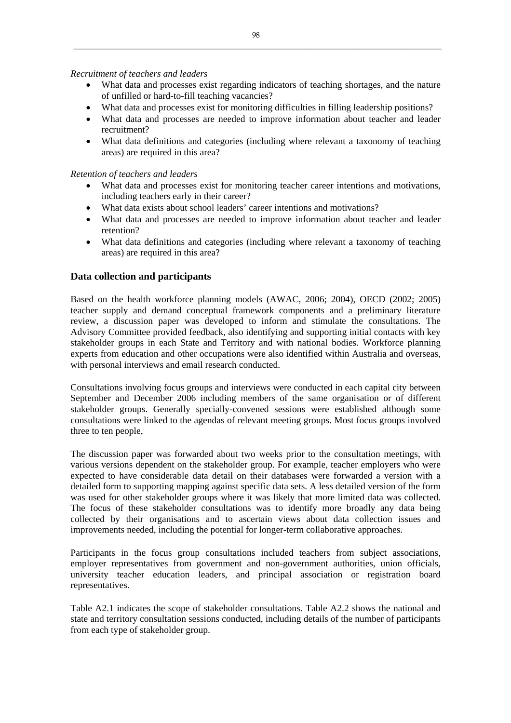### *Recruitment of teachers and leaders*

- What data and processes exist regarding indicators of teaching shortages, and the nature of unfilled or hard-to-fill teaching vacancies?
- What data and processes exist for monitoring difficulties in filling leadership positions?
- What data and processes are needed to improve information about teacher and leader recruitment?
- What data definitions and categories (including where relevant a taxonomy of teaching areas) are required in this area?

### *Retention of teachers and leaders*

- What data and processes exist for monitoring teacher career intentions and motivations, including teachers early in their career?
- What data exists about school leaders' career intentions and motivations?
- What data and processes are needed to improve information about teacher and leader retention?
- What data definitions and categories (including where relevant a taxonomy of teaching areas) are required in this area?

# **Data collection and participants**

Based on the health workforce planning models (AWAC, 2006; 2004), OECD (2002; 2005) teacher supply and demand conceptual framework components and a preliminary literature review, a discussion paper was developed to inform and stimulate the consultations. The Advisory Committee provided feedback, also identifying and supporting initial contacts with key stakeholder groups in each State and Territory and with national bodies. Workforce planning experts from education and other occupations were also identified within Australia and overseas, with personal interviews and email research conducted.

Consultations involving focus groups and interviews were conducted in each capital city between September and December 2006 including members of the same organisation or of different stakeholder groups. Generally specially-convened sessions were established although some consultations were linked to the agendas of relevant meeting groups. Most focus groups involved three to ten people,

The discussion paper was forwarded about two weeks prior to the consultation meetings, with various versions dependent on the stakeholder group. For example, teacher employers who were expected to have considerable data detail on their databases were forwarded a version with a detailed form to supporting mapping against specific data sets. A less detailed version of the form was used for other stakeholder groups where it was likely that more limited data was collected. The focus of these stakeholder consultations was to identify more broadly any data being collected by their organisations and to ascertain views about data collection issues and improvements needed, including the potential for longer-term collaborative approaches.

Participants in the focus group consultations included teachers from subject associations, employer representatives from government and non-government authorities, union officials, university teacher education leaders, and principal association or registration board representatives.

Table A2.1 indicates the scope of stakeholder consultations. Table A2.2 shows the national and state and territory consultation sessions conducted, including details of the number of participants from each type of stakeholder group.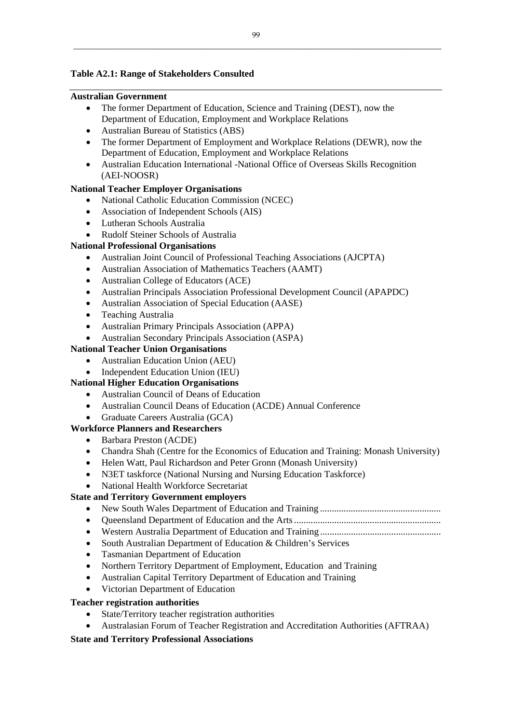# **Table A2.1: Range of Stakeholders Consulted**

### **Australian Government**

- The former Department of Education, Science and Training (DEST), now the Department of Education, Employment and Workplace Relations
- Australian Bureau of Statistics (ABS)
- The former Department of Employment and Workplace Relations (DEWR), now the Department of Education, Employment and Workplace Relations
- Australian Education International -National Office of Overseas Skills Recognition (AEI-NOOSR)

### **National Teacher Employer Organisations**

- National Catholic Education Commission (NCEC)
- Association of Independent Schools (AIS)
- Lutheran Schools Australia
- Rudolf Steiner Schools of Australia

# **National Professional Organisations**

- Australian Joint Council of Professional Teaching Associations (AJCPTA)
- Australian Association of Mathematics Teachers (AAMT)
- Australian College of Educators (ACE)
- Australian Principals Association Professional Development Council (APAPDC)
- Australian Association of Special Education (AASE)
- Teaching Australia
- Australian Primary Principals Association (APPA)
- Australian Secondary Principals Association (ASPA)

### **National Teacher Union Organisations**

- Australian Education Union (AEU)
- Independent Education Union (IEU)

### **National Higher Education Organisations**

- Australian Council of Deans of Education
- Australian Council Deans of Education (ACDE) Annual Conference
- Graduate Careers Australia (GCA)

### **Workforce Planners and Researchers**

- Barbara Preston (ACDE)
- Chandra Shah (Centre for the Economics of Education and Training: Monash University)
- Helen Watt, Paul Richardson and Peter Gronn (Monash University)
- N3ET taskforce (National Nursing and Nursing Education Taskforce)
- National Health Workforce Secretariat

### **State and Territory Government employers**

- New South Wales Department of Education and Training ...................................................
- Queensland Department of Education and the Arts ..............................................................
- Western Australia Department of Education and Training ...................................................
- South Australian Department of Education & Children's Services
- Tasmanian Department of Education
- Northern Territory Department of Employment, Education and Training
- Australian Capital Territory Department of Education and Training
- Victorian Department of Education

### **Teacher registration authorities**

- State/Territory teacher registration authorities
- Australasian Forum of Teacher Registration and Accreditation Authorities (AFTRAA)

### **State and Territory Professional Associations**